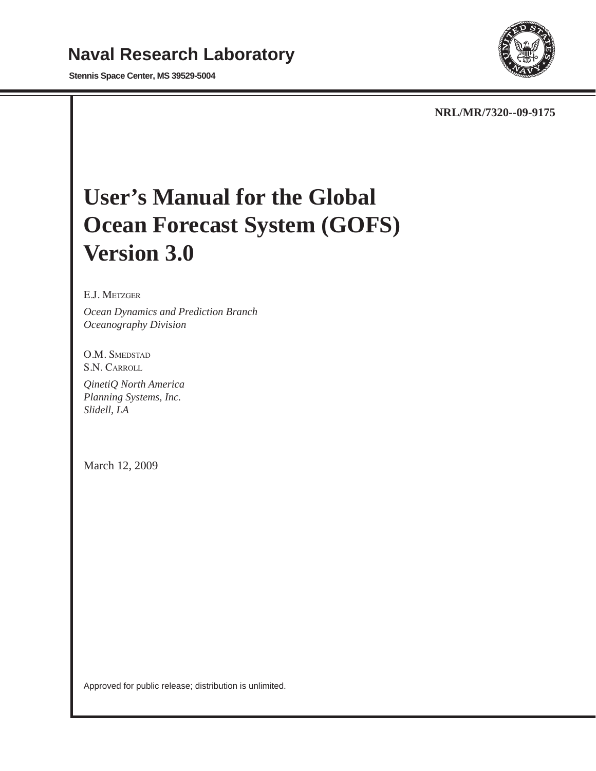# **Naval Research Laboratory**

**Stennis Space Center, MS 39529-5004**



**NRL/MR/7320--09-9175**

# **User's Manual for the Global Ocean Forecast System (GOFS) Version 3.0**

#### E.J. Metzger

*Ocean Dynamics and Prediction Branch Oceanography Division*

O.M. SMEDSTAD S.N. Carroll

*QinetiQ North America Planning Systems, Inc. Slidell, LA*

March 12, 2009

Approved for public release; distribution is unlimited.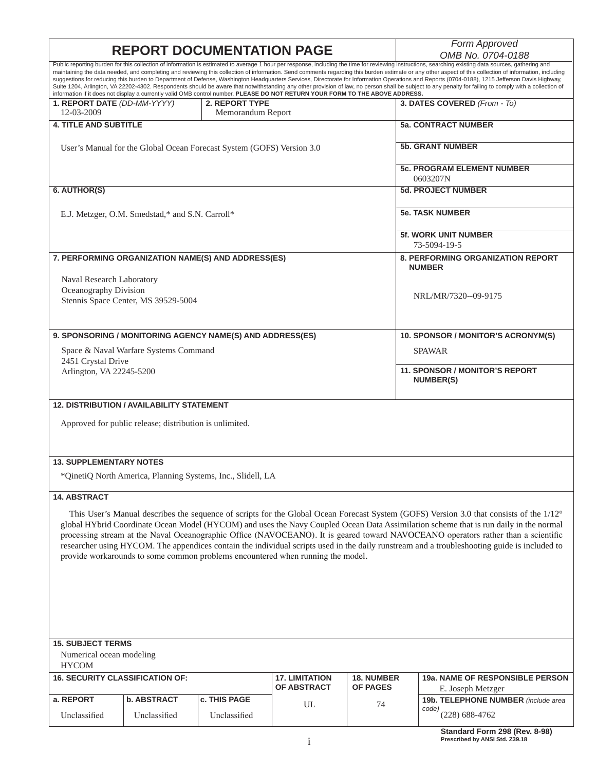# **REPORT DOCUMENTATION PAGE**

*OMB No. 0704-0188*

| Public reporting burden for this collection of information is estimated to average 1 hour per response, including the time for reviewing instructions, searching existing data sources, gathering and<br>maintaining the data needed, and completing and reviewing this collection of information. Send comments regarding this burden estimate or any other aspect of this collection of information, including<br>suggestions for reducing this burden to Department of Defense, Washington Headquarters Services, Directorate for Information Operations and Reports (0704-0188), 1215 Jefferson Davis Highway,<br>Suite 1204, Arlington, VA 22202-4302. Respondents should be aware that notwithstanding any other provision of law, no person shall be subject to any penalty for failing to comply with a collection of<br>information if it does not display a currently valid OMB control number. PLEASE DO NOT RETURN YOUR FORM TO THE ABOVE ADDRESS. |                                                                                                      |                                                                       |                                                                                 |                                      |                                                                                                                                                                                                                                                                                                                                                                                                                                                                                                                                                                       |
|----------------------------------------------------------------------------------------------------------------------------------------------------------------------------------------------------------------------------------------------------------------------------------------------------------------------------------------------------------------------------------------------------------------------------------------------------------------------------------------------------------------------------------------------------------------------------------------------------------------------------------------------------------------------------------------------------------------------------------------------------------------------------------------------------------------------------------------------------------------------------------------------------------------------------------------------------------------|------------------------------------------------------------------------------------------------------|-----------------------------------------------------------------------|---------------------------------------------------------------------------------|--------------------------------------|-----------------------------------------------------------------------------------------------------------------------------------------------------------------------------------------------------------------------------------------------------------------------------------------------------------------------------------------------------------------------------------------------------------------------------------------------------------------------------------------------------------------------------------------------------------------------|
| 1. REPORT DATE (DD-MM-YYYY)<br>12-03-2009                                                                                                                                                                                                                                                                                                                                                                                                                                                                                                                                                                                                                                                                                                                                                                                                                                                                                                                      |                                                                                                      | 2. REPORT TYPE<br>Memorandum Report                                   |                                                                                 |                                      | 3. DATES COVERED (From - To)                                                                                                                                                                                                                                                                                                                                                                                                                                                                                                                                          |
| <b>4. TITLE AND SUBTITLE</b>                                                                                                                                                                                                                                                                                                                                                                                                                                                                                                                                                                                                                                                                                                                                                                                                                                                                                                                                   |                                                                                                      |                                                                       |                                                                                 |                                      | <b>5a. CONTRACT NUMBER</b>                                                                                                                                                                                                                                                                                                                                                                                                                                                                                                                                            |
|                                                                                                                                                                                                                                                                                                                                                                                                                                                                                                                                                                                                                                                                                                                                                                                                                                                                                                                                                                |                                                                                                      | User's Manual for the Global Ocean Forecast System (GOFS) Version 3.0 |                                                                                 |                                      | <b>5b. GRANT NUMBER</b>                                                                                                                                                                                                                                                                                                                                                                                                                                                                                                                                               |
|                                                                                                                                                                                                                                                                                                                                                                                                                                                                                                                                                                                                                                                                                                                                                                                                                                                                                                                                                                |                                                                                                      |                                                                       |                                                                                 |                                      | <b>5c. PROGRAM ELEMENT NUMBER</b><br>0603207N                                                                                                                                                                                                                                                                                                                                                                                                                                                                                                                         |
| 6. AUTHOR(S)                                                                                                                                                                                                                                                                                                                                                                                                                                                                                                                                                                                                                                                                                                                                                                                                                                                                                                                                                   |                                                                                                      |                                                                       |                                                                                 |                                      | <b>5d. PROJECT NUMBER</b>                                                                                                                                                                                                                                                                                                                                                                                                                                                                                                                                             |
|                                                                                                                                                                                                                                                                                                                                                                                                                                                                                                                                                                                                                                                                                                                                                                                                                                                                                                                                                                | E.J. Metzger, O.M. Smedstad,* and S.N. Carroll*                                                      |                                                                       |                                                                                 |                                      | <b>5e. TASK NUMBER</b>                                                                                                                                                                                                                                                                                                                                                                                                                                                                                                                                                |
|                                                                                                                                                                                                                                                                                                                                                                                                                                                                                                                                                                                                                                                                                                                                                                                                                                                                                                                                                                |                                                                                                      |                                                                       |                                                                                 |                                      | <b>5f. WORK UNIT NUMBER</b><br>73-5094-19-5                                                                                                                                                                                                                                                                                                                                                                                                                                                                                                                           |
|                                                                                                                                                                                                                                                                                                                                                                                                                                                                                                                                                                                                                                                                                                                                                                                                                                                                                                                                                                |                                                                                                      | 7. PERFORMING ORGANIZATION NAME(S) AND ADDRESS(ES)                    |                                                                                 |                                      | <b>8. PERFORMING ORGANIZATION REPORT</b><br><b>NUMBER</b>                                                                                                                                                                                                                                                                                                                                                                                                                                                                                                             |
| Naval Research Laboratory<br>Oceanography Division                                                                                                                                                                                                                                                                                                                                                                                                                                                                                                                                                                                                                                                                                                                                                                                                                                                                                                             |                                                                                                      |                                                                       |                                                                                 |                                      |                                                                                                                                                                                                                                                                                                                                                                                                                                                                                                                                                                       |
|                                                                                                                                                                                                                                                                                                                                                                                                                                                                                                                                                                                                                                                                                                                                                                                                                                                                                                                                                                | Stennis Space Center, MS 39529-5004                                                                  |                                                                       |                                                                                 |                                      | NRL/MR/7320--09-9175                                                                                                                                                                                                                                                                                                                                                                                                                                                                                                                                                  |
|                                                                                                                                                                                                                                                                                                                                                                                                                                                                                                                                                                                                                                                                                                                                                                                                                                                                                                                                                                |                                                                                                      | 9. SPONSORING / MONITORING AGENCY NAME(S) AND ADDRESS(ES)             |                                                                                 |                                      | 10. SPONSOR / MONITOR'S ACRONYM(S)                                                                                                                                                                                                                                                                                                                                                                                                                                                                                                                                    |
|                                                                                                                                                                                                                                                                                                                                                                                                                                                                                                                                                                                                                                                                                                                                                                                                                                                                                                                                                                | Space & Naval Warfare Systems Command                                                                |                                                                       |                                                                                 |                                      | <b>SPAWAR</b>                                                                                                                                                                                                                                                                                                                                                                                                                                                                                                                                                         |
| 2451 Crystal Drive<br>Arlington, VA 22245-5200                                                                                                                                                                                                                                                                                                                                                                                                                                                                                                                                                                                                                                                                                                                                                                                                                                                                                                                 |                                                                                                      |                                                                       |                                                                                 |                                      | <b>11. SPONSOR / MONITOR'S REPORT</b>                                                                                                                                                                                                                                                                                                                                                                                                                                                                                                                                 |
|                                                                                                                                                                                                                                                                                                                                                                                                                                                                                                                                                                                                                                                                                                                                                                                                                                                                                                                                                                |                                                                                                      |                                                                       |                                                                                 |                                      | <b>NUMBER(S)</b>                                                                                                                                                                                                                                                                                                                                                                                                                                                                                                                                                      |
|                                                                                                                                                                                                                                                                                                                                                                                                                                                                                                                                                                                                                                                                                                                                                                                                                                                                                                                                                                | 12. DISTRIBUTION / AVAILABILITY STATEMENT<br>Approved for public release; distribution is unlimited. |                                                                       |                                                                                 |                                      |                                                                                                                                                                                                                                                                                                                                                                                                                                                                                                                                                                       |
|                                                                                                                                                                                                                                                                                                                                                                                                                                                                                                                                                                                                                                                                                                                                                                                                                                                                                                                                                                |                                                                                                      |                                                                       |                                                                                 |                                      |                                                                                                                                                                                                                                                                                                                                                                                                                                                                                                                                                                       |
| <b>13. SUPPLEMENTARY NOTES</b>                                                                                                                                                                                                                                                                                                                                                                                                                                                                                                                                                                                                                                                                                                                                                                                                                                                                                                                                 |                                                                                                      | *QinetiQ North America, Planning Systems, Inc., Slidell, LA           |                                                                                 |                                      |                                                                                                                                                                                                                                                                                                                                                                                                                                                                                                                                                                       |
| 14. ABSTRACT                                                                                                                                                                                                                                                                                                                                                                                                                                                                                                                                                                                                                                                                                                                                                                                                                                                                                                                                                   |                                                                                                      |                                                                       |                                                                                 |                                      |                                                                                                                                                                                                                                                                                                                                                                                                                                                                                                                                                                       |
|                                                                                                                                                                                                                                                                                                                                                                                                                                                                                                                                                                                                                                                                                                                                                                                                                                                                                                                                                                |                                                                                                      |                                                                       | provide workarounds to some common problems encountered when running the model. |                                      | This User's Manual describes the sequence of scripts for the Global Ocean Forecast System (GOFS) Version 3.0 that consists of the 1/12°<br>global HYbrid Coordinate Ocean Model (HYCOM) and uses the Navy Coupled Ocean Data Assimilation scheme that is run daily in the normal<br>processing stream at the Naval Oceanographic Office (NAVOCEANO). It is geared toward NAVOCEANO operators rather than a scientific<br>researcher using HYCOM. The appendices contain the individual scripts used in the daily runstream and a troubleshooting guide is included to |
|                                                                                                                                                                                                                                                                                                                                                                                                                                                                                                                                                                                                                                                                                                                                                                                                                                                                                                                                                                |                                                                                                      |                                                                       |                                                                                 |                                      |                                                                                                                                                                                                                                                                                                                                                                                                                                                                                                                                                                       |
| <b>15. SUBJECT TERMS</b><br>Numerical ocean modeling                                                                                                                                                                                                                                                                                                                                                                                                                                                                                                                                                                                                                                                                                                                                                                                                                                                                                                           |                                                                                                      |                                                                       |                                                                                 |                                      |                                                                                                                                                                                                                                                                                                                                                                                                                                                                                                                                                                       |
| <b>HYCOM</b><br><b>16. SECURITY CLASSIFICATION OF:</b>                                                                                                                                                                                                                                                                                                                                                                                                                                                                                                                                                                                                                                                                                                                                                                                                                                                                                                         |                                                                                                      |                                                                       | <b>17. LIMITATION</b><br>OF ABSTRACT                                            | <b>18. NUMBER</b><br><b>OF PAGES</b> | 19a. NAME OF RESPONSIBLE PERSON                                                                                                                                                                                                                                                                                                                                                                                                                                                                                                                                       |
| a. REPORT                                                                                                                                                                                                                                                                                                                                                                                                                                                                                                                                                                                                                                                                                                                                                                                                                                                                                                                                                      | <b>b. ABSTRACT</b>                                                                                   | c. THIS PAGE                                                          | UL                                                                              | 74                                   | E. Joseph Metzger<br>19b. TELEPHONE NUMBER (include area                                                                                                                                                                                                                                                                                                                                                                                                                                                                                                              |
| Unclassified                                                                                                                                                                                                                                                                                                                                                                                                                                                                                                                                                                                                                                                                                                                                                                                                                                                                                                                                                   | Unclassified                                                                                         | Unclassified                                                          |                                                                                 |                                      | code)<br>$(228) 688 - 4762$<br>$J = 200$ , 000 $(D_{21}, D_{20})$                                                                                                                                                                                                                                                                                                                                                                                                                                                                                                     |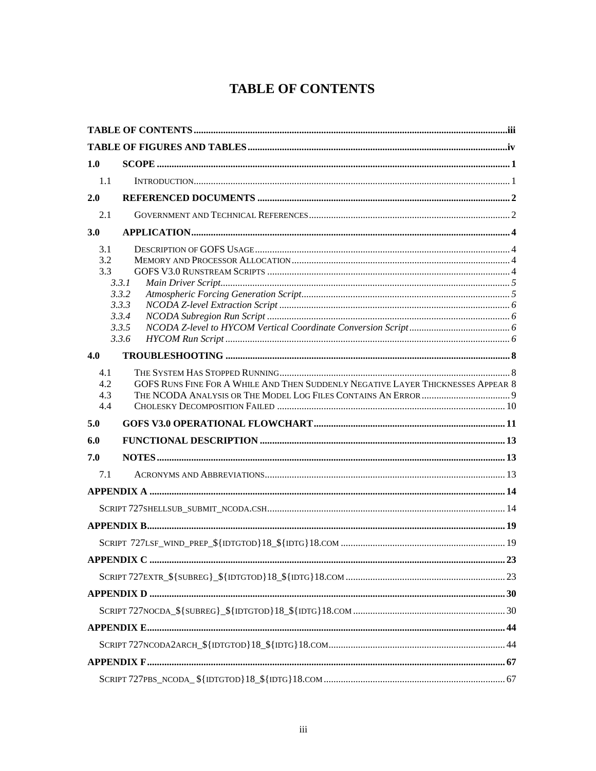## **TABLE OF CONTENTS**

<span id="page-3-0"></span>

| 1.0                      |                                                                                  |  |
|--------------------------|----------------------------------------------------------------------------------|--|
| 1.1                      |                                                                                  |  |
| 2.0                      |                                                                                  |  |
| 2.1                      |                                                                                  |  |
| 3.0                      |                                                                                  |  |
| 3.1<br>3.2<br>3.3        | 3.3.1<br>3.3.2<br>3.3.3<br>3.3.4<br>3.3.5<br>3.3.6                               |  |
| 4.0                      |                                                                                  |  |
| 4.1<br>4.2<br>4.3<br>4.4 | GOFS RUNS FINE FOR A WHILE AND THEN SUDDENLY NEGATIVE LAYER THICKNESSES APPEAR 8 |  |
| 5.0                      |                                                                                  |  |
| 6.0                      |                                                                                  |  |
| 7.0                      |                                                                                  |  |
| 7.1                      |                                                                                  |  |
|                          |                                                                                  |  |
|                          |                                                                                  |  |
|                          |                                                                                  |  |
|                          |                                                                                  |  |
|                          | <b>APPENDIX C</b><br>$\dots 23$                                                  |  |
|                          |                                                                                  |  |
|                          |                                                                                  |  |
|                          |                                                                                  |  |
|                          |                                                                                  |  |
|                          |                                                                                  |  |
|                          |                                                                                  |  |
|                          |                                                                                  |  |
|                          |                                                                                  |  |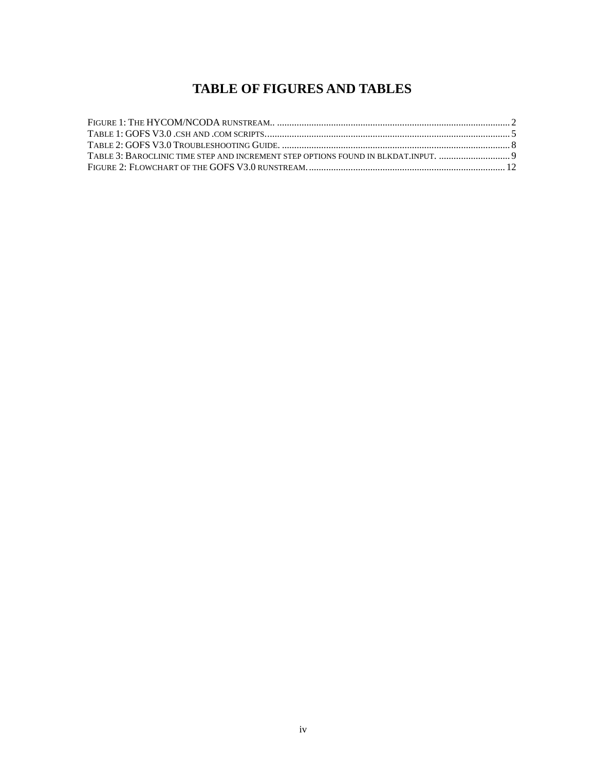### **TABLE OF FIGURES AND TABLES**

<span id="page-4-0"></span>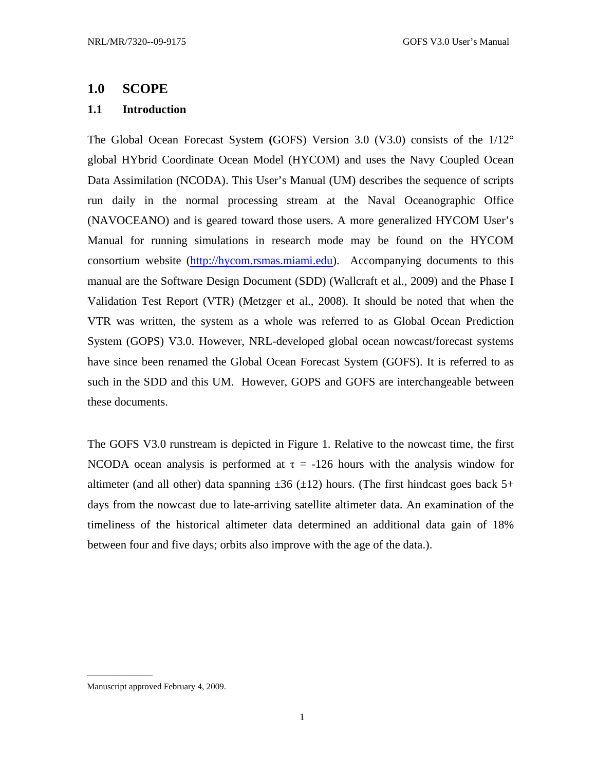### <span id="page-5-0"></span>**1.0 SCOPE**

### **1.1 Introduction**

The Global Ocean Forecast System **(**GOFS) Version 3.0 (V3.0) consists of the 1/12° global HYbrid Coordinate Ocean Model (HYCOM) and uses the Navy Coupled Ocean Data Assimilation (NCODA). This User's Manual (UM) describes the sequence of scripts run daily in the normal processing stream at the Naval Oceanographic Office (NAVOCEANO) and is geared toward those users. A more generalized HYCOM User's Manual for running simulations in research mode may be found on the HYCOM consortium website ([http://hycom.rsmas.miami.edu\)](http://hycom.rsmas.miami.edu/). Accompanying documents to this manual are the Software Design Document (SDD) (Wallcraft et al., 2009) and the Phase I Validation Test Report (VTR) (Metzger et al., 2008). It should be noted that when the VTR was written, the system as a whole was referred to as Global Ocean Prediction System (GOPS) V3.0. However, NRL-developed global ocean nowcast/forecast systems have since been renamed the Global Ocean Forecast System (GOFS). It is referred to as such in the SDD and this UM. However, GOPS and GOFS are interchangeable between these documents.

The GOFS V3.0 runstream is depicted in Figure 1. Relative to the nowcast time, the first NCODA ocean analysis is performed at  $\tau = -126$  hours with the analysis window for altimeter (and all other) data spanning  $\pm 36$  ( $\pm 12$ ) hours. (The first hindcast goes back 5+ days from the nowcast due to late-arriving satellite altimeter data. An examination of the timeliness of the historical altimeter data determined an additional data gain of 18% between four and five days; orbits also improve with the age of the data.).

\_\_\_\_\_\_\_\_\_\_\_\_\_\_\_

Manuscript approved February 4, 2009.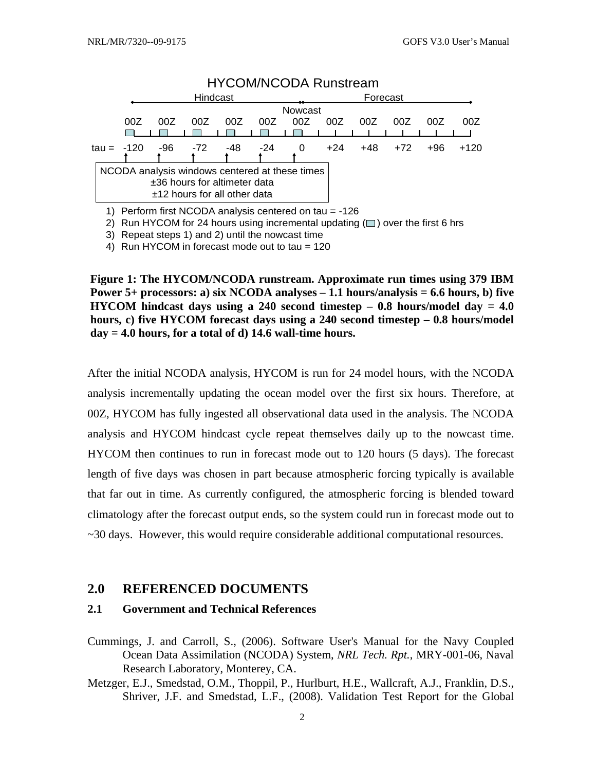<span id="page-6-0"></span>

2) Run HYCOM for 24 hours using incremental updating  $(\square)$  over the first 6 hrs

3) Repeat steps 1) and 2) until the nowcast time

4) Run HYCOM in forecast mode out to tau = 120

**Figure 1: The HYCOM/NCODA runstream. Approximate run times using 379 IBM Power 5+ processors: a) six NCODA analyses – 1.1 hours/analysis = 6.6 hours, b) five HYCOM hindcast days using a 240 second timestep – 0.8 hours/model day = 4.0 hours, c) five HYCOM forecast days using a 240 second timestep – 0.8 hours/model day = 4.0 hours, for a total of d) 14.6 wall-time hours.** 

After the initial NCODA analysis, HYCOM is run for 24 model hours, with the NCODA analysis incrementally updating the ocean model over the first six hours. Therefore, at 00Z, HYCOM has fully ingested all observational data used in the analysis. The NCODA analysis and HYCOM hindcast cycle repeat themselves daily up to the nowcast time. HYCOM then continues to run in forecast mode out to 120 hours (5 days). The forecast length of five days was chosen in part because atmospheric forcing typically is available that far out in time. As currently configured, the atmospheric forcing is blended toward climatology after the forecast output ends, so the system could run in forecast mode out to ~30 days. However, this would require considerable additional computational resources.

### **2.0 REFERENCED DOCUMENTS**

#### **2.1 Government and Technical References**

- Cummings, J. and Carroll, S., (2006). Software User's Manual for the Navy Coupled Ocean Data Assimilation (NCODA) System, *NRL Tech. Rpt.*, MRY-001-06, Naval Research Laboratory, Monterey, CA.
- Metzger, E.J., Smedstad, O.M., Thoppil, P., Hurlburt, H.E., Wallcraft, A.J., Franklin, D.S., Shriver, J.F. and Smedstad, L.F., (2008). Validation Test Report for the Global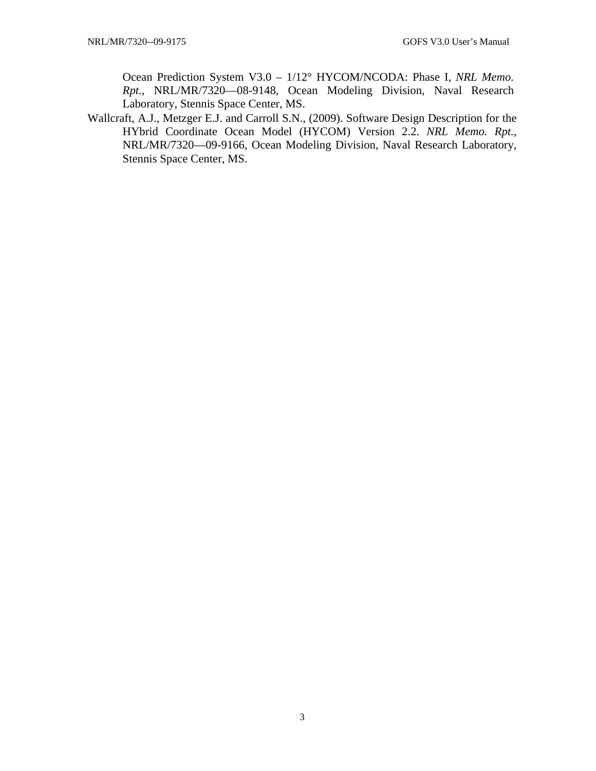Ocean Prediction System V3.0 – 1/12° HYCOM/NCODA: Phase I, *NRL Memo. Rpt.*, NRL/MR/7320—08-9148, Ocean Modeling Division, Naval Research Laboratory, Stennis Space Center, MS.

Wallcraft, A.J., Metzger E.J. and Carroll S.N., (2009). Software Design Description for the HYbrid Coordinate Ocean Model (HYCOM) Version 2.2. *NRL Memo. Rpt.*, NRL/MR/7320—09-9166, Ocean Modeling Division, Naval Research Laboratory, Stennis Space Center, MS.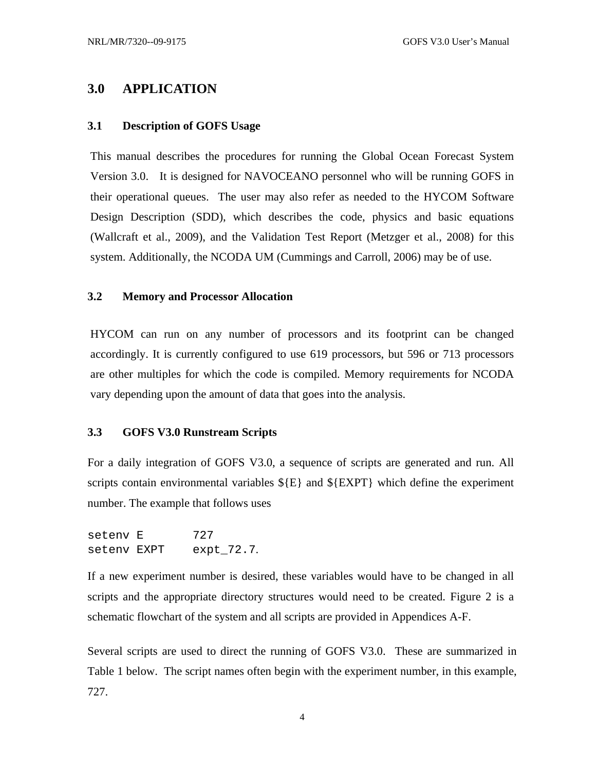### <span id="page-8-0"></span>**3.0 APPLICATION**

#### **3.1 Description of GOFS Usage**

This manual describes the procedures for running the Global Ocean Forecast System Version 3.0. It is designed for NAVOCEANO personnel who will be running GOFS in their operational queues. The user may also refer as needed to the HYCOM Software Design Description (SDD), which describes the code, physics and basic equations (Wallcraft et al., 2009), and the Validation Test Report (Metzger et al., 2008) for this system. Additionally, the NCODA UM (Cummings and Carroll, 2006) may be of use.

### **3.2 Memory and Processor Allocation**

HYCOM can run on any number of processors and its footprint can be changed accordingly. It is currently configured to use 619 processors, but 596 or 713 processors are other multiples for which the code is compiled. Memory requirements for NCODA vary depending upon the amount of data that goes into the analysis.

#### **3.3 GOFS V3.0 Runstream Scripts**

For a daily integration of GOFS V3.0, a sequence of scripts are generated and run. All scripts contain environmental variables  $\S{E}$  and  $\S{EXPT}$  which define the experiment number. The example that follows uses

seteny E 727 setenv EXPT expt\_72.7.

If a new experiment number is desired, these variables would have to be changed in all scripts and the appropriate directory structures would need to be created. Figure 2 is a schematic flowchart of the system and all scripts are provided in Appendices A-F.

Several scripts are used to direct the running of GOFS V3.0. These are summarized in Table 1 below. The script names often begin with the experiment number, in this example, 727.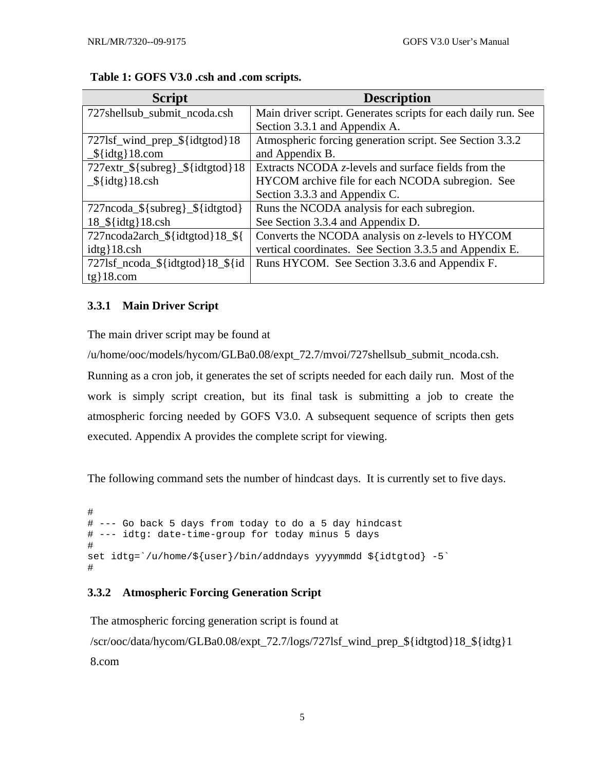| <b>Script</b>                        | <b>Description</b>                                            |
|--------------------------------------|---------------------------------------------------------------|
| 727shellsub_submit_ncoda.csh         | Main driver script. Generates scripts for each daily run. See |
|                                      | Section 3.3.1 and Appendix A.                                 |
| 727lsf_wind_prep_\${idtgtod}18       | Atmospheric forcing generation script. See Section 3.3.2      |
| $\frac{\sqrt{3}}{100}$ {idtg} 18.com | and Appendix B.                                               |
| $727$ extr_\${subreg}_\${idtgtod}18  | Extracts NCODA $z$ -levels and surface fields from the        |
| $\frac{\sqrt{3}}{100}$ and 18.csh    | HYCOM archive file for each NCODA subregion. See              |
|                                      | Section 3.3.3 and Appendix C.                                 |
| 727ncoda_\${subreg}_\${idtgtod}      | Runs the NCODA analysis for each subregion.                   |
| $18$ $$$ {idtg} 18.csh               | See Section 3.3.4 and Appendix D.                             |
| 727ncoda2arch_\${idtgtod}18_\${      | Converts the NCODA analysis on z-levels to HYCOM              |
| $idtg$ { 18.csh                      | vertical coordinates. See Section 3.3.5 and Appendix E.       |
| 727lsf_ncoda_\${idtgtod}18_\${id     | Runs HYCOM. See Section 3.3.6 and Appendix F.                 |
| $tg$ 18.com                          |                                                               |

### <span id="page-9-0"></span>**Table 1: GOFS V3.0 .csh and .com scripts.**

### **3.3.1 Main Driver Script**

The main driver script may be found at

/u/home/ooc/models/hycom/GLBa0.08/expt\_72.7/mvoi/727shellsub\_submit\_ncoda.csh.

Running as a cron job, it generates the set of scripts needed for each daily run. Most of the work is simply script creation, but its final task is submitting a job to create the atmospheric forcing needed by GOFS V3.0. A subsequent sequence of scripts then gets executed. Appendix A provides the complete script for viewing.

The following command sets the number of hindcast days. It is currently set to five days.

```
# 
# --- Go back 5 days from today to do a 5 day hindcast 
# --- idtg: date-time-group for today minus 5 days 
# 
set idtg=`/u/home/${user}/bin/addndays yyyymmdd ${idtgtod} -5` 
#
```
### **3.3.2 Atmospheric Forcing Generation Script**

The atmospheric forcing generation script is found at

/scr/ooc/data/hycom/GLBa0.08/expt\_72.7/logs/727lsf\_wind\_prep\_\${idtgtod}18\_\${idtg}1 8.com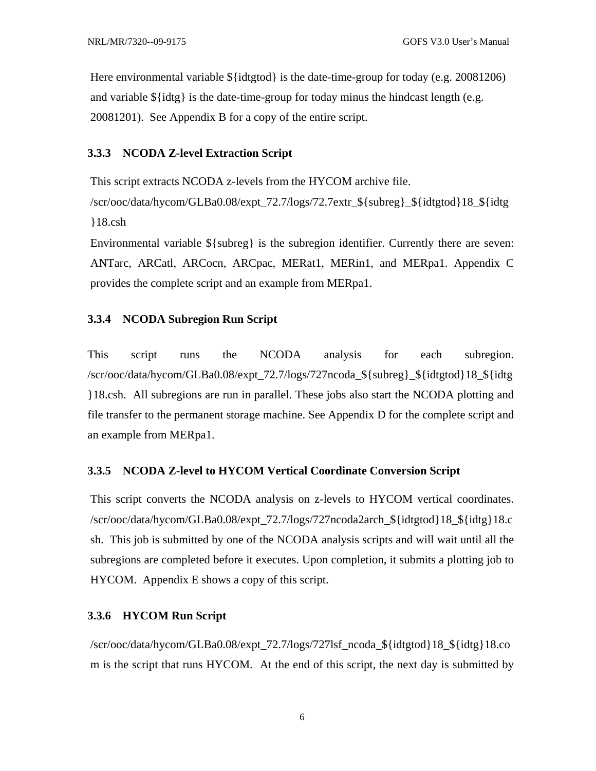<span id="page-10-0"></span>Here environmental variable  $\{\{\text{idtgtod}\}\}$  is the date-time-group for today (e.g. 20081206) and variable  $\{\text{idtg}\}$  is the date-time-group for today minus the hindcast length (e.g. 20081201). See Appendix B for a copy of the entire script.

#### **3.3.3 NCODA Z-level Extraction Script**

This script extracts NCODA z-levels from the HYCOM archive file.

/scr/ooc/data/hycom/GLBa0.08/expt\_72.7/logs/72.7extr\_\${subreg}\_\${idtgtod}18\_\${idtg }18.csh

Environmental variable  $\S$ {subreg} is the subregion identifier. Currently there are seven: ANTarc, ARCatl, ARCocn, ARCpac, MERat1, MERin1, and MERpa1. Appendix C provides the complete script and an example from MERpa1.

#### **3.3.4 NCODA Subregion Run Script**

This script runs the NCODA analysis for each subregion. /scr/ooc/data/hycom/GLBa0.08/expt\_72.7/logs/727ncoda\_\${subreg}\_\${idtgtod}18\_\${idtg }18.csh. All subregions are run in parallel. These jobs also start the NCODA plotting and file transfer to the permanent storage machine. See Appendix D for the complete script and an example from MERpa1.

#### **3.3.5 NCODA Z-level to HYCOM Vertical Coordinate Conversion Script**

This script converts the NCODA analysis on z-levels to HYCOM vertical coordinates. /scr/ooc/data/hycom/GLBa0.08/expt\_72.7/logs/727ncoda2arch\_\${idtgtod}18\_\${idtg}18.c sh. This job is submitted by one of the NCODA analysis scripts and will wait until all the subregions are completed before it executes. Upon completion, it submits a plotting job to HYCOM. Appendix E shows a copy of this script.

#### **3.3.6 HYCOM Run Script**

/scr/ooc/data/hycom/GLBa0.08/expt\_72.7/logs/727lsf\_ncoda\_\${idtgtod}18\_\${idtg}18.co m is the script that runs HYCOM. At the end of this script, the next day is submitted by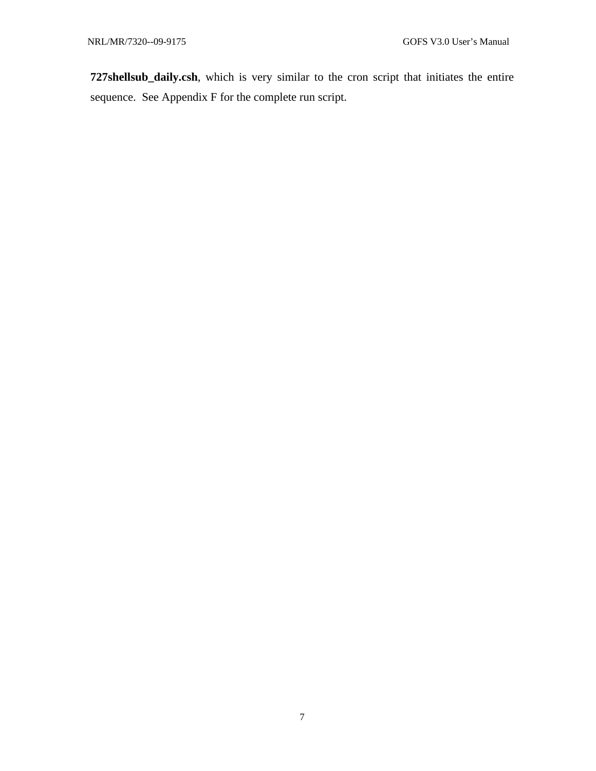**727shellsub\_daily.csh**, which is very similar to the cron script that initiates the entire sequence. See Appendix F for the complete run script.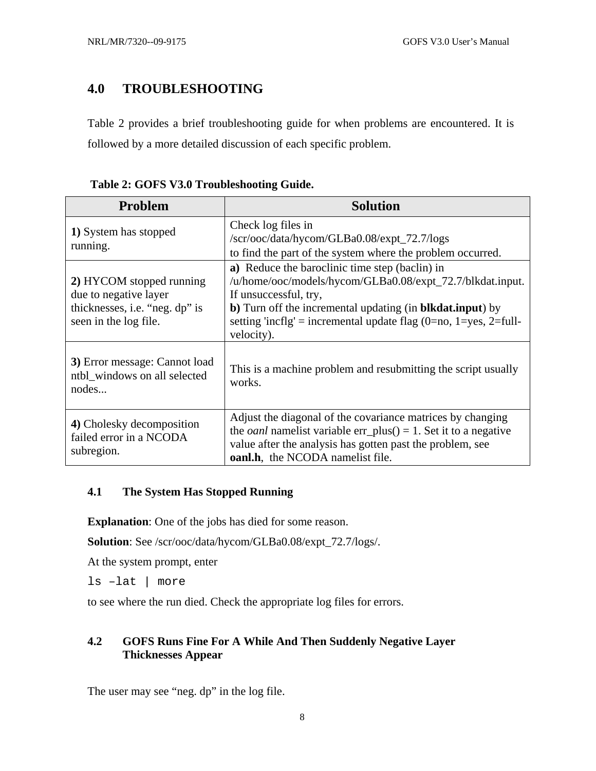### <span id="page-12-0"></span>**4.0 TROUBLESHOOTING**

Table 2 provides a brief troubleshooting guide for when problems are encountered. It is followed by a more detailed discussion of each specific problem.

| Problem                                                                                                      | <b>Solution</b>                                                                                                                                                                                                                                                                               |
|--------------------------------------------------------------------------------------------------------------|-----------------------------------------------------------------------------------------------------------------------------------------------------------------------------------------------------------------------------------------------------------------------------------------------|
| 1) System has stopped<br>running.                                                                            | Check log files in<br>/scr/ooc/data/hycom/GLBa0.08/expt_72.7/logs<br>to find the part of the system where the problem occurred.                                                                                                                                                               |
| 2) HYCOM stopped running<br>due to negative layer<br>thicknesses, i.e. "neg. dp" is<br>seen in the log file. | a) Reduce the baroclinic time step (baclin) in<br>/u/home/ooc/models/hycom/GLBa0.08/expt_72.7/blkdat.input.<br>If unsuccessful, try,<br>b) Turn off the incremental updating (in <b>blkdat.input</b> ) by<br>setting 'incflg' = incremental update flag $(0=no, 1=yes, 2=full-$<br>velocity). |
| 3) Error message: Cannot load<br>ntbl_windows on all selected<br>nodes                                       | This is a machine problem and resubmitting the script usually<br>works.                                                                                                                                                                                                                       |
| 4) Cholesky decomposition<br>failed error in a NCODA<br>subregion.                                           | Adjust the diagonal of the covariance matrices by changing<br>the <i>oanl</i> namelist variable err_plus( $= 1$ . Set it to a negative<br>value after the analysis has gotten past the problem, see<br><b>oanl.h.</b> the NCODA namelist file.                                                |

### **Table 2: GOFS V3.0 Troubleshooting Guide.**

### **4.1 The System Has Stopped Running**

**Explanation**: One of the jobs has died for some reason.

**Solution**: See /scr/ooc/data/hycom/GLBa0.08/expt\_72.7/logs/.

At the system prompt, enter

ls –lat | more

to see where the run died. Check the appropriate log files for errors.

### **4.2 GOFS Runs Fine For A While And Then Suddenly Negative Layer Thicknesses Appear**

The user may see "neg. dp" in the log file.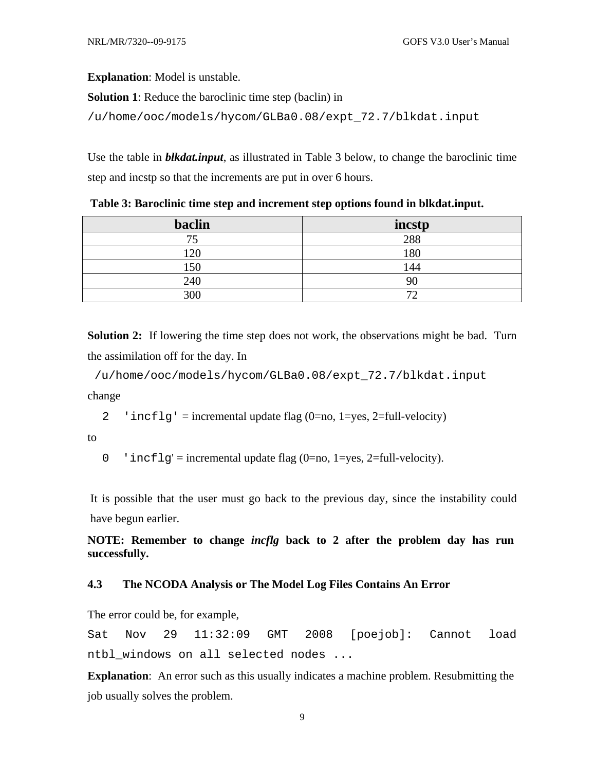<span id="page-13-0"></span>**Explanation**: Model is unstable.

**Solution 1**: Reduce the baroclinic time step (baclin) in

```
/u/home/ooc/models/hycom/GLBa0.08/expt_72.7/blkdat.input
```
Use the table in *blkdat.input*, as illustrated in Table 3 below, to change the baroclinic time step and incstp so that the increments are put in over 6 hours.

| Table 3: Baroclinic time step and increment step options found in blkdat.input. |  |  |  |  |  |  |
|---------------------------------------------------------------------------------|--|--|--|--|--|--|
|---------------------------------------------------------------------------------|--|--|--|--|--|--|

| <b>baclin</b> | incstp        |
|---------------|---------------|
| 74            | 288           |
| 120           | 180           |
| 50            | 144           |
| 240           |               |
| 300           | $\mathcal{L}$ |

**Solution 2:** If lowering the time step does not work, the observations might be bad. Turn the assimilation off for the day. In

 /u/home/ooc/models/hycom/GLBa0.08/expt\_72.7/blkdat.input change

2 'incflg' = incremental update flag  $(0=no, 1=yes, 2=full-velocity)$ 

to

0 'incflg' = incremental update flag  $(0=no, 1=ves, 2=full-velocity)$ .

It is possible that the user must go back to the previous day, since the instability could have begun earlier.

**NOTE: Remember to change** *incflg* **back to 2 after the problem day has run successfully.** 

### **4.3 The NCODA Analysis or The Model Log Files Contains An Error**

The error could be, for example,

Sat Nov 29 11:32:09 GMT 2008 [poejob]: Cannot load ntbl windows on all selected nodes ...

**Explanation**: An error such as this usually indicates a machine problem. Resubmitting the job usually solves the problem.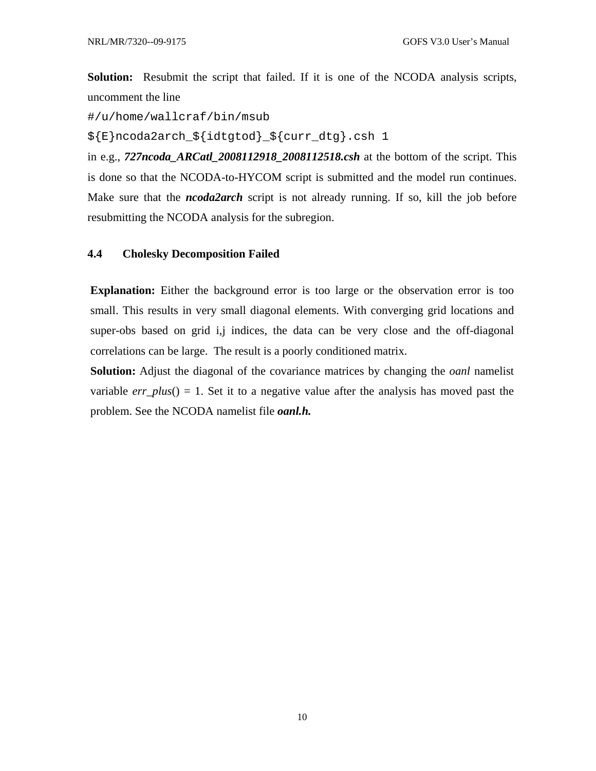<span id="page-14-0"></span>**Solution:** Resubmit the script that failed. If it is one of the NCODA analysis scripts, uncomment the line

#/u/home/wallcraf/bin/msub

\${E}ncoda2arch\_\${idtgtod}\_\${curr\_dtg}.csh 1

in e.g., *727ncoda\_ARCatl\_2008112918\_2008112518.csh* at the bottom of the script. This is done so that the NCODA-to-HYCOM script is submitted and the model run continues. Make sure that the *ncoda2arch* script is not already running. If so, kill the job before resubmitting the NCODA analysis for the subregion.

### **4.4 Cholesky Decomposition Failed**

**Explanation:** Either the background error is too large or the observation error is too small. This results in very small diagonal elements. With converging grid locations and super-obs based on grid i,j indices, the data can be very close and the off-diagonal correlations can be large. The result is a poorly conditioned matrix.

**Solution:** Adjust the diagonal of the covariance matrices by changing the *oanl* namelist variable  $err\_plus() = 1$ . Set it to a negative value after the analysis has moved past the problem. See the NCODA namelist file *oanl.h.*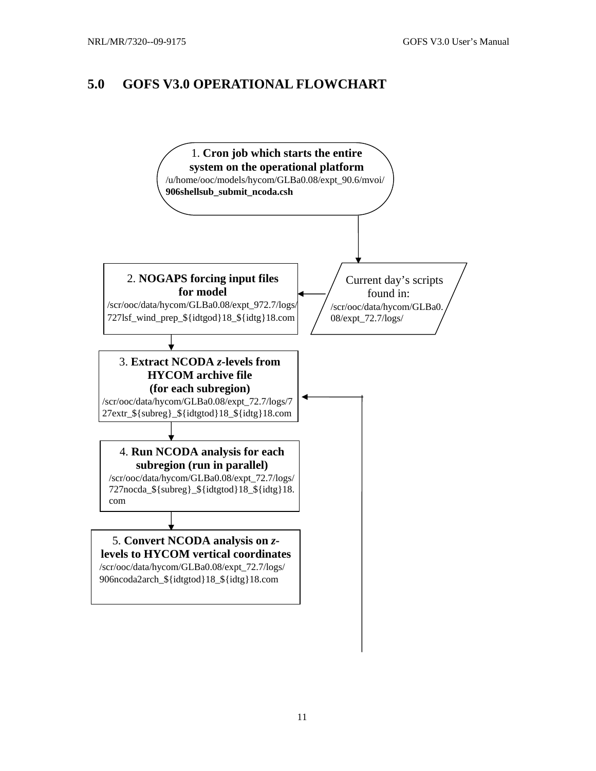### <span id="page-15-0"></span>**5.0 GOFS V3.0 OPERATIONAL FLOWCHART**

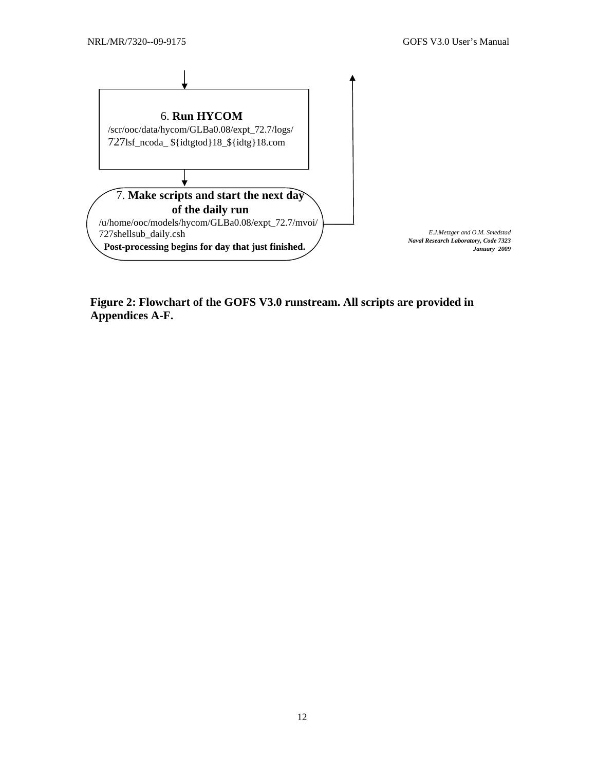<span id="page-16-0"></span>

**Figure 2: Flowchart of the GOFS V3.0 runstream. All scripts are provided in Appendices A-F.**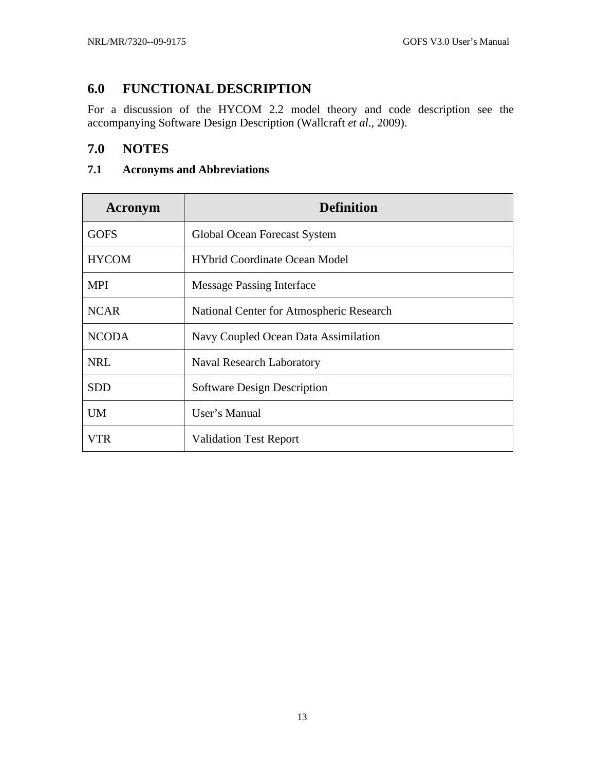### <span id="page-17-0"></span>**6.0 FUNCTIONAL DESCRIPTION**

For a discussion of the HYCOM 2.2 model theory and code description see the accompanying Software Design Description (Wallcraft *et al.*, 2009).

### **7.0 NOTES**

### **7.1 Acronyms and Abbreviations**

| Acronym      | <b>Definition</b>                        |
|--------------|------------------------------------------|
| <b>GOFS</b>  | Global Ocean Forecast System             |
| <b>HYCOM</b> | <b>HYbrid Coordinate Ocean Model</b>     |
| <b>MPI</b>   | <b>Message Passing Interface</b>         |
| <b>NCAR</b>  | National Center for Atmospheric Research |
| <b>NCODA</b> | Navy Coupled Ocean Data Assimilation     |
| <b>NRL</b>   | Naval Research Laboratory                |
| <b>SDD</b>   | <b>Software Design Description</b>       |
| <b>UM</b>    | User's Manual                            |
| VTR          | <b>Validation Test Report</b>            |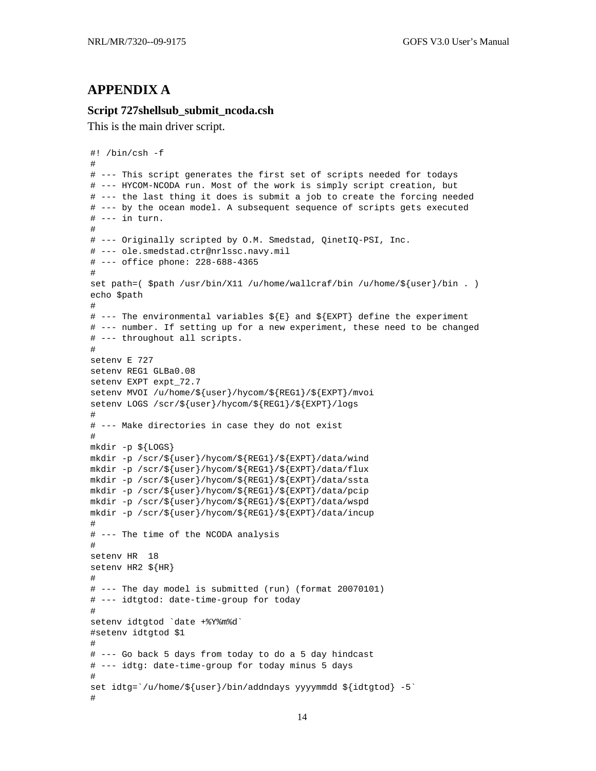### <span id="page-18-0"></span>**APPENDIX A**

#### **Script 727shellsub\_submit\_ncoda.csh**

This is the main driver script.

```
#! /bin/csh -f 
# 
# --- This script generates the first set of scripts needed for todays 
# --- HYCOM-NCODA run. Most of the work is simply script creation, but 
# --- the last thing it does is submit a job to create the forcing needed 
# --- by the ocean model. A subsequent sequence of scripts gets executed 
# --- in turn. 
# 
# --- Originally scripted by O.M. Smedstad, QinetIQ-PSI, Inc. 
# --- ole.smedstad.ctr@nrlssc.navy.mil 
# --- office phone: 228-688-4365 
# 
set path=($path /usr/bin/X11 /u/home/wallcraft/bin /u/home/\${user}/bin .)
echo $path 
# 
# --- The environmental variables \S{E} and \S{EXP} define the experiment
# --- number. If setting up for a new experiment, these need to be changed 
# --- throughout all scripts. 
# 
setenv E 727 
setenv REG1 GLBa0.08 
setenv EXPT expt_72.7 
setenv MVOI /u/home/${user}/hycom/${REG1}/${EXPT}/mvoi 
setenv LOGS /scr/${user}/hycom/${REG1}/${EXPT}/logs 
# 
# --- Make directories in case they do not exist 
# 
mkdir -p ${LOGS} 
mkdir -p /scr/${user}/hycom/${REG1}/${EXPT}/data/wind 
mkdir -p /scr/${user}/hycom/${REG1}/${EXPT}/data/flux 
mkdir -p /scr/${user}/hycom/${REG1}/${EXPT}/data/ssta 
mkdir -p /scr/${user}/hycom/${REG1}/${EXPT}/data/pcip 
mkdir -p /scr/${user}/hycom/${REG1}/${EXPT}/data/wspd 
mkdir -p /scr/${user}/hycom/${REG1}/${EXPT}/data/incup 
# 
# --- The time of the NCODA analysis 
# 
setenv HR 18 
setenv HR2 ${HR} 
# 
# --- The day model is submitted (run) (format 20070101) 
# --- idtgtod: date-time-group for today 
# 
setenv idtgtod `date +%Y%m%d` 
#setenv idtgtod $1 
# 
# --- Go back 5 days from today to do a 5 day hindcast 
# --- idtg: date-time-group for today minus 5 days 
# 
set idtg=`/u/home/${user}/bin/addndays yyyymmdd ${idtgtod} -5` 
#
```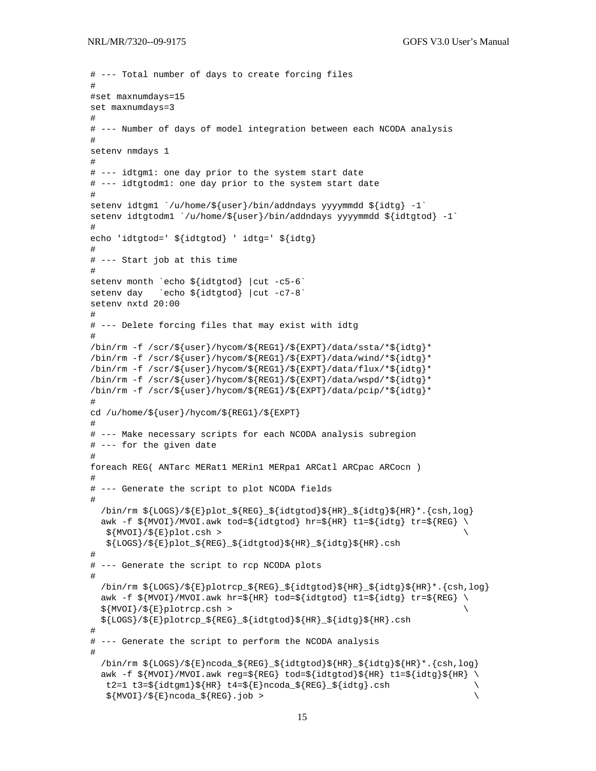```
# --- Total number of days to create forcing files 
# 
#set maxnumdays=15 
set maxnumdays=3 
# 
# --- Number of days of model integration between each NCODA analysis 
# 
setenv nmdays 1 
# 
# --- idtgm1: one day prior to the system start date 
# --- idtgtodm1: one day prior to the system start date 
# 
setenv idtgm1 \u/(\text{home/s}(\text{user})/\text{bin}/\text{adding}(\text{syyymmdd s}(\text{idtg}) - 1)setenv idtgtodm1 `/u/home/${user}/bin/addndays yyyymmdd ${idtgtod} -1` 
# 
echo 'idtgtod=' ${idtgtod} ' idtg=' ${idtg} 
# 
# --- Start job at this time 
# 
setenv month `echo ${idtgtod} |cut -c5-6` 
setenv day ccho ${idtqtod} | cut -c7-8`
setenv nxtd 20:00 
# 
# --- Delete forcing files that may exist with idtg 
# 
/bin/rm -f /scr/${user}/hycom/${REG1}/${EXPT}/data/ssta/*${idtg}* 
/bin/rm -f /scr/${user}/hycom/${REG1}/${EXPT}/data/wind/*${idtg}* 
/bin/rm -f /scr/${user}/hycom/${REG1}/${EXPT}/data/flux/*${idtg}* 
/bin/rm -f /scr/${user}/hycom/${REG1}/${EXPT}/data/wspd/*${idtg}* 
/bin/rm -f /scr/${user}/hycom/${REG1}/${EXPT}/data/pcip/*${idtg}* 
# 
cd /u/home/${user}/hycom/${REG1}/${EXPT} 
# 
# --- Make necessary scripts for each NCODA analysis subregion 
# --- for the given date 
# 
foreach REG( ANTarc MERat1 MERin1 MERpa1 ARCatl ARCpac ARCocn ) 
# 
# --- Generate the script to plot NCODA fields 
# 
  \binom{m}{k} \tepsof{Eqs}{\state{\state}\right{\state}\state{\state{\state{\state}${HR}_${idtg}${HR}\right}\state{\state}$}
  awk -f \gamma \ \frac{1}{2} \ \frac{1}{2} \ \frac{1}{2} awk tod=\frac{1}{2} {idtg} tr=\frac{1}{2} {idtg} tr=\frac{1}{2} \ \frac{1}{2}${MVOI}/${E}plot.csh >
    ${LOGS}/${E}plot_${REG}_${idtgtod}${HR}_${idtg}${HR}.csh 
# 
# --- Generate the script to rcp NCODA plots 
# 
  \binom{5}{10} \frac{1}{8} \frac{1}{8} \frac{1}{8} \frac{1}{8} \frac{1}{8} \frac{1}{8} \frac{1}{8} \frac{1}{8} \frac{1}{8} \frac{1}{8} \frac{1}{8} \frac{1}{8} \frac{1}{8} \frac{1}{8} \frac{1}{8} \frac{1}{8} \frac{1}{8} \frac{1}{8} \frac{1}{8} \frac{1}{8} \frac{1}{8}awk -f $ \{MVOI\} / MVOI.awk hr=$ \{HR\} tod=$ \{idtgtod\} t1=$ \{idtg\} tr=$ \{REG\}$ \{MVOI\}/$ \{E\} plot rep.csh > ${LOGS}/${E}plotrcp_${REG}_${idtgtod}${HR}_${idtg}${HR}.csh 
# 
# --- Generate the script to perform the NCODA analysis 
# 
  \binom{\sin\pi}{\cos} / \frac{\cosh\pi}{\sinh\pi} / \frac{\cosh\pi}{\cosh\pi} / \frac{\cosh\pi}{\cosh\pi} / \frac{\cosh\pi}{\cosh\pi} / \frac{\cosh\pi}{\cosh\pi}awk -f ${MVOI}/MVOI.awk reg=${REG} tod=${idtgtod}${HR} t1=${idtg}${HR} \
   t2=1 t3=\{idtgm1\}\ {HR\ t4=\{F\}ncode denotes \{REG\} \{idtg\} .csh
   $ \{MVOL\}/$ \{E\}ncoda_S \{REG\}.job > \qquad \qquad \qquad \}
```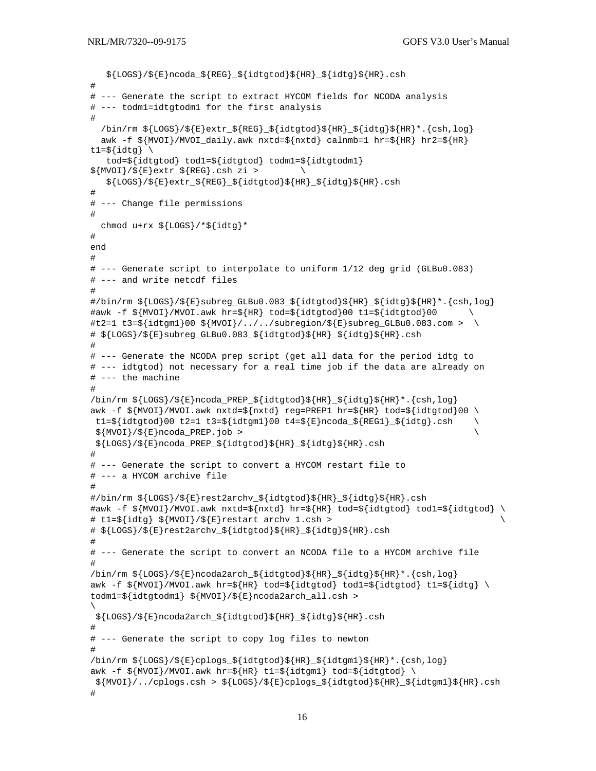```
 ${LOGS}/${E}ncoda_${REG}_${idtgtod}${HR}_${idtg}${HR}.csh 
# 
# --- Generate the script to extract HYCOM fields for NCODA analysis 
# --- todm1=idtgtodm1 for the first analysis 
# 
  \binom{m \ s \{LoGS\} \setminus \S} \{E\} extr_\S \{REG\}_{S} \{idt \text{ of } S\} \{HR\}_{S} \{idtg\} \ \{HR\} * \{csh,log\}awk -f ${MVOI}/MVOI_daily.awk nxtd=${nxtd} calnmb=1 hr=${HR} hr2=${HR}
t1=\frac{1}{2}{idtg} \
    tod=${idtgtod} tod1=${idtgtod} todm1=${idtgtodm1} 
${MVOI}/$E}extr_${REG}.csh_zi > ${LOGS}/${E}extr_${REG}_${idtgtod}${HR}_${idtg}${HR}.csh 
# 
# --- Change file permissions 
# 
  chmod u+rx \{(LOGS\}/ *\{(idtg\} *
# 
end 
# 
# --- Generate script to interpolate to uniform 1/12 deg grid (GLBu0.083) 
# --- and write netcdf files 
# 
#/bin/rm ${LOGS}/${E}subreg_GLBu0.083_${idtgtod}${HR}_${idtg}${HR}*.{csh,log} 
\text{#awk -f } ${MVOI}/MVOI.awk hr=${HR} tod=${idtgtod}00 t1=${idtgtod}00
\#t2=1 \ t3=\frac{5}{idtqml}00 \ \frac{5}{MVOI}/../../subregion/\frac{5}{E}\}subreq\_GLBu0.083.com > \ \ \ \ \ \# ${LOGS}/${E}subreg_GLBu0.083_${idtgtod}${HR}_${idtg}${HR}.csh 
# 
# --- Generate the NCODA prep script (get all data for the period idtg to 
# --- idtgtod) not necessary for a real time job if the data are already on 
# --- the machine 
# 
\binom{5}{1008}/\\binom{8}{1008}/\\binom{8}{1000a_P} \frac{1}{1000}\\binom{8}{100}\\binom{8}{100}\awk -f ${MVOI}/MVOI.awk nxtd=${nxtd} reg=PREP1 hr=${HR} tod=${idtqtod}00 \
 t1=s\{idtqtod\}00 \t2=1 \t3=s\{idtqm1\}00 \t4=s\{E\}ncoda \tS\{REGI\} \tS\{idtq\}.csh \t\$ \{MVOT\}/$ \{E\}ncoda\_PRED. job > \ ${LOGS}/${E}ncoda_PREP_${idtgtod}${HR}_${idtg}${HR}.csh 
# 
# --- Generate the script to convert a HYCOM restart file to 
# --- a HYCOM archive file 
# 
#/bin/rm ${LOGS}/${E}rest2archv_${idtgtod}${HR}_${idtg}${HR}.csh 
#awk -f ${MVOI}/MVOI.awk nxtd=${nxtd} hr=${HR} tod=${idtgtod} tod1=${idtgtod} \ 
# t1=${idtg} ${MVOI}/${E}restart_archv_1.csh > \ 
# ${LOGS}/${E}rest2archv_${idtgtod}${HR}_${idtg}${HR}.csh 
# 
# --- Generate the script to convert an NCODA file to a HYCOM archive file 
# 
\binom{5}{1008}/\\binom{8}{1008}/\\binom{8}{100042arch\\frac{1}{1000}\\binom{8}{1000}\awk -f ${MVOI}/MVOI.awk hr=${HR} tod=${idtqtod} tod1=${idtqtod} t1=${idtq} \
todm1=${idtgtodm1} ${MVOI}/${E}ncoda2arch_all.csh > 
\setminus ${LOGS}/${E}ncoda2arch_${idtgtod}${HR}_${idtg}${HR}.csh 
# 
# --- Generate the script to copy log files to newton 
# 
\binom{\min\{m, s\{LOGS\}}}{s\{E\}cploqs} \left\{\frac{\det\{d\}}{R}\right\} \left\{\frac{\det\{m\}}{s\{LQcm\}}\right\}. \left\{\cosh\left(m, \log\right)\right\}awk -f \gamma \ \frac{1}{2} \ \frac{1}{2} \ \frac{1}{2} \ \frac{1}{2} \ \frac{1}{2} \ \frac{1}{2} \ \frac{1}{2} \ \frac{1}{2} \ \frac{1}{2} \ \frac{1}{2} \ \frac{1}{2} \ \frac{1}{2} \ \frac{1}{2} \ \frac{1}{2} \ \frac{1}{2} \ \frac{1}{2} \ \frac{1}{2} \ \frac${MVOI}/../cplogs.csh > ${Logs}/$E]cplogs_f{idtyod}${HR}_s{idtgml}${HR}.csh#
```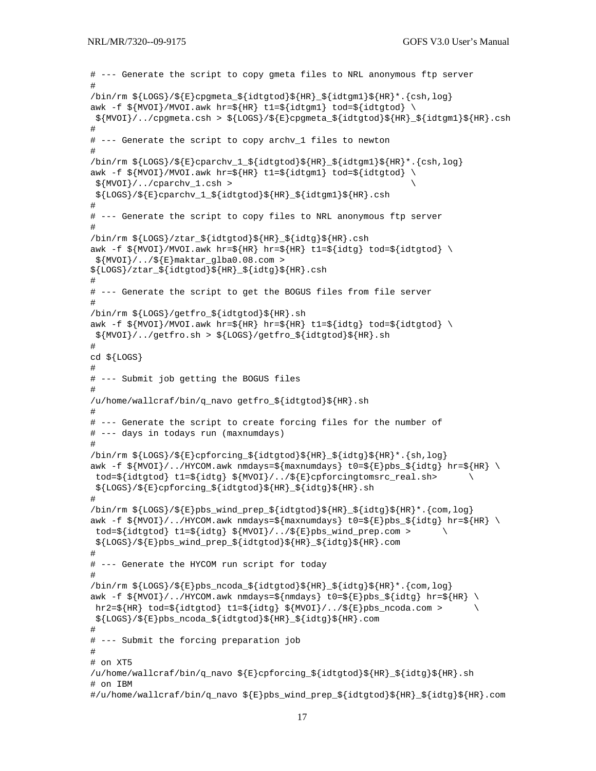```
# --- Generate the script to copy gmeta files to NRL anonymous ftp server 
# 
\binom{5}{1008}/\\{E\}cpgmeta_\{idtgtod\}\{HR\}_{\;S}\{idtgm1\}\{HR\} *. \{csh,log\}awk -f \{MVOI\}/MVOI.awk hr=\{HR\} t1=\{idtgm1\} tod=\{idtgtod\} ${MVOI}/../cpgmeta.csh > ${LOGS}/${E}cpgmeta_${idtgtod}${HR}_${idtgm1}${HR}.csh 
# 
# --- Generate the script to copy archv_1 files to newton 
# 
\binom{5}{100} \frac{1}{5} \frac{1}{5} \frac{1}{5} \frac{1}{5} \frac{1}{5} \frac{1}{5} \frac{1}{5} \frac{1}{5} \frac{1}{5} \frac{1}{5} \frac{1}{5} \frac{1}{5} \frac{1}{5} \frac{1}{5} \frac{1}{5}awk -f \gamma_{MVOI}/MVOI.awk hr=\gamma_{HR} t1=\gamma_{idtgm1} tod=\gamma_{idtgtod} \ \langle ${MVOI}/../cparchv_1.csh > \ 
  ${LOGS}/${E}cparchv_1_${idtgtod}${HR}_${idtgm1}${HR}.csh 
# 
# --- Generate the script to copy files to NRL anonymous ftp server 
# 
/bin/rm ${LOGS}/ztar_${idtgtod}${HR}_${idtg}${HR}.csh 
awk -f \{\text{MVOI}\}/\text{MVOI}.awk hr=\{\text{HR}\}\ hr=\{\text{HR}\}\ tl=\{\text{idtq}\}\ tod=\{\text{idtqold}\}\$ \{MVOI\}/../$ \{E\}maktar_qlba0.08.com >
${LOGS}/ztar_${idtgtod}${HR}_${idtg}${HR}.csh 
# 
# --- Generate the script to get the BOGUS files from file server 
# 
/bin/rm ${LOGS}/getfro_${idtgtod}${HR}.sh 
awk -f ${MVOI}/MVOI.awk hr=${HR} hr=${HR} t1=${idtg} tod=${idtgtod} \
  ${MVOI}/../getfro.sh > ${LOGS}/getfro_${idtgtod}${HR}.sh 
# 
cd ${LOGS} 
# 
# --- Submit job getting the BOGUS files 
# 
/u/home/wallcraf/bin/q_navo getfro_${idtgtod}${HR}.sh 
# 
# --- Generate the script to create forcing files for the number of 
# --- days in todays run (maxnumdays) 
# 
\binom{\text{min}}{m} $\left\{LOG\right\}/\left\{E\right\}cpforcing_$\left\{idtgtod\right\}\left\{HR\right\} $\left\{HR\right\} *. \left\{Sh,log\right\}awk -f ${MVOI}/../HYCOM.awk nmdays=${maxnumdays} t0=${E}bs ${index} hr=${HR} \\text{tod}=\frac{1}{3} \text{idtg} \; t1=\frac{5}{idtg} \; s\{MVOI\}/.75\{E\}cpforcingtomsrc_real.sh>
  ${LOGS}/${E}cpforcing_${idtgtod}${HR}_${idtg}${HR}.sh 
# 
\binom{1}{r} \frac{1}{2} \frac{1}{2} \frac{1}{2} \frac{1}{2} \frac{1}{2} \frac{1}{2} \frac{1}{2} \frac{1}{2} \frac{1}{2} \frac{1}{2} \frac{1}{2} \frac{1}{2} \frac{1}{2} \frac{1}{2} \frac{1}{2} \frac{1}{2} \frac{1}{2} \frac{1}{2} \frac{1}{2} \frac{1}{2} \frac{1}{2} 
awk -f $ \{MVOI\}/./HYCOM.awk nmdays=$ \{maxnumdays\} t0=$ \{E\}pbs_S{idtg} hr=$ \{HR\}tod=$idtqtod} t1=$idtq} ${MVOI}/../${E}pbs_wind prep.com > \ \ \ \ \ \ ${LOGS}/${E}pbs_wind_prep_${idtgtod}${HR}_${idtg}${HR}.com 
# 
# --- Generate the HYCOM run script for today 
# 
\binom{\min}{rm x} $ {LOGS } / $ {E } pbs_ncoda_$ {idtgtod } $ {HR } _ $ {idtg } $ {HR } * . {com, log }
awk -f $ \{MVOI\}/../HYCOM.awk nmdays=$ \{nmdays\} t0=$ \{E\}pbs_S$ \{idtg\} hr=$ \{HR\}hr2=\{HR\} tod=\{idtgtod\} t1=\{idtg\} \{MVOI\}/\ldots/\{F\} pbs_ncoda.com >
  ${LOGS}/${E}pbs_ncoda_${idtgtod}${HR}_${idtg}${HR}.com 
# 
# --- Submit the forcing preparation job 
# 
# on XT5 
/u/home/wallcraf/bin/q_navo ${E}cpforcing_${idtgtod}${HR}_${idtg}${HR}.sh 
# on IBM 
#/u/home/wallcraf/bin/q_navo ${E}pbs_wind_prep_${idtgtod}${HR}_${idtg}${HR}.com
```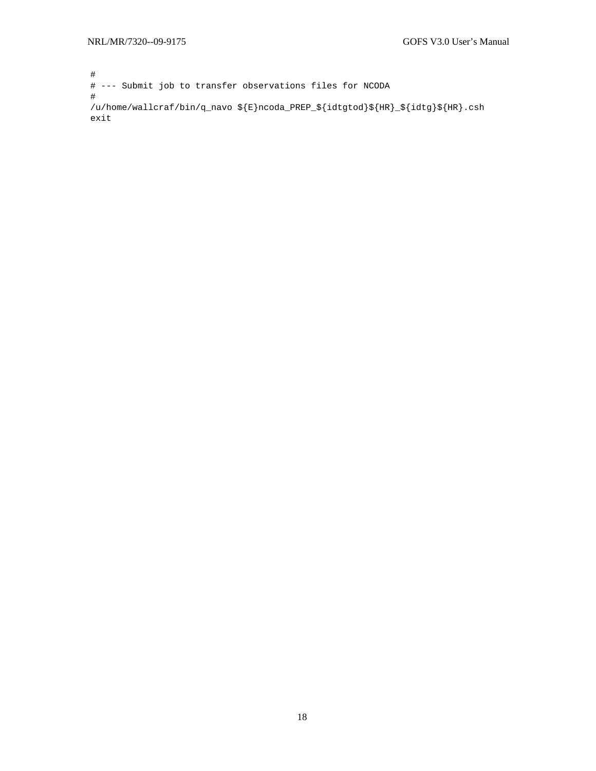# # --- Submit job to transfer observations files for NCODA # /u/home/wallcraf/bin/q\_navo \${E}ncoda\_PREP\_\${idtgtod}\${HR}\_\${idtg}\${HR}.csh exit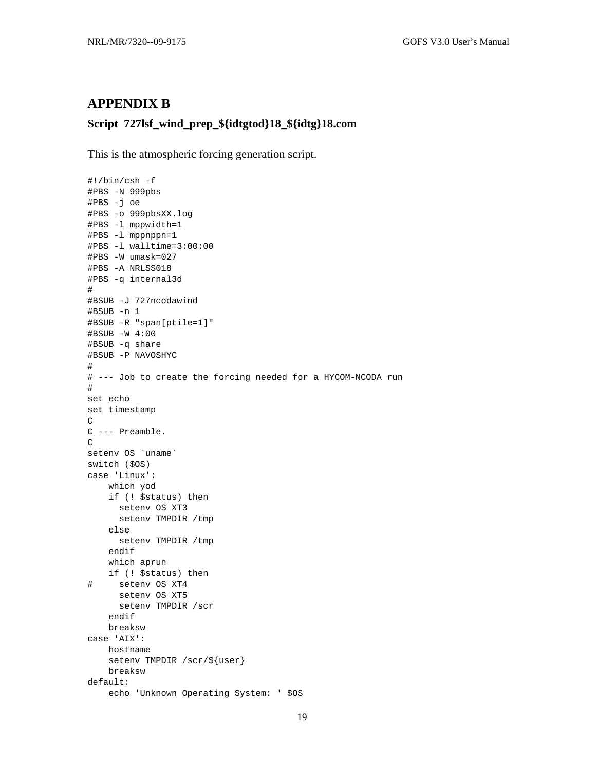### <span id="page-23-0"></span>**APPENDIX B**

### **Script 727lsf\_wind\_prep\_\${idtgtod}18\_\${idtg}18.com**

This is the atmospheric forcing generation script.

```
#!/bin/csh -f 
#PBS -N 999pbs 
#PBS -j oe 
#PBS -o 999pbsXX.log 
#PBS -l mppwidth=1 
#PBS -l mppnppn=1 
#PBS -l walltime=3:00:00 
#PBS -W umask=027 
#PBS -A NRLSS018 
#PBS -q internal3d 
# 
#BSUB -J 727ncodawind 
#BSUB -n 1 
#BSUB -R "span[ptile=1]" 
#BSUB -W 4:00 
#BSUB -q share 
#BSUB -P NAVOSHYC 
# 
# --- Job to create the forcing needed for a HYCOM-NCODA run 
# 
set echo 
set timestamp 
C 
C --- Preamble. 
C 
setenv OS `uname`
switch ($OS) 
case 'Linux': 
     which yod 
     if (! $status) then 
       setenv OS XT3 
       setenv TMPDIR /tmp 
     else 
       setenv TMPDIR /tmp 
     endif 
     which aprun 
    if (! $status) then 
# setenv OS XT4 
       setenv OS XT5 
       setenv TMPDIR /scr 
     endif 
     breaksw 
case 'AIX': 
     hostname 
     setenv TMPDIR /scr/${user} 
     breaksw 
default: 
     echo 'Unknown Operating System: ' $OS
```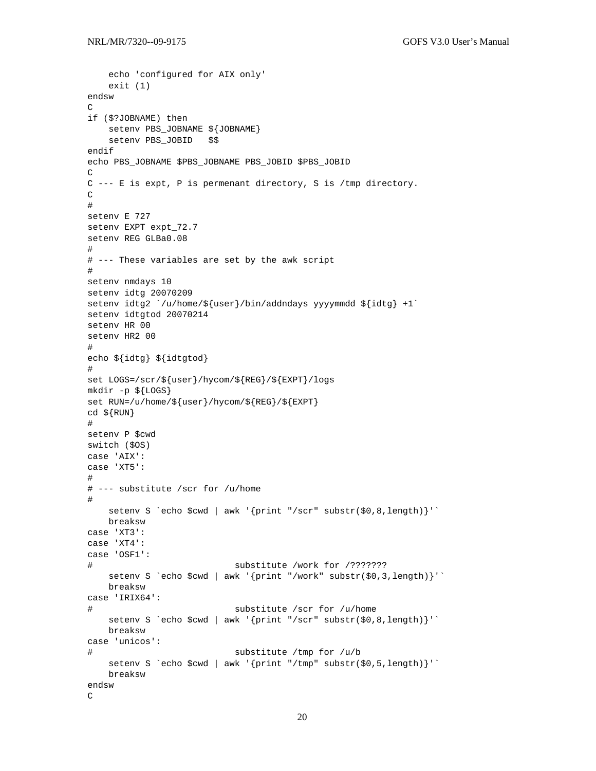```
 echo 'configured for AIX only' 
     exit (1) 
endsw 
\mathsf Cif ($?JOBNAME) then 
     setenv PBS_JOBNAME ${JOBNAME} 
     setenv PBS_JOBID $$ 
endif 
echo PBS_JOBNAME $PBS_JOBNAME PBS_JOBID $PBS_JOBID 
C 
C --- E is expt, P is permenant directory, S is /tmp directory. 
\mathcal{C}# 
setenv E 727 
setenv EXPT expt_72.7 
setenv REG GLBa0.08 
# 
# --- These variables are set by the awk script 
# 
setenv nmdays 10 
setenv idtg 20070209 
setenv idtg2 `/u/home/${user}/bin/addndays yyyymmdd ${idtg} +1`
setenv idtgtod 20070214 
setenv HR 00 
setenv HR2 00 
# 
echo ${idtg} ${idtgtod} 
# 
set LOGS=/scr/${user}/hycom/${REG}/${EXPT}/logs 
mkdir -p ${LOGS} 
set RUN=/u/home/${user}/hycom/${REG}/${EXPT} 
cd \ {RUN}
# 
setenv P $cwd 
switch ($OS) 
case 'AIX': 
case 'XT5': 
# 
# --- substitute /scr for /u/home 
# 
    setenv S `echo $cwd | awk '{print "/scr" substr($0,8,length)}'` 
    breaksw 
case 'XT3': 
case 'XT4': 
case 'OSF1': 
# substitute /work for /??????? 
    setenv S `echo $cwd | awk '{print "/work" substr($0,3,length)}'`
    breaksw 
case 'IRIX64': 
# substitute /scr for /u/home 
    setenv S `echo $cwd | awk '{print "/scr" substr($0,8,length)}'`
     breaksw 
case 'unicos': 
# substitute /tmp for /u/b 
    setenv S `echo $cwd | awk '{print "/tmp" substr($0,5,length)}'`
     breaksw 
endsw 
C
```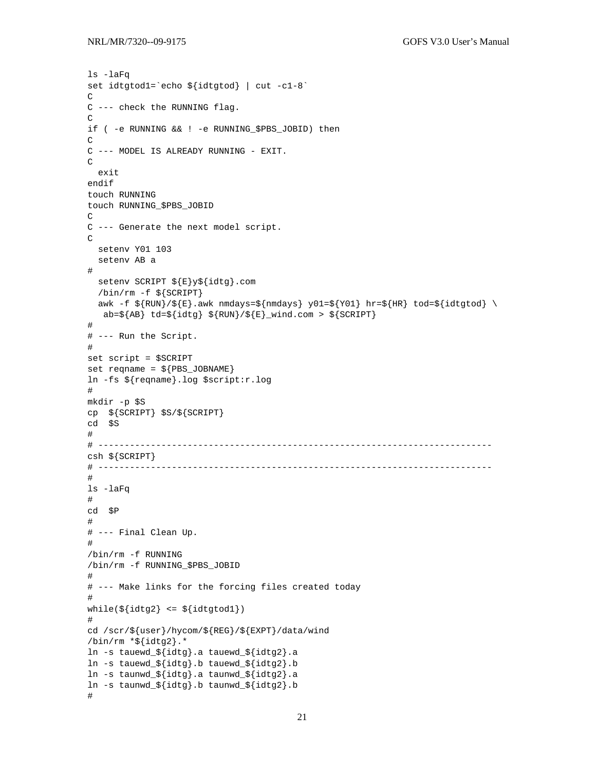```
ls -laFq 
set idtgtod1=`echo ${idtgtod} | cut -c1-8` 
C 
C --- check the RUNNING flag. 
\overline{C}if ( -e RUNNING && ! -e RUNNING_$PBS_JOBID) then 
\mathsf{C}C --- MODEL IS ALREADY RUNNING - EXIT. 
\mathsf C exit 
endif 
touch RUNNING 
touch RUNNING_$PBS_JOBID 
\mathcal{C}C --- Generate the next model script. 
\mathsf{C} setenv Y01 103 
   setenv AB a 
# 
   setenv SCRIPT ${E}y${idtg}.com 
   /bin/rm -f ${SCRIPT} 
  awk -f \S{Run}/\S{E}.awk nmdays=\S{nmdays} y01=\S{Y01} hr=\S{HR} tod=\S{idtgtod} \
   ab=\{AB\} td=\{idtg\} \{RUN\}/\{E\} wind.com > \{SCRIPT\}# 
# --- Run the Script. 
# 
set script = $SCRIPT 
set reqname = ${PBS_JOBNAME}ln -fs ${reqname}.log $script:r.log 
# 
mkdir -p $S 
cp ${SCRIPT} $S/${SCRIPT} 
cd $S 
# 
# --------------------------------------------------------------------------- 
csh ${SCRIPT} 
# --------------------------------------------------------------------------- 
# 
ls -laFq 
# 
cd $P 
# 
# --- Final Clean Up. 
# 
/bin/rm -f RUNNING 
/bin/rm -f RUNNING_$PBS_JOBID 
# 
# --- Make links for the forcing files created today 
# 
while(\delta\{\text{idtg2}\} \leq \frac{1}{2} \left\{\text{idtgtod1}\right\})
# 
cd /scr/${user}/hycom/${REG}/${EXPT}/data/wind 
\binom{\text{bin}}{\text{rm}} *$\text{idtg2}.*
ln -s tauewd_${idtg}.a tauewd_${idtg2}.a 
ln -s tauewd_${idtg}.b tauewd_${idtg2}.b 
ln -s taunwd_${idtg}.a taunwd_${idtg2}.a 
ln -s taunwd_${idtg}.b taunwd_${idtg2}.b 
#
```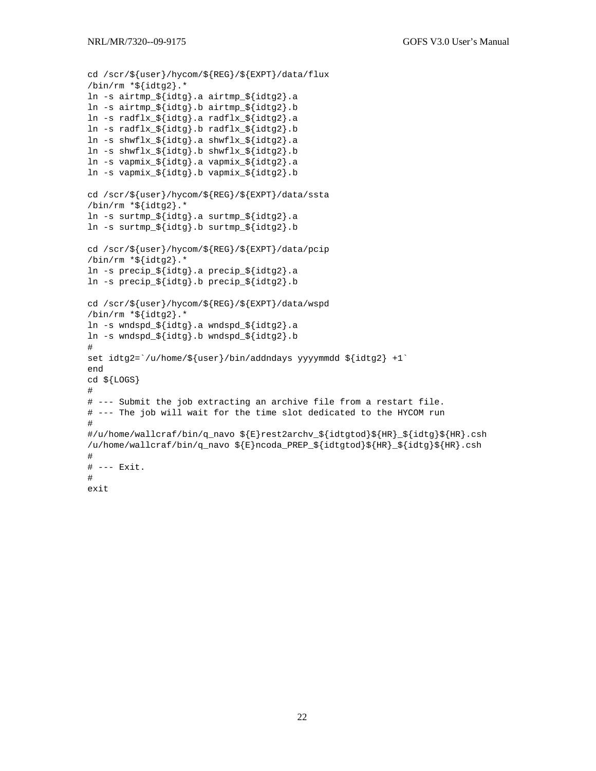```
cd /scr/${user}/hycom/${REG}/${EXPT}/data/flux 
/bin/rm * ${idtg2}.ln -s airtmp_${idtg}.a airtmp_${idtg2}.a 
ln -s airtmp_${idtg}.b airtmp_${idtg2}.b 
ln -s radflx_${idtg}.a radflx_${idtg2}.a 
ln -s radflx_${idtg}.b radflx_${idtg2}.b 
ln -s shwflx_${idtg}.a shwflx_${idtg2}.a 
ln -s shwflx_${idtg}.b shwflx_${idtg2}.b 
ln -s vapmix_${idtg}.a vapmix_${idtg2}.a 
ln -s vapmix_${idtg}.b vapmix_${idtg2}.b 
cd /scr/${user}/hycom/${REG}/${EXPT}/data/ssta 
\binom{\text{bin}}{\text{rm}} *$\text{idtq2}.*
ln -s surtmp_${idtg}.a surtmp_${idtg2}.a 
ln -s surtmp_${idtg}.b surtmp_${idtg2}.b 
cd /scr/${user}/hycom/${REG}/${EXPT}/data/pcip 
/bin/rm *${idtq2}.*
ln -s precip_${idtg}.a precip_${idtg2}.a 
ln -s precip_${idtg}.b precip_${idtg2}.b 
cd /scr/${user}/hycom/${REG}/${EXPT}/data/wspd 
/bin/rm *${idtg2}.*
ln -s wndspd_${idtg}.a wndspd_${idtg2}.a 
ln -s wndspd_${idtg}.b wndspd_${idtg2}.b 
# 
set idtg2=`/u/home/${user}/bin/addndays yyyymmdd ${idtg2} +1`
end 
cd ${LOGS} 
# 
# --- Submit the job extracting an archive file from a restart file. 
# --- The job will wait for the time slot dedicated to the HYCOM run 
# 
#/u/home/wallcraf/bin/q_navo ${E}rest2archv_${idtgtod}${HR}_${idtg}${HR}.csh 
/u/home/wallcraf/bin/q_navo ${E}ncoda_PREP_${idtgtod}${HR}_${idtg}${HR}.csh 
# 
# --- Exit. 
# 
exit
```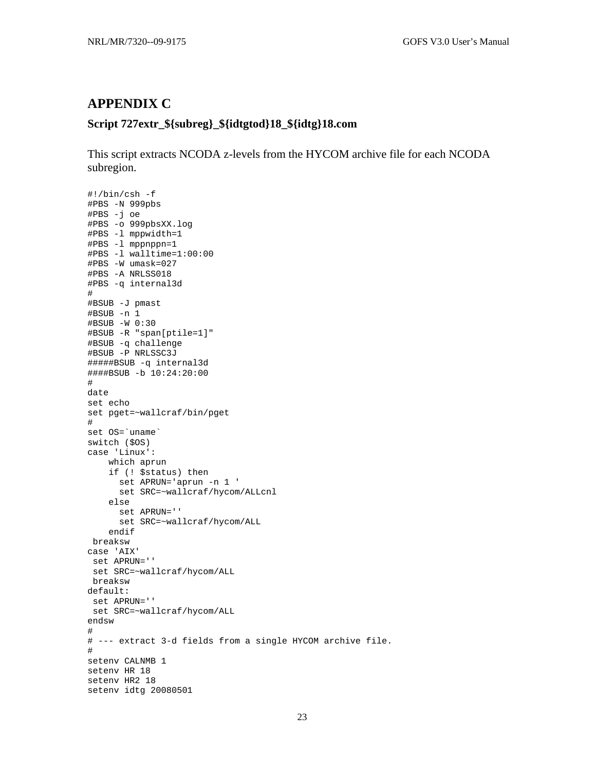### <span id="page-27-0"></span>**APPENDIX C**

### **Script 727extr\_\${subreg}\_\${idtgtod}18\_\${idtg}18.com**

This script extracts NCODA z-levels from the HYCOM archive file for each NCODA subregion.

```
#!/bin/csh -f 
#PBS -N 999pbs 
#PBS -j oe 
#PBS -o 999pbsXX.log 
#PBS -l mppwidth=1 
#PBS -l mppnppn=1 
#PBS -l walltime=1:00:00 
#PBS -W umask=027 
#PBS -A NRLSS018 
#PBS -q internal3d 
# 
#BSUB -J pmast 
#BSUB -n 1 
#BSUB -W 0:30 
#BSUB -R "span[ptile=1]" 
#BSUB -q challenge 
#BSUB -P NRLSSC3J 
#####BSUB -q internal3d 
####BSUB -b 10:24:20:00 
# 
date 
set echo 
set pget=~wallcraf/bin/pget 
# 
set OS=`uname` 
switch ($OS) 
case 'Linux': 
     which aprun 
     if (! $status) then 
       set APRUN='aprun -n 1 ' 
       set SRC=~wallcraf/hycom/ALLcnl 
     else 
       set APRUN='' 
       set SRC=~wallcraf/hycom/ALL 
     endif 
  breaksw 
case 'AIX' 
  set APRUN='' 
  set SRC=~wallcraf/hycom/ALL 
 breaksw 
default: 
  set APRUN='' 
  set SRC=~wallcraf/hycom/ALL 
endsw 
# 
# --- extract 3-d fields from a single HYCOM archive file. 
# 
setenv CALNMB 1 
setenv HR 18 
setenv HR2 18 
setenv idtg 20080501
```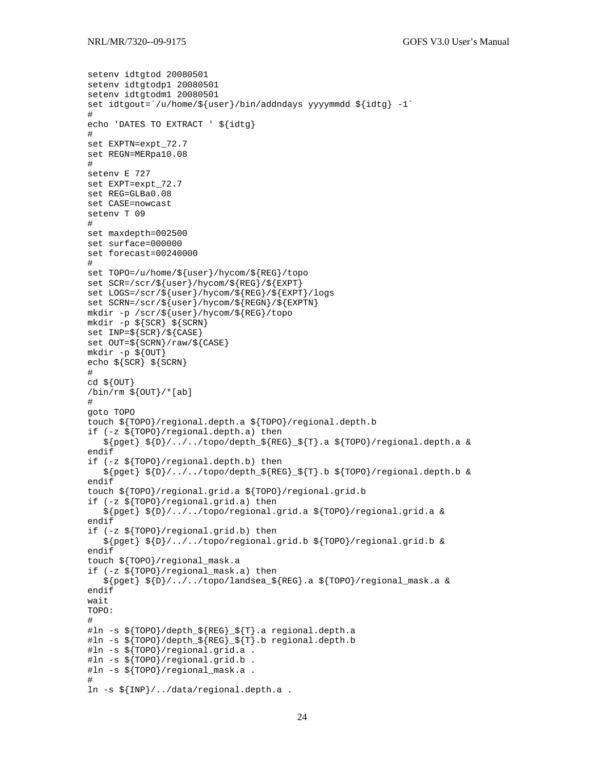```
setenv idtgtod 20080501 
setenv idtgtodp1 20080501 
setenv idtgtodm1 20080501 
set idtgout=`/u/home/${user}/bin/addndays yyyymmdd ${idtg} -1`
# 
echo 'DATES TO EXTRACT ' ${idtg} 
# 
set EXPTN=expt_72.7 
set REGN=MERpa10.08 
# 
setenv E 727 
set EXPT=expt_72.7 
set REG=GLBa0.08 
set CASE=nowcast 
setenv T 09 
# 
set maxdepth=002500 
set surface=000000 
set forecast=00240000 
# 
set TOPO=/u/home/${user}/hycom/${REG}/topo 
set SCR=/scr/${user}/hycom/${REG}/${EXPT} 
set LOGS=/scr/${user}/hycom/${REG}/${EXPT}/logs 
set SCRN=/scr/${user}/hycom/${REGN}/${EXPTN} 
mkdir -p /scr/${user}/hycom/${REG}/topo 
mkdir -p ${SCR} ${SCRN} 
set INP=${SCR}/${CASE} 
set OUT=\frac{2}{5}{SCRN}/raw/${CASE}
mkdir -p ${OUT} 
echo ${SCR} ${SCRN} 
# 
cd ${OUT} 
\binom{\text{bin}}{r} $ \binom{\text{OUT}}{r} (ab)
# 
goto TOPO 
touch ${TOPO}/regional.depth.a ${TOPO}/regional.depth.b 
if (-z ${TOPO}/regional.depth.a) then 
    ${pget} ${D}/../../topo/depth_${REG}_${T}.a ${TOPO}/regional.depth.a & 
endif 
if (-z ${TOPO}/regional.depth.b) then 
    ${pget} ${D}/../../topo/depth_${REG}_${T}.b ${TOPO}/regional.depth.b & 
endif 
touch ${TOPO}/regional.grid.a ${TOPO}/regional.grid.b 
if (-z ${TOPO}/regional.grid.a) then 
    ${pget} ${D}/../../topo/regional.grid.a ${TOPO}/regional.grid.a & 
endif 
if (-z ${TOPO}/regional.grid.b) then 
    ${pget} ${D}/../../topo/regional.grid.b ${TOPO}/regional.grid.b & 
endif 
touch ${TOPO}/regional_mask.a 
if (-z ${TOPO}/regional_mask.a) then 
    ${pget} ${D}/../../topo/landsea_${REG}.a ${TOPO}/regional_mask.a & 
endif 
wait 
TOPO: 
# 
#ln -s ${TOPO}/depth_${REG}_${T}.a regional.depth.a 
#ln -s ${TOPO}/depth_${REG}_${T}.b regional.depth.b 
#ln -s ${TOPO}/regional.grid.a . 
#ln -s ${TOPO}/regional.grid.b . 
#ln -s ${TOPO}/regional_mask.a . 
# 
ln -s ${INP}/../data/regional.depth.a .
```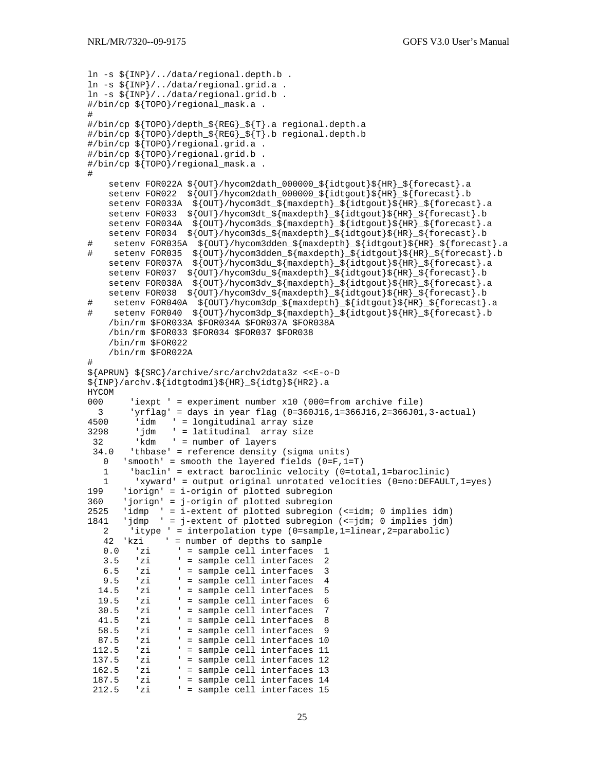```
ln -s ${INP}/../data/regional.depth.b . 
ln -s ${INP}/../data/regional.grid.a . 
ln -s ${INP}/../data/regional.grid.b . 
#/bin/cp ${TOPO}/regional_mask.a . 
# 
#/bin/cp ${TOPO}/depth_${REG}_${T}.a regional.depth.a 
#/bin/cp ${TOPO}/depth_${REG}_${T}.b regional.depth.b 
#/bin/cp ${TOPO}/regional.grid.a . 
#/bin/cp ${TOPO}/regional.grid.b . 
#/bin/cp ${TOPO}/regional_mask.a . 
# 
     setenv FOR022A ${OUT}/hycom2dath_000000_${idtgout}${HR}_${forecast}.a 
     setenv FOR022 ${OUT}/hycom2dath_000000_${idtgout}${HR}_${forecast}.b 
    setenv FOR033A ${OUT}/hycom3dt_${maxdepth}_${idtgout}${HR}_${forecast}.a
     setenv FOR033 ${OUT}/hycom3dt_${maxdepth}_${idtgout}${HR}_${forecast}.b 
     setenv FOR034A ${OUT}/hycom3ds_${maxdepth}_${idtgout}${HR}_${forecast}.a 
     setenv FOR034 ${OUT}/hycom3ds_${maxdepth}_${idtgout}${HR}_${forecast}.b 
# setenv FOR035A ${OUT}/hycom3dden_${maxdepth}_${idtgout}${HR}_${forecast}.a 
# setenv FOR035 ${OUT}/hycom3dden_${maxdepth}_${idtgout}${HR}_${forecast}.b 
    setenv FOR037A ${OUT}/hycom3du_${maxdepth}_${idtgout}${HR}_${forecast}.a
     setenv FOR037 ${OUT}/hycom3du_${maxdepth}_${idtgout}${HR}_${forecast}.b 
     setenv FOR038A ${OUT}/hycom3dv_${maxdepth}_${idtgout}${HR}_${forecast}.a 
     setenv FOR038 ${OUT}/hycom3dv_${maxdepth}_${idtgout}${HR}_${forecast}.b 
# setenv FOR040A ${OUT}/hycom3dp_${maxdepth}_${idtgout}${HR}_${forecast}.a 
# setenv FOR040 ${OUT}/hycom3dp_${maxdepth}_${idtgout}${HR}_${forecast}.b 
     /bin/rm $FOR033A $FOR034A $FOR037A $FOR038A 
     /bin/rm $FOR033 $FOR034 $FOR037 $FOR038 
     /bin/rm $FOR022 
     /bin/rm $FOR022A 
# 
${APRUN} ${SRC}/archive/src/archv2data3z <<E-o-D 
${INP}/archv.${idtgtodm1}${HR}_${idtg}${HR2}.a 
HYCOM 
        'iexpt ' = experiment number x10 (000=from archive file)
3 'yrflag' = days in year flag (0=360J16,1=366J16,2=366J01,3-actual)<br>4500 'idm ' = longitudinal array size
4500 'idm ' = longitudinal array size 
3298 'jdm ' = latitudinal array size 
 32 'kdm ' = number of layers 
  34.0 'thbase' = reference density (sigma units) 
  0 'smooth' = smooth the layered fields (0=F,1=T) 1 'baclin' = extract baroclinic velocity (0=total,1=baroclinic) 
 1 'xyward' = output original unrotated velocities (0=no:DEFAULT,1=yes) 
      'iorign' = i-origin of plotted subregion
360 'jorign' = j-origin of plotted subregion 
2525 'idmp ' = i-extent of plotted subregion (<=idm; 0 implies idm) 
1841 'jdmp ' = j-extent of plotted subregion (<=jdm; 0 implies jdm) 
    2 'itype ' = interpolation type (0=sample,1=linear,2=parabolic) 
   42 'kzi ' = number of depths to sample<br>0.0 'zi ' = sample cell interfaces
 0.0 'zi ' = sample cell interfaces 1 
 3.5 'zi ' = sample cell interfaces 2 
 6.5 'zi ' = sample cell interfaces 3 
 9.5 'zi ' = sample cell interfaces 4 
  14.5 'zi ' = sample cell interfaces 5
  19.5 'zi \qquad = sample cell interfaces 6<br>30.5 'zi \qquad = sample cell interfaces 7
  30.5 'zi \qquad = sample cell interfaces 7<br>41.5 'zi        = sample cell interfaces 8
                ' = sample cell interfaces 8
   58.5 'zi ' = sample cell interfaces 9 
 87.5 'zi ' = sample cell interfaces 10<br>112.5 'zi ' = sample cell interfaces 11
                ' = sample cell interfaces 11
  137.5 'zi ' = sample cell interfaces 12 
 162.5 'zi ' = sample cell interfaces 13 
 187.5 'zi ' = sample cell interfaces 14 
 212.5 'zi ' = sample cell interfaces 15
```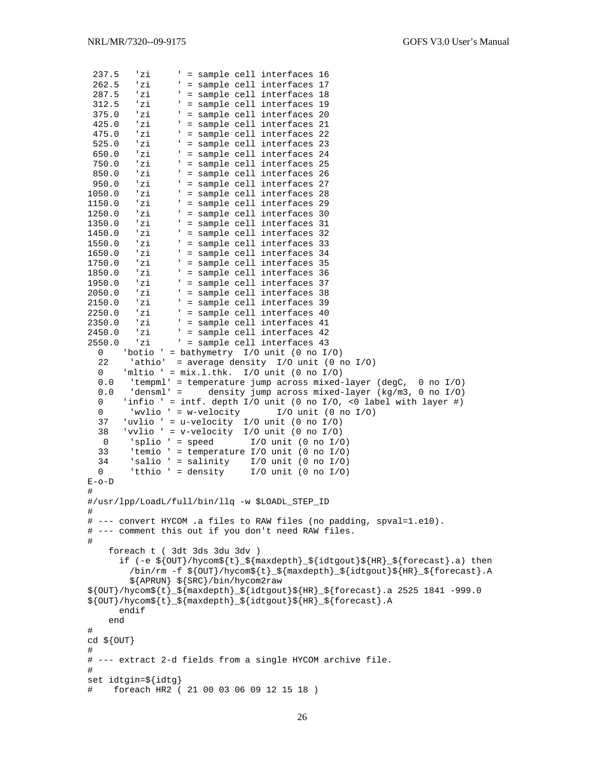```
237.5 'zi ' = sample cell interfaces 16<br>262.5 'zi ' = sample cell interfaces 17
 262.5 'zi ' = sample cell interfaces 17<br>287.5 'zi ' = sample cell interfaces 18
                     ' = sample cell interfaces 18
 312.5 'zi ' = sample cell interfaces 19<br>375.0 'zi ' = sample cell interfaces 20
 375.0 'zi ' = sample cell interfaces 20<br>425.0 'zi ' = sample cell interfaces 21
 425.0 'zi ' = sample cell interfaces 21<br>475.0 'zi ' = sample cell interfaces 22
 475.0 'zi ' = sample cell interfaces 22<br>525.0 'zi ' = sample cell interfaces 23
 525.0 'zi ' = sample cell interfaces 23<br>650.0 'zi ' = sample cell interfaces 24
                     ' = sample cell interfaces 24
  750.0 'zi ' = sample cell interfaces 25 
 850.0 'zi ' = sample cell interfaces 26<br>950.0 'zi ' = sample cell interfaces 27
950.0 'zi ' = sample cell interfaces 27<br>1050.0 'zi ' = sample cell interfaces 28
1050.0 'zi ' = sample cell interfaces 28<br>1150.0 'zi ' = sample cell interfaces 29
1150.0 'zi ' = sample cell interfaces 29<br>1250.0 'zi ' = sample cell interfaces 30
1250.0 'zi ' = sample cell interfaces 30<br>1350.0 'zi ' = sample cell interfaces 31
1350.0 'zi ' = sample cell interfaces 31<br>1450.0 'zi ' = sample cell interfaces 32
1450.0 'zi ' = sample cell interfaces 32 
1550.0 'zi ' = sample cell interfaces 33 
1650.0 'zi ' = sample cell interfaces 34 
1750.0 'zi ' = sample cell interfaces 35 
1850.0 'zi ' = sample cell interfaces 36<br>1950.0 'zi ' = sample cell interfaces 37
                    ' = sample cell interfaces 37
2050.0 'zi ' = sample cell interfaces 38 
2150.0 'zi ' = sample cell interfaces 39<br>2250.0 'zi ' = sample cell interfaces 40
2250.0 'zi ' = sample cell interfaces 40<br>2350.0 'zi ' = sample cell interfaces 41
2350.0 'zi ' = sample cell interfaces 41<br>2450.0 'zi ' = sample cell interfaces 42
2450.0 'zi ' = sample cell interfaces 42<br>2550.0 'zi ' = sample cell interfaces 43
                     ' = sample cell interfaces 43
   0 'botio ' = bathymetry I/O unit (0 no I/O) 
  22 'athio' = average density I/O unit (0 \text{ no } I/O)0 'mltio ' = mix.1.thk. I/O unit (0 no I/O) 0.0 'tempml' = temperature jump across mixed-layer (degC, 0 no I/O) 
   0.0 'densml' = density jump across mixed-layer (kg/m3, 0 no I/O) 
  0 'infio ' = intf. depth I/O unit (0 no I/O, <0 label with layer #)<br>0 'wylio ' = w-velocity I/O unit (0 no I/O)
  0 'wvlio ' = w-velocity I/O unit (0 \text{ no } I/O)<br>37 'uvlio ' = u-velocity I/O unit (0 \text{ no } I/O) 37 'uvlio ' = u-velocity I/O unit (0 no I/O) 
 38 'vvlio ' = v-velocity I/O unit (0 no I/O) 
   0 'splio ' = speed I/O unit (0 \text{ no } I/O) 33 'temio ' = temperature I/O unit (0 no I/O) 
 34 'salio ' = salinity I/O unit (0 no I/O) 
 0 'tthio ' = density I/O unit (0 no I/O) 
E - Q - D# 
#/usr/lpp/LoadL/full/bin/llq -w $LOADL_STEP_ID 
# 
# --- convert HYCOM .a files to RAW files (no padding, spval=1.e10). 
# --- comment this out if you don't need RAW files. 
# 
      foreach t ( 3dt 3ds 3du 3dv ) 
        if (-e ${OUT}/hycom${t}_${maxdepth}_${idtgout}${HR}_${forecast}.a) then 
           /bin/rm -f ${OUT}/hycom${t}_${maxdepth}_${idtgout}${HR}_${forecast}.A 
           ${APRUN} ${SRC}/bin/hycom2raw 
${OUT}/hycom${t}_${maxdepth}_${idtgout}${HR}_${forecast}.a 2525 1841 -999.0 
${OUT}/hycom${t}_${maxdepth}_${idtgout}${HR}_${forecast}.A 
        endif 
      end 
# 
cd ${OUT} 
# 
# --- extract 2-d fields from a single HYCOM archive file. 
# 
set idtgin=${idtg} 
# foreach HR2 ( 21 00 03 06 09 12 15 18 )
```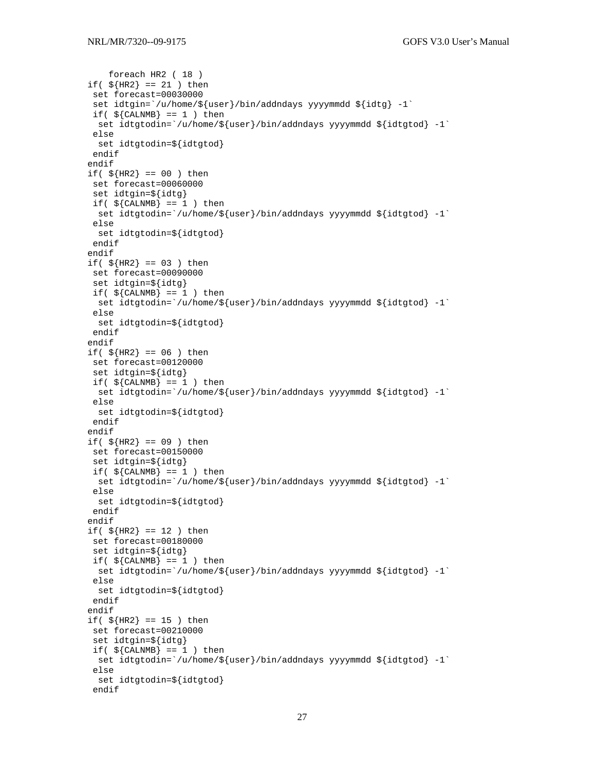```
 foreach HR2 ( 18 ) 
if($HR2} == 21 ) then
  set forecast=00030000 
 set idtgin=`/u/home/${user}/bin/addndays yyyymmdd ${idtg} -1`
 if(\S{CALNMB} == 1 ) then
 set idtgtodin=`/u/home/${user}/bin/addndays yyyymmdd ${idtgtod} -1`
  else 
  set idtgtodin=${idtgtod} 
  endif 
endif 
if(${HR2} == 00 ) then
  set forecast=00060000 
  set idtgin=${idtg} 
 if(${CALNMB} == 1) then
  set idtgtodin=`/u/home/${user}/bin/addndays yyyymmdd ${idtgtod} -1` 
  else 
  set idtgtodin=${idtgtod} 
  endif 
endif 
if($HR2} == 03 ) then
 set forecast=00090000 
  set idtgin=${idtg} 
if(${CALNMB} = 1) then
  set idtgtodin=`/u/home/${user}/bin/addndays yyyymmdd ${idtgtod} -1`
  else 
  set idtgtodin=${idtgtod} 
 endif 
endif 
if(${HR2} == 06 ) then
 set forecast=00120000 
  set idtgin=${idtg} 
if(\S{CALNMB} == 1 ) then
 set idtgtodin=`/u/home/${user}/bin/addndays yyyymmdd ${idtgtod} -1`
  else 
  set idtgtodin=${idtgtod} 
  endif 
endif 
if($HR2} == 09 ) then
  set forecast=00150000 
  set idtgin=${idtg} 
 if(${CALNMB} == 1) then
  set idtgtodin=`/u/home/${user}/bin/addndays yyyymmdd ${idtgtod} -1` 
  else 
  set idtgtodin=${idtgtod} 
  endif 
endif 
if($HR2} == 12 ) then
 set forecast=00180000 
  set idtgin=${idtg} 
if( ${CALNMB} = 1 ) thenset idtgtodin=`/u/home/${user}/bin/addndays yyyymmdd ${idtgtod} -1`
  else 
  set idtgtodin=${idtgtod} 
  endif 
endif 
if($HR2} == 15 ) then
 set forecast=00210000 
  set idtgin=${idtg} 
if(${CALNMB} = 1) then
 set idtgtodin=`/u/home/${user}/bin/addndays yyyymmdd ${idtgtod} -1`
  else 
  set idtgtodin=${idtgtod} 
  endif
```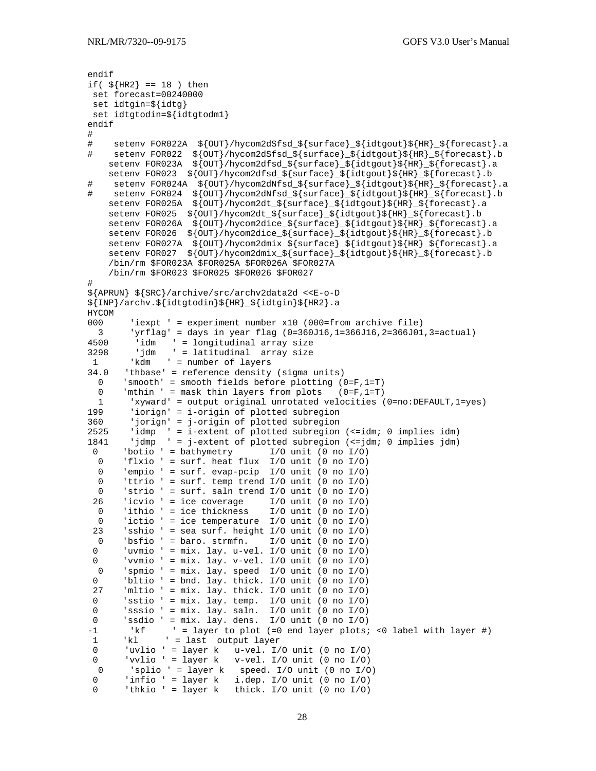```
endif 
if($HR2} == 18 ) then
  set forecast=00240000 
  set idtgin=${idtg} 
  set idtgtodin=${idtgtodm1} 
endif 
# 
# setenv FOR022A ${OUT}/hycom2dSfsd_${surface}_${idtgout}${HR}_${forecast}.a 
# setenv FOR022 ${OUT}/hycom2dSfsd_${surface}_${idtgout}${HR}_${forecast}.b 
 setenv FOR023A ${OUT}/hycom2dfsd_${surface}_${idtgout}${HR}_${forecast}.a 
 setenv FOR023 ${OUT}/hycom2dfsd_${surface}_${idtgout}${HR}_${forecast}.b 
# setenv FOR024A ${OUT}/hycom2dNfsd_${surface}_${idtgout}${HR}_${forecast}.a 
# setenv FOR024 ${OUT}/hycom2dNfsd_${surface}_${idtgout}${HR}_${forecast}.b 
     setenv FOR025A ${OUT}/hycom2dt_${surface}_${idtgout}${HR}_${forecast}.a 
    setenv FOR025 ${OUT}/hycom2dt_${surface}_${idtgout}${HR}_${forecast}.b
     setenv FOR026A ${OUT}/hycom2dice_${surface}_${idtgout}${HR}_${forecast}.a 
     setenv FOR026 ${OUT}/hycom2dice_${surface}_${idtgout}${HR}_${forecast}.b 
     setenv FOR027A ${OUT}/hycom2dmix_${surface}_${idtgout}${HR}_${forecast}.a 
    setenv FOR027 ${OUT}/hycom2dmix_${surface}_${idtgout}${HR}_${forecast}.b
     /bin/rm $FOR023A $FOR025A $FOR026A $FOR027A 
     /bin/rm $FOR023 $FOR025 $FOR026 $FOR027 
# 
${APRUN} ${SRC}/archive/src/archv2data2d <<E-o-D 
${INP}/archv.${idtgtodin}${HR}_${idtgin}${HR2}.a 
HYCOM 
000 'iexpt ' = experiment number x10 (000=from archive file) 
3 'yrflag' = days in year flag (0=360J16,1=366J16,2=366J01,3=actual)<br>4500 'idm ' = longitudinal array size
4500 <sup>'</sup>idm ' = longitudinal array size<br>3298 'idm ' = latitudinal array size
         'jdm ' = latitudinal array size
 1 'kdm ' = number of layers 
34.0 'thbase' = reference density (sigma units) 
  0 'smooth' = smooth fields before plotting (0=F,1=T) 
   0 'mthin ' = mask thin layers from plots (0=F,1=T) 
 1 'xyward' = output original unrotated velocities (0=no:DEFAULT,1=yes) 
199 'iorign' = i-origin of plotted subregion 
360 'jorign' = j-origin of plotted subregion<br>2525 'idmp ' = i-extent of plotted subregion
        'idmp ' = i-extent of plotted subregion (<=idm; 0 implies idm)
1841 'jdmp ' = j-extent of plotted subregion (<=jdm; 0 implies jdm) 
  0 'botio ' = bathymetry I/O unit (0 no I/O) 
 0 'flxio ' = surf. heat flux I/O unit (0 no I/O)
  0 'empio ' = surf. evap-pcip I/O unit (0 \text{ no } I/O)<br>0 'ttrio ' = surf. temp trend I/O unit (0 \text{ no } I/O)0 'ttrio ' = surf. temp trend I/O unit (0 \text{ no } I/O)<br>0 'strio ' = surf. saln trend I/O unit (0 \text{ no } I/O)'strio ' = surf. saln trend I/O unit (0 no I/O)
  26 'icvio ' = ice coverage I/O unit (0 no I/O) 
  0 'ithio ' = ice thickness I/O unit (0 no I/O) 
  0 'ictio ' = ice temperature I/O unit (0 no I/O) 
 23 'sshio ' = sea surf. height I/O unit (0 \text{ no } I/O)<br>0 'bsfio ' = baro strmfn I/O unit (0 \text{ no } I/O) 0 'bsfio ' = baro. strmfn. I/O unit (0 no I/O) 
 0 'uvmio ' = mix. lay. u-vel. I/O unit (0 no I/O) 
 0 ' vvmio ' = mix. lay. v-vel. I/O unit (0 no I/O)
 0 'spmio ' = mix. lay. speed I/O unit (0 no I/O) 
 0 'bltio ' = bnd. lay. thick. I/O unit (0 no I/O) 
  27 'mltio ' = mix. lay. thick. I/O unit (0 no I/O) 
 0 'sstio ' = mix. lay. temp. I/O unit (0 no I/O) 
 0 'sssio ' = mix. lay. saln. I/O unit (0 no I/O) 
 0 'ssdio ' = mix. lay. dens. I/O unit (0 no I/O) 
-1 'kf ' = layer to plot (=0 end layer plots; <0 label with layer #) 
 1 'kl ' = last output layer<br>0 'uvlio ' = layer k u-vel. I'uvlio ' = layer k u-vel. I/O unit (0 no I/O)
  0 'vvlio ' = layer k v-vel. I/O unit (0 no I/O) 
 0 'splio ' = layer k speed. I/O unit (0 \text{ no } I/O)<br>0 'infio ' = layer k i.dep. I/O unit (0 \text{ no } I/O)'infio ' = layer k i.dep. I/O unit (0 no I/O)
  0 'thkio ' = layer k thick. I/O unit (0 no I/O)
```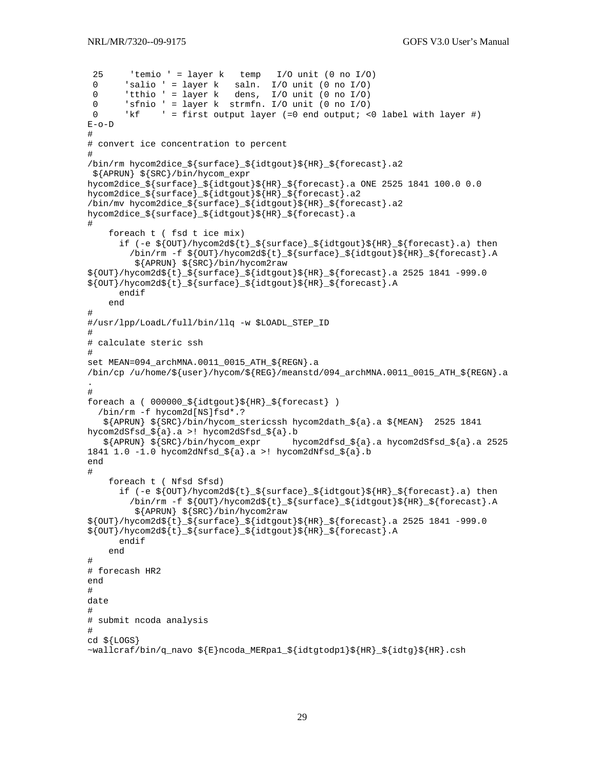```
25 'temio ' = layer k temp I/O unit (0 \text{ no } I/O)0 'salio ' = layer k saln. I/O unit (0 no I/O)<br>0 'tthio ' = layer k dens I/O unit (0 no I/O)
        'tthio ' = layer k dens, I/O unit (0 no I/O)
  0 'sfnio ' = layer k strmfn. I/O unit (0 no I/O) 
  0 'kf ' = first output layer (=0 end output; <0 label with layer #) 
E - Q - D# 
# convert ice concentration to percent 
# 
/bin/rm hycom2dice_${surface}_${idtgout}${HR}_${forecast}.a2 
  ${APRUN} ${SRC}/bin/hycom_expr 
hycom2dice_${surface}_${idtgout}${HR}_${forecast}.a ONE 2525 1841 100.0 0.0 
hycom2dice_${surface}_${idtgout}${HR}_${forecast}.a2 
/bin/mv hycom2dice_${surface}_${idtgout}${HR}_${forecast}.a2 
hycom2dice_${surface}_${idtgout}${HR}_${forecast}.a 
# 
     foreach t ( fsd t ice mix) 
       if (-e ${OUT}/hycom2d${t}_${surface}_${idtgout}${HR}_${forecast}.a) then 
         \binom{\min\{r\ m\ -f\ s\}}{\min\{r\}} /hycom2d${t}_${surface}_${idtgout}${HR}_${forecast}.A
           ${APRUN} ${SRC}/bin/hycom2raw 
${OUT}/hycom2d${t}_${surface}_${idtgout}${HR}_${forecast}.a 2525 1841 -999.0
${OUT}/hycom2d${t}_${surface}_${idtgout}${HR}_${forecast}.A 
       endif 
     end 
# 
#/usr/lpp/LoadL/full/bin/llq -w $LOADL_STEP_ID 
# 
# calculate steric ssh 
# 
set MEAN=094 archMNA.0011 0015 ATH ${REGN}.a
\binom{p}{q} /u/home/${user}/hycom/${REG}/meanstd/094_archMNA.0011_0015_ATH_${REGN}.a
. 
# 
foreach a ( 000000\${idtgout}${HR}_${forecast} )
   /bin/rm -f hycom2d[NS]fsd*.? 
    ${APRUN} ${SRC}/bin/hycom_stericssh hycom2dath_${a}.a ${MEAN} 2525 1841 
hycom2dSfsd_${a}.a >! hycom2dSfsd_${a}.b 
   \frac{1}{2}{APRUN} \frac{1}{2} {SRC}/bin/hycom_expr hycom2dfsd_${a}.a hycom2dSfsd_${a}.a 2525
1841 1.0 -1.0 hycom2dNfsd_\frac{2}{a}.a >! hycom2dNfsd_\frac{2}{a}.b
end 
# 
     foreach t ( Nfsd Sfsd) 
       if (-e ${OUT}/hycom2d${t}_${surface}_${idtgout}${HR}_${forecast}.a) then 
         \binom{\binom{m}{f}}{N} -f \binom{\binom{m}{f}}{N} /hycom2d${t}_${surface}_${idtgout}${HR}_${forecast}.A
           ${APRUN} ${SRC}/bin/hycom2raw 
${OUT}/hycom2d${t}_${surface}_${idtgout}${HR}_${forecast}.a 2525 1841 -999.0
${OUT}/hycom2d${t}_${surface}_${idtgout}${HR}_${forecast}.A 
       endif 
     end 
# 
# forecash HR2 
end 
# 
date 
# 
# submit ncoda analysis 
# 
cd ${LOGS} 
~wallcraf/bin/q_navo ${E}ncoda_MERpa1_${idtgtodp1}${HR}_${idtg}${HR}.csh
```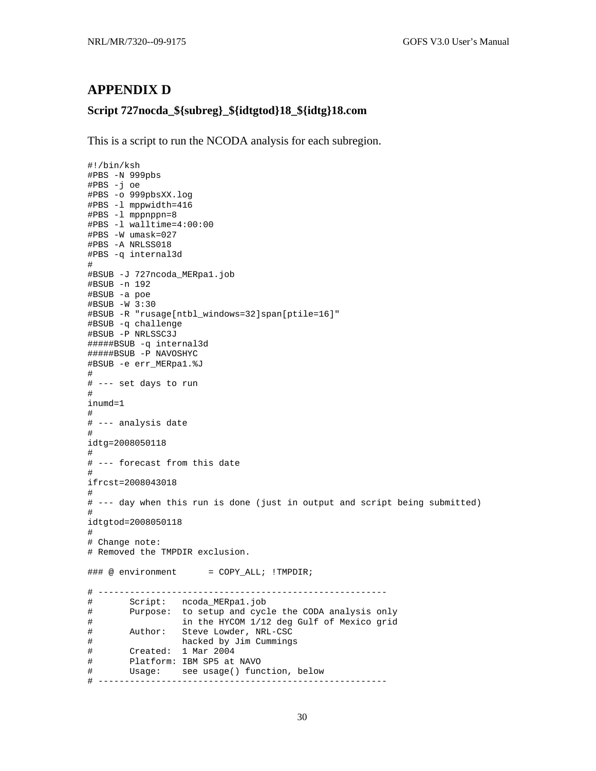### <span id="page-34-0"></span>**APPENDIX D**

### **Script 727nocda\_\${subreg}\_\${idtgtod}18\_\${idtg}18.com**

This is a script to run the NCODA analysis for each subregion.

```
#!/bin/ksh 
#PBS -N 999pbs 
#PBS -j oe 
#PBS -o 999pbsXX.log 
#PBS -l mppwidth=416 
#PBS -l mppnppn=8 
#PBS -l walltime=4:00:00 
#PBS -W umask=027 
#PBS -A NRLSS018 
#PBS -q internal3d 
# 
#BSUB -J 727ncoda_MERpa1.job 
#BSUB -n 192 
#BSUB -a poe 
#BSUB -W 3:30 
#BSUB -R "rusage[ntbl_windows=32]span[ptile=16]" 
#BSUB -q challenge 
#BSUB -P NRLSSC3J 
#####BSUB -q internal3d 
#####BSUB -P NAVOSHYC 
#BSUB -e err_MERpa1.%J 
# 
# --- set days to run 
# 
inumd=1 
# 
# --- analysis date 
# 
idtg=2008050118 
# 
# --- forecast from this date 
# 
ifrcst=2008043018 
# 
# --- day when this run is done (just in output and script being submitted) 
# 
idtgtod=2008050118 
# 
# Change note: 
# Removed the TMPDIR exclusion. 
\# \# \# \circ environment = COPY_ALL; !TMPDIR;
# ------------------------------------------------------- 
# Script: ncoda_MERpa1.job 
# Purpose: to setup and cycle the CODA analysis only 
# in the HYCOM 1/12 deg Gulf of Mexico grid 
# Author: Steve Lowder, NRL-CSC 
# hacked by Jim Cummings 
# Created: 1 Mar 2004 
# Platform: IBM SP5 at NAVO 
# Usage: see usage() function, below 
# -------------------------------------------------------
```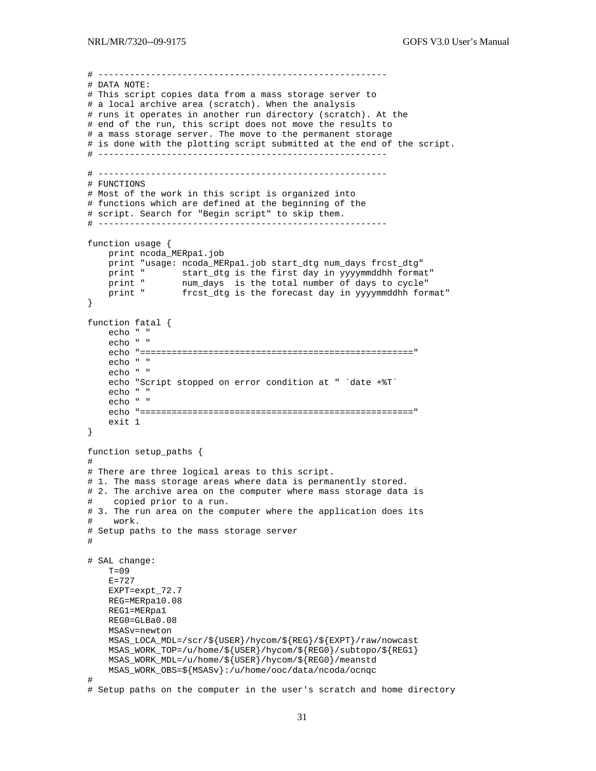```
# ------------------------------------------------------- 
# DATA NOTE: 
# This script copies data from a mass storage server to 
# a local archive area (scratch). When the analysis 
# runs it operates in another run directory (scratch). At the 
# end of the run, this script does not move the results to 
# a mass storage server. The move to the permanent storage 
# is done with the plotting script submitted at the end of the script. 
# ------------------------------------------------------- 
# ------------------------------------------------------- 
# FUNCTIONS 
# Most of the work in this script is organized into 
# functions which are defined at the beginning of the 
# script. Search for "Begin script" to skip them. 
# ------------------------------------------------------- 
function usage { 
     print ncoda_MERpa1.job 
     print "usage: ncoda_MERpa1.job start_dtg num_days frcst_dtg" 
    print " start_dtg is the first day in yyyymmddhh format"<br>print " num_days is the total number of days to cycle"
 print " num_days is the total number of days to cycle" 
 print " frcst_dtg is the forecast day in yyyymmddhh format" 
} 
function fatal { 
    echo " " 
     echo " " 
     echo "====================================================" 
     echo " " 
     echo " " 
     echo "Script stopped on error condition at " `date +%T` 
     echo " " 
     echo " " 
     echo "====================================================" 
     exit 1 
} 
function setup_paths { 
# 
# There are three logical areas to this script. 
# 1. The mass storage areas where data is permanently stored.
# 2. The archive area on the computer where mass storage data is
# copied prior to a run. 
# 3. The run area on the computer where the application does its 
# work. 
# Setup paths to the mass storage server 
# 
# SAL change: 
    T=09E=727 EXPT=expt_72.7 
     REG=MERpa10.08 
     REG1=MERpa1 
     REG0=GLBa0.08 
     MSASv=newton 
     MSAS_LOCA_MDL=/scr/${USER}/hycom/${REG}/${EXPT}/raw/nowcast 
    MSAS WORK TOP=/u/home/S{USER}/hycom/S{REG}/subtopo/S{REG1} MSAS_WORK_MDL=/u/home/${USER}/hycom/${REG0}/meanstd 
     MSAS_WORK_OBS=${MSASv}:/u/home/ooc/data/ncoda/ocnqc 
# 
# Setup paths on the computer in the user's scratch and home directory
```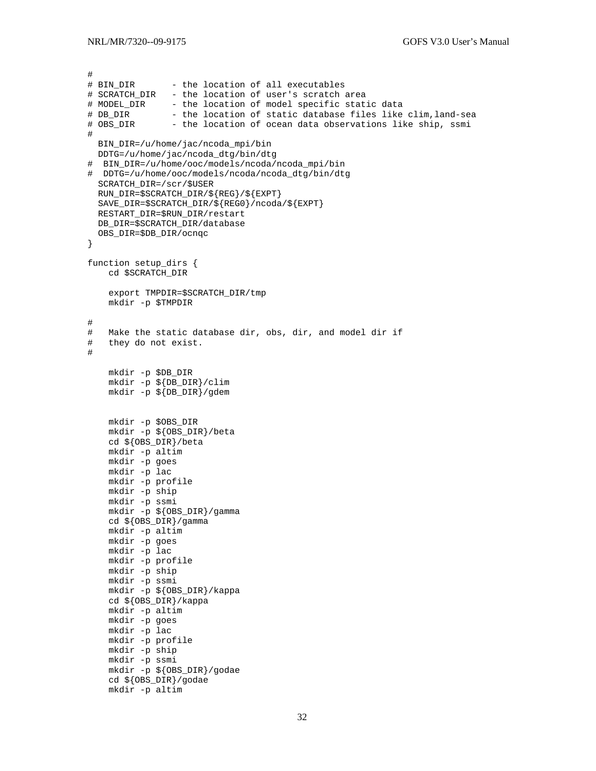```
# 
# BIN_DIR - the location of all executables
# SCRATCH_DIR - the location of user's scratch area 
# MODEL_DIR - the location of model specific static data
# DB_DIR       - the location of static database files like clim, land-sea<br># OBS_DIR       - the location of ocean data observations like ship, ssmi
                - the location of ocean data observations like ship, ssmi
# 
 BIN DIR=/u/home/jac/ncoda mpi/bin
   DDTG=/u/home/jac/ncoda_dtg/bin/dtg 
# BIN_DIR=/u/home/ooc/models/ncoda/ncoda_mpi/bin 
# DDTG=/u/home/ooc/models/ncoda/ncoda_dtg/bin/dtg 
   SCRATCH_DIR=/scr/$USER 
   RUN_DIR=$SCRATCH_DIR/${REG}/${EXPT} 
   SAVE_DIR=$SCRATCH_DIR/${REG0}/ncoda/${EXPT} 
   RESTART_DIR=$RUN_DIR/restart 
   DB_DIR=$SCRATCH_DIR/database 
   OBS_DIR=$DB_DIR/ocnqc 
} 
function setup_dirs { 
     cd $SCRATCH_DIR 
     export TMPDIR=$SCRATCH_DIR/tmp 
     mkdir -p $TMPDIR 
# 
# Make the static database dir, obs, dir, and model dir if 
# they do not exist. 
# 
     mkdir -p $DB_DIR 
     mkdir -p ${DB_DIR}/clim 
     mkdir -p ${DB_DIR}/gdem 
     mkdir -p $OBS_DIR 
     mkdir -p ${OBS_DIR}/beta 
     cd ${OBS_DIR}/beta 
     mkdir -p altim 
     mkdir -p goes 
     mkdir -p lac 
     mkdir -p profile 
     mkdir -p ship 
     mkdir -p ssmi 
     mkdir -p ${OBS_DIR}/gamma 
     cd ${OBS_DIR}/gamma 
     mkdir -p altim 
     mkdir -p goes 
     mkdir -p lac 
     mkdir -p profile 
     mkdir -p ship 
     mkdir -p ssmi 
     mkdir -p ${OBS_DIR}/kappa 
     cd ${OBS_DIR}/kappa 
     mkdir -p altim 
     mkdir -p goes 
     mkdir -p lac 
     mkdir -p profile 
     mkdir -p ship 
     mkdir -p ssmi 
     mkdir -p ${OBS_DIR}/godae 
     cd ${OBS_DIR}/godae 
     mkdir -p altim
```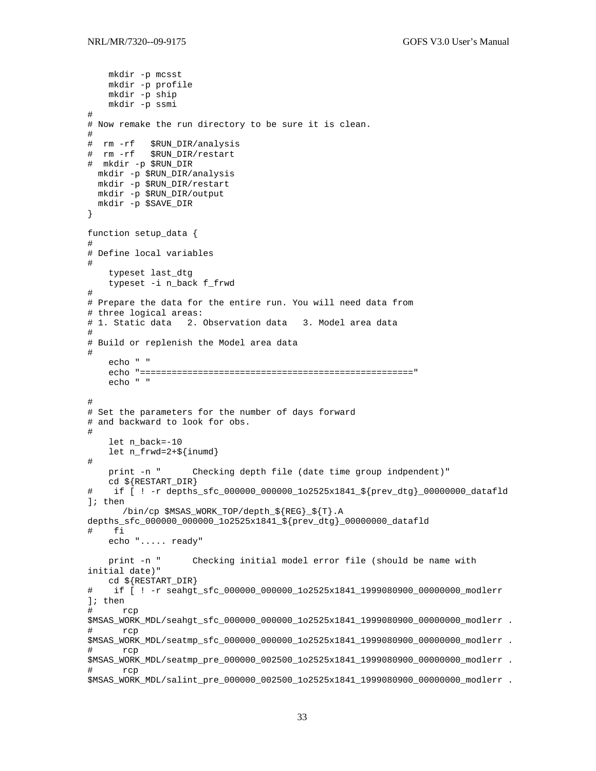```
 mkdir -p mcsst 
     mkdir -p profile 
     mkdir -p ship 
     mkdir -p ssmi 
# 
# Now remake the run directory to be sure it is clean. 
# 
# rm -rf $RUN_DIR/analysis 
# rm -rf $RUN_DIR/restart 
# mkdir -p $RUN_DIR 
  mkdir -p $RUN_DIR/analysis 
  mkdir -p $RUN_DIR/restart 
  mkdir -p $RUN_DIR/output 
  mkdir -p $SAVE_DIR 
} 
function setup_data { 
# 
# Define local variables 
# 
     typeset last_dtg 
     typeset -i n_back f_frwd 
# 
# Prepare the data for the entire run. You will need data from 
# three logical areas: 
# 1. Static data 2. Observation data 3. Model area data 
# 
# Build or replenish the Model area data 
# 
     echo " " 
     echo "====================================================" 
     echo " " 
# 
# Set the parameters for the number of days forward 
# and backward to look for obs. 
# 
     let n_back=-10 
    let n_frwd=2+${inumd} 
# 
     print -n " Checking depth file (date time group indpendent)" 
     cd ${RESTART_DIR} 
# if [ ! -r depths_sfc_000000_000000_1o2525x1841_${prev_dtg}_00000000_datafld 
]; then 
       /bin/cp $MSAS_WORK_TOP/depth_${REG}_${T}.A 
depths_sfc_000000_000000_1o2525x1841_${prev_dtg}_00000000_datafld 
# fi 
     echo "..... ready" 
     print -n " Checking initial model error file (should be name with 
initial date)" 
    cd ${RESTART_DIR} 
# if [ ! -r seahgt_sfc_000000_000000_1o2525x1841_1999080900_00000000_modlerr 
]; then 
# rcp 
$MSAS_WORK_MDL/seahgt_sfc_000000_000000_1o2525x1841_1999080900_00000000_modlerr . 
# rcp 
$MSAS_WORK_MDL/seatmp_sfc_000000_000000_1o2525x1841_1999080900_00000000_modlerr . 
# rcp 
$MSAS_WORK_MDL/seatmp_pre_000000_002500_1o2525x1841_1999080900_00000000_modlerr . 
      rcp
$MSAS_WORK_MDL/salint_pre_000000_002500_1o2525x1841_1999080900_00000000_modlerr .
```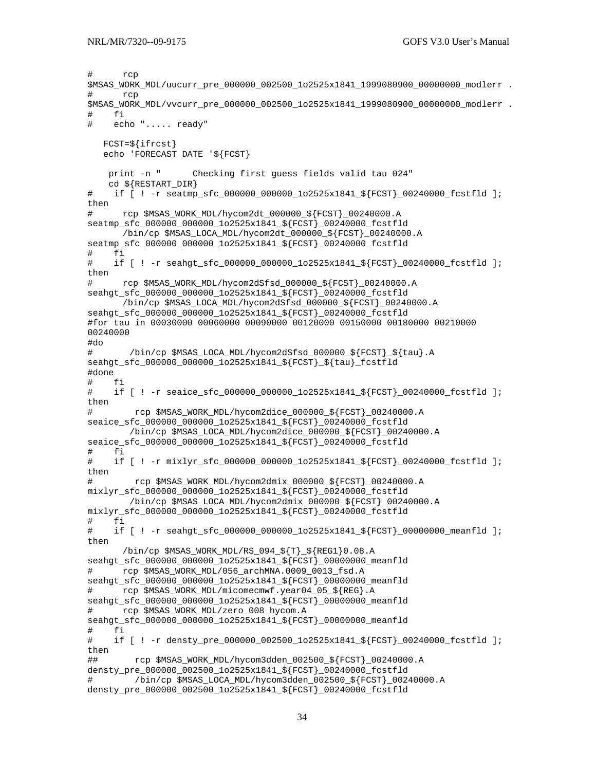```
# rcp 
$MSAS_WORK_MDL/uucurr_pre_000000_002500_1o2525x1841_1999080900_00000000_modlerr .
# rcp 
$MSAS_WORK_MDL/vvcurr_pre_000000_002500_1o2525x1841_1999080900_00000000_modlerr . 
# fi 
# echo "..... ready" 
   FCST=${ifrcst} 
    echo 'FORECAST DATE '${FCST} 
    print -n " Checking first guess fields valid tau 024" 
    cd ${RESTART_DIR} 
# if [ ! -r seatmp_sfc_000000_000000_1o2525x1841_${FCST}_00240000_fcstfld ]; 
then 
# rcp $MSAS_WORK_MDL/hycom2dt_000000_${FCST}_00240000.A 
seatmp_sfc_000000_000000_1o2525x1841_${FCST}_00240000_fcstfld 
       /bin/cp $MSAS_LOCA_MDL/hycom2dt_000000_${FCST}_00240000.A 
seatmp_sfc_000000_000000_1o2525x1841_${FCST}_00240000_fcstfld
# fi 
    if [ ! -r seahgt sfc 000000 000000 1o2525x1841 ${FCST} 00240000 fcstfld ];
then 
# rcp $MSAS_WORK_MDL/hycom2dSfsd_000000_${FCST}_00240000.A 
seahgt_sfc_000000_000000_1o2525x1841_${FCST}_00240000_fcstfld 
       /bin/cp $MSAS_LOCA_MDL/hycom2dSfsd_000000_${FCST}_00240000.A 
seahgt_sfc_000000_000000_1o2525x1841_${FCST}_00240000_fcstfld 
#for tau in 00030000 00060000 00090000 00120000 00150000 00180000 00210000 
00240000 
#do 
# /bin/cp $MSAS_LOCA_MDL/hycom2dSfsd_000000_${FCST}_${tau}.A 
seahgt sfc 000000 000000 1o2525x1841 ${FCST}} ${tau} fcstfld
#done 
# fi 
# if [ ! -r seaice_sfc_000000_000000_1o2525x1841_${FCST}_00240000_fcstfld ]; 
then 
# rcp $MSAS_WORK_MDL/hycom2dice_000000_${FCST}_00240000.A 
seaice_sfc_000000_000000_1o2525x1841_${FCST}_00240000_fcstfld 
         /bin/cp $MSAS_LOCA_MDL/hycom2dice_000000_${FCST}_00240000.A 
seaice_sfc_000000_000000_1o2525x1841_${FCST}_00240000_fcstfld
# fi 
# if [ ! -r mixlyr_sfc_000000_000000_1o2525x1841_${FCST}_00240000_fcstfld ]; 
then 
# rcp $MSAS_WORK_MDL/hycom2dmix_000000_${FCST}_00240000.A 
mixlyr_sfc_000000_000000_1o2525x1841_${FCST}_00240000_fcstfld 
        /bin/cp $MSAS_LOCA_MDL/hycom2dmix_000000_${FCST}_00240000.A 
mixlyr_sfc_000000_000000_1o2525x1841_${FCST}_00240000_fcstfld 
# fi 
# if [ ! -r seahgt_sfc_000000_000000_1o2525x1841_${FCST}_00000000_meanfld ];
then 
       /bin/cp $MSAS_WORK_MDL/RS_094_${T}_${REG1}0.08.A 
seahgt_sfc_000000_000000_1o2525x1841_${FCST}_00000000_meanfld 
# rcp $MSAS_WORK_MDL/056_archMNA.0009_0013_fsd.A 
seahgt_sfc_000000_000000_1o2525x1841_${FCST}_00000000_meanfld 
# rcp $MSAS_WORK_MDL/micomecmwf.year04_05_${REG}.A 
seahgt_sfc_000000_000000_1o2525x1841_${FCST}_00000000_meanfld 
# rcp $MSAS_WORK_MDL/zero_008_hycom.A 
seahgt_sfc_000000_000000_1o2525x1841_${FCST}_00000000_meanfld 
# fi 
# if [ ! -r densty_pre_000000_002500_1o2525x1841_${FCST}_00240000_fcstfld ]; 
then 
## rcp $MSAS_WORK_MDL/hycom3dden_002500_${FCST}_00240000.A 
densty_pre_000000_002500_1o2525x1841_${FCST}_00240000_fcstfld 
# /bin/cp $MSAS_LOCA_MDL/hycom3dden_002500_${FCST}_00240000.A 
densty_pre_000000_002500_1o2525x1841_${FCST}_00240000_fcstfld
```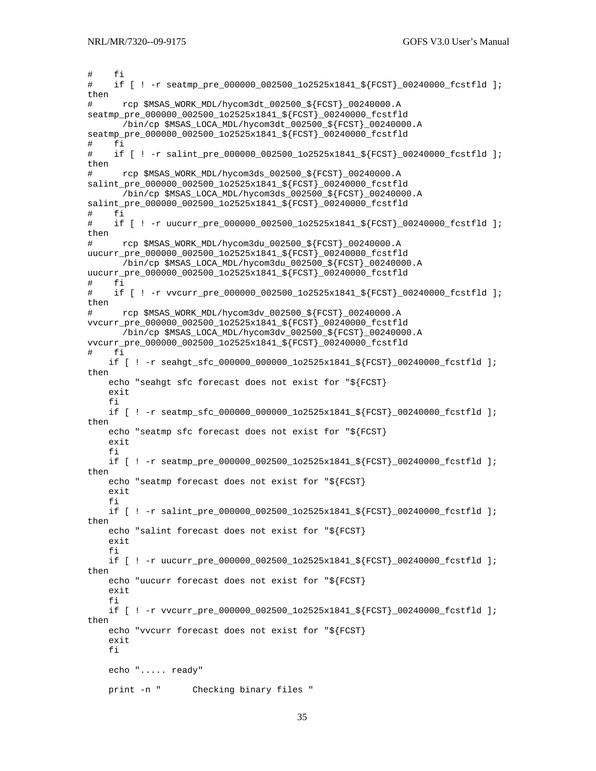```
# fi 
# if [ ! -r seatmp_pre_000000_002500_1o2525x1841_${FCST}_00240000_fcstfld ]; 
then 
# rcp $MSAS_WORK_MDL/hycom3dt_002500_${FCST}_00240000.A 
seatmp_pre_000000_002500_1o2525x1841_${FCST}_00240000_fcstfld 
       /bin/cp $MSAS_LOCA_MDL/hycom3dt_002500_${FCST}_00240000.A 
seatmp_pre_000000_002500_1o2525x1841_${FCST}_00240000_fcstfld 
# fi 
# if [ ! -r salint_pre_000000_002500_1o2525x1841_${FCST}_00240000_fcstfld ]; 
then 
# rcp $MSAS_WORK_MDL/hycom3ds_002500_${FCST}_00240000.A 
salint_pre_000000_002500_1o2525x1841_${FCST}_00240000_fcstfld 
       /bin/cp $MSAS_LOCA_MDL/hycom3ds_002500_${FCST}_00240000.A 
salint_pre_000000_002500_1o2525x1841_${FCST}_00240000_fcstfld 
# fi 
# if [ ! -r uucurr_pre_000000_002500_1o2525x1841_${FCST}_00240000_fcstfld ]; 
then 
# rcp $MSAS_WORK_MDL/hycom3du_002500_${FCST}_00240000.A
uucurr_pre_000000_002500_1o2525x1841_${FCST}_00240000_fcstfld 
       /bin/cp $MSAS_LOCA_MDL/hycom3du_002500_${FCST}_00240000.A 
uucurr_pre_000000_002500_1o2525x1841_${FCST}_00240000_fcstfld 
# fi 
# if [ ! -r vvcurr_pre_000000_002500_1o2525x1841_${FCST}_00240000_fcstfld ]; 
then 
# rcp $MSAS_WORK_MDL/hycom3dv_002500_${FCST}_00240000.A
vvcurr_pre_000000_002500_1o2525x1841_${FCST}_00240000_fcstfld 
       /bin/cp $MSAS_LOCA_MDL/hycom3dv_002500_${FCST}_00240000.A 
vvcurr_pre_000000_002500_1o2525x1841_${FCST}_00240000_fcstfld 
# fi 
    if [ ! -r seahgt sfc 000000 000000 1o2525x1841 ${FCST} 00240000 fcstfld ];
then 
     echo "seahgt sfc forecast does not exist for "${FCST} 
     exit 
     fi 
    if [ ! -r seatmp sfc 000000 000000 1o2525x1841 ${FCST} 00240000 fcstfld ];
then 
     echo "seatmp sfc forecast does not exist for "${FCST} 
     exit 
     fi 
     if [ ! -r seatmp_pre_000000_002500_1o2525x1841_${FCST}_00240000_fcstfld ]; 
then 
     echo "seatmp forecast does not exist for "${FCST} 
     exit 
     fi 
    if [ ! -r salint_pre_000000_002500_1o2525x1841_${FCST}_00240000_fcstfld ];
then 
     echo "salint forecast does not exist for "${FCST} 
     exit 
     fi 
    if [ ! -r uucurr pre_000000_002500_1o2525x1841_${FCST}_00240000_fcstfld ];
then 
     echo "uucurr forecast does not exist for "${FCST} 
     exit 
     fi 
     if [ ! -r vvcurr_pre_000000_002500_1o2525x1841_${FCST}_00240000_fcstfld ]; 
then 
     echo "vvcurr forecast does not exist for "${FCST} 
     exit 
     fi 
     echo "..... ready" 
     print -n " Checking binary files "
```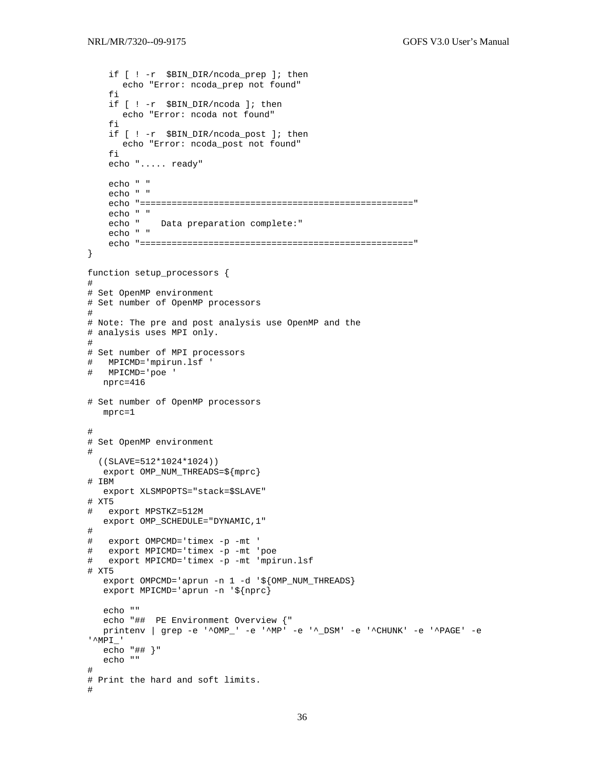```
 if [ ! -r $BIN_DIR/ncoda_prep ]; then 
       echo "Error: ncoda_prep not found" 
     fi 
     if [ ! -r $BIN_DIR/ncoda ]; then 
      echo "Error: ncoda not found" 
     fi 
     if [ ! -r $BIN_DIR/ncoda_post ]; then 
       echo "Error: ncoda_post not found" 
     fi 
     echo "..... ready" 
     echo " " 
     echo " " 
     echo "====================================================" 
     echo " " 
              Data preparation complete:"
     echo " " 
     echo "====================================================" 
} 
function setup_processors { 
# 
# Set OpenMP environment 
# Set number of OpenMP processors 
# 
# Note: The pre and post analysis use OpenMP and the 
# analysis uses MPI only. 
# 
# Set number of MPI processors 
# MPICMD='mpirun.lsf ' 
# MPICMD='poe ' 
   nprc=416 
# Set number of OpenMP processors 
   mprc=1 
# 
# Set OpenMP environment 
# 
  ((SLAVE=512*1024*1024)) 
   export OMP_NUM_THREADS=${mprc} 
# IBM 
   export XLSMPOPTS="stack=$SLAVE" 
# XT5 
# export MPSTKZ=512M 
   export OMP_SCHEDULE="DYNAMIC,1" 
# 
# export OMPCMD='timex -p -mt ' 
# export MPICMD='timex -p -mt 'poe 
# export MPICMD='timex -p -mt 'mpirun.lsf 
# XT5 
  export OMPCMD='aprun -n 1 -d '${OMP_NUM_THREADS}
   export MPICMD='aprun -n '${nprc} 
   echo "" 
   echo "## PE Environment Overview {" 
   printenv | grep -e '^OMP_' -e '^MP' -e '^_DSM' -e '^CHUNK' -e '^PAGE' -e 
'^MPI_' 
   echo "## }" 
   echo "" 
# 
# Print the hard and soft limits. 
#
```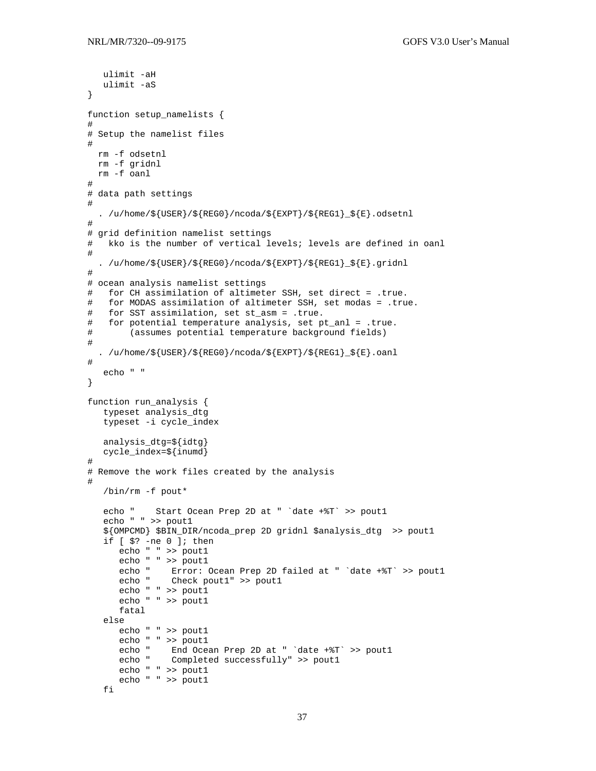```
ulimit -aH
  ulimit -aS
\}function setup_namelists {
## Setup the namelist files
\pmrm -f odsetnl
 rm -f gridnl
 rm -f oanl
## data path settings
\#. /u/home/\frac{1}{5}[USER}/\frac{1}{5}[REGO}/ncoda/\frac{1}{5}[EXPT}/\frac{1}{5}[REG1} \frac{1}{5}].odsetnl
## grid definition namelist settings
#kko is the number of vertical levels; levels are defined in oanl
#. /u/home/${USER}/${REGO}/ncoda/${EXPT}/${REG1}_${E}.gridnl
## ocean analysis namelist settings
#for CH assimilation of altimeter SSH, set direct = .true.
#for MODAS assimilation of altimeter SSH, set modas = .true.
  for SST assimilation, set st_asm = .true.
#for potential temperature analysis, set pt_anl = .true.
#(assumes potential temperature background fields)
##. /u/home/${USER}/${REGO}/ncoda/${EXPT}/${REG1}_${E}.oanl
#echo " "
\}function run_analysis {
  typeset analysis_dtg
  typeset -i cycle_index
  analysis_dtq=${idtq}
  cycle_index=${inumd}
\## Remove the work files created by the analysis
\#/bin/rm -f pout*
  echo "
           Start Ocean Prep 2D at " 'date +%T' >> pout1
   echo " " >> pout1
   ${OMPCMD} $BIN_DIR/ncoda_prep 2D gridnl $analysis_dtg >> pout1
   if [s? -ne 0]; then
      echo " " >> pout1
      echo " " >> pout1
     echo " Error: Ocean Prep 2D failed at " 'date +%T' >> pout1<br>echo " Check pout1" >> pout1
      echo " " >> poutl
      echo " " >> pout1
      fatal
   else
      echo " " >> pout1
      echo " " >> poutl
      echo "
              End Ocean Prep 2D at " 'date +%T' >> pout1
      echo " Completed successfully" >> pout1
      echo " " >> pout1
      echo " " >> 1fi
```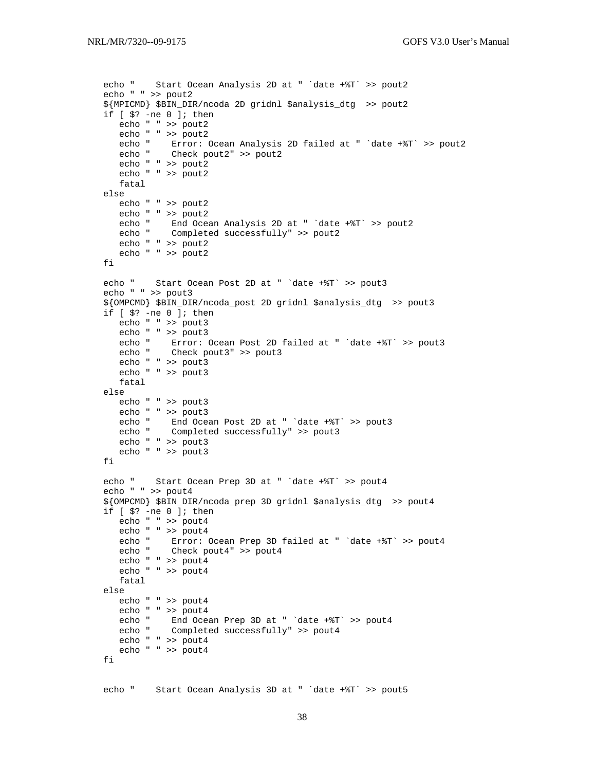```
 echo " Start Ocean Analysis 2D at " `date +%T` >> pout2 
   echo " " >> pout2 
   ${MPICMD} $BIN_DIR/ncoda 2D gridnl $analysis_dtg >> pout2 
   if [ $? -ne 0 ]; then 
     echo " " >> pout2<br>echo " " >> pout2
 echo " " >> pout2 
 echo " Error: Ocean Analysis 2D failed at " `date +%T` >> pout2 
 echo " Check pout2" >> pout2 
      echo " " >> pout2 
      echo " " >> pout2 
      fatal 
   else 
      echo " " >> pout2 
     echo " " >> pout2<br>echo " End Oce
             End Ocean Analysis 2D at " `date +%T` >> pout2
      echo " Completed successfully" >> pout2 
      echo " " >> pout2 
      echo " " >> pout2 
   fi 
   echo " Start Ocean Post 2D at " `date +%T` >> pout3 
   echo " " >> pout3 
   ${OMPCMD} $BIN_DIR/ncoda_post 2D gridnl $analysis_dtg >> pout3 
   if [ $? -ne 0 ]; then 
      echo " " >> pout3 
     echo " " >> pout3<br>echo " Error:
              Error: Ocean Post 2D failed at " 'date +%T' >> pout3
      echo " Check pout3" >> pout3 
      echo " " >> pout3 
      echo " " >> pout3 
      fatal 
   else 
     echo " " >> pout3<br>echo " " >> pout3
 echo " " >> pout3 
 echo " End Ocean Post 2D at " `date +%T` >> pout3 
 echo " Completed successfully" >> pout3 
      echo " " >> pout3 
      echo " " >> pout3 
   fi 
   echo " Start Ocean Prep 3D at " `date +%T` >> pout4 
   echo " " >> pout4 
   ${OMPCMD} $BIN_DIR/ncoda_prep 3D gridnl $analysis_dtg >> pout4 
   if [ $? -ne 0 ]; then 
      echo " " >> pout4 
 echo " " >> pout4 
 echo " Error: Ocean Prep 3D failed at " `date +%T` >> pout4 
 echo " Check pout4" >> pout4 
      echo " " >> pout4 
      echo " " >> pout4 
      fatal 
   else 
      echo " " >> pout4 
      echo " " >> pout4 
      echo " End Ocean Prep 3D at " `date +%T` >> pout4 
     echo " Completed successfully" >> pout4
      echo " " >> pout4 
      echo " " >> pout4 
   fi 
   echo " Start Ocean Analysis 3D at " `date +%T` >> pout5
```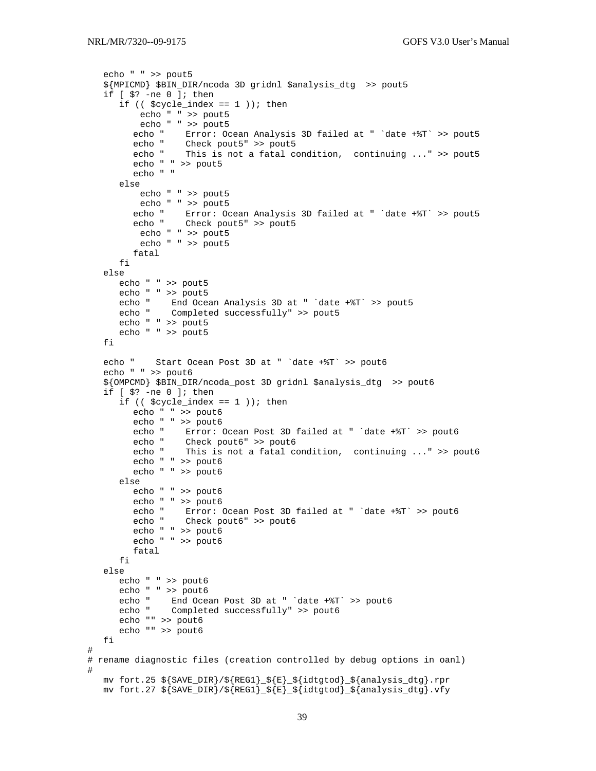```
 echo " " >> pout5 
    ${MPICMD} $BIN_DIR/ncoda 3D gridnl $analysis_dtg >> pout5 
    if [ $? -ne 0 ]; then 
      if (($cycle_index == 1); then
           echo " " >> pout5 
           echo " " >> pout5 
        echo " Error: Ocean Analysis 3D failed at " `date +%T` >> pout5
        echo " Check pout5" >> pout5<br>echo " This is not
                  This is not a fatal condition, continuing ..." >> pout5
         echo " " >> pout5 
         echo " " 
       else 
          echo " " >> pout5 
        echo " " >> pout5<br>echo " Error: Oc
                 Error: Ocean Analysis 3D failed at " `date +%T` >> pout5
         echo " Check pout5" >> pout5 
          echo " " >> pout5 
           echo " " >> pout5 
         fatal 
       fi 
    else 
       echo " " >> pout5 
       echo " " >> pout5 
 echo " End Ocean Analysis 3D at " `date +%T` >> pout5 
 echo " Completed successfully" >> pout5 
      echo " " >> pout5 
      echo " " >> pout5 
    fi 
    echo " Start Ocean Post 3D at " `date +%T` >> pout6 
    echo " " >> pout6 
    ${OMPCMD} $BIN_DIR/ncoda_post 3D gridnl $analysis_dtg >> pout6 
    if [ $? -ne 0 ]; then 
      if (($cycle_index == 1); then
         echo " " >> pout6 
        echo " " >> pout6<br>echo " Error:
                  Error: Ocean Post 3D failed at " 'date +%T' >> pout6
 echo " Check pout6" >> pout6 
 echo " This is not a fatal condition, continuing ..." >> pout6 
         echo " " >> pout6 
         echo " " >> pout6 
       else 
         echo " " >> pout6 
         echo " " >> pout6 
         echo " Error: Ocean Post 3D failed at " `date +%T` >> pout6 
                 Check pout6" >> pout6
         echo " " >> pout6 
         echo " " >> pout6 
         fatal 
       fi 
    else 
       echo " " >> pout6 
      echo " " >> pout6 
      echo " End Ocean Post 3D at " `date +%T` >> pout6 
      echo " Completed successfully" >> pout6 
      echo "" >> pout6 
       echo "" >> pout6 
   fi 
# 
# rename diagnostic files (creation controlled by debug options in oanl) 
# 
   mv fort.25 ${SAVE_DIR}/${REG1}_${E}_${idtgtod}_${analysis_dtg}.rpr 
   mv fort.27 ${SAVE_DIR}/${REG1}_${E}_${idtgtod}_${analysis_dtg}.vfy
```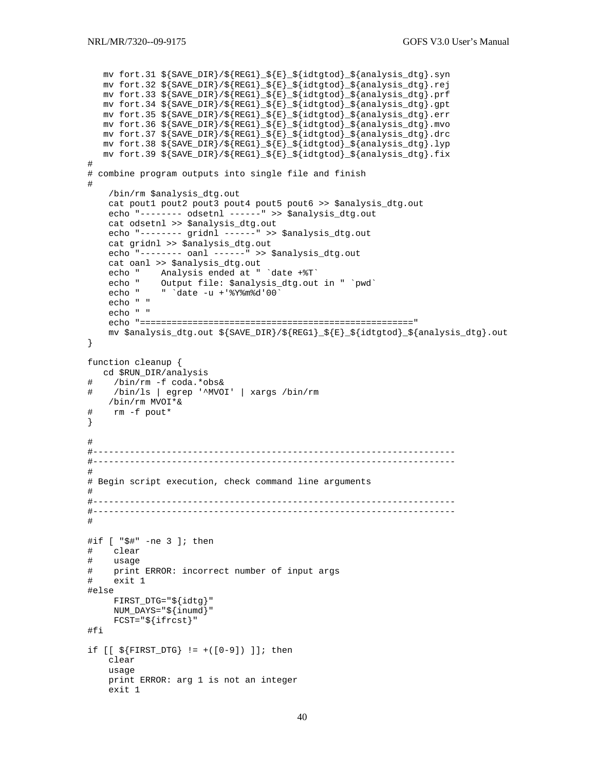```
mv fort.31 ${SAVE_DIR}/${REG1}_${E}_${idtgtod}_${analysis_dtg}.syn
  mv fort.32 ${SAVE_DIR}/${REG1}_${E}_${idtgtod}_${analysis_dtg}.rej
  mv fort.33 ${SAVE_DIR}/${REG1}_${E}_${idtgtod}_${analysis_dtg}.prf
  mv fort.34 ${SAVE_DIR}/${REG1}_${E}_${idtgtod}_${analysis_dtg}.gpt
  mv fort.35 ${SAVE_DIR}/${REG1}_${E}_${idtgtod}_${analysis_dtg}.err
  mv fort.36 \frac{1}{5} (SAVE_DIR)/\frac{1}{5} (REG1) \frac{1}{5} (idtgtod) \frac{1}{5} (analysis dtg).mvo
  mv fort.37 ${SAVE_DIR}/${REG1}_${E}_${idtgtod}_${analysis_dtg}.drc
  mv fort.38 ${SAVE_DIR}/${REG1}_${E}_${idtgtod}_${analysis_dtg}.lyp
  mv fort.39 ${SAVE_DIR}/${REG1}_${E}_${idtgtod}_${analysis_dtg}.fix
\## combine program outputs into single file and finish
#/bin/rm $analysis_dtg.out
   cat pout1 pout2 pout3 pout4 pout5 pout6 >> $analysis_dtg.out
   echo "-------- odsetnl ------" >> $analysis_dtg.out
   cat odsetnl >> $analysis_dtg.out
   echo "-------- gridnl ------" >> $analysis_dtg.out
   cat gridnl >> $analysis_dtg.out
   echo "-------- oanl ------" >> $analysis_dtq.out
   cat oanl >> $analysis_dtg.out
   echo " Analysis ended at " 'date +%T'
          Output file: $analysis_dtg.out in " `pwd`<br>" `date -u +'%Y%m%d'00`
   echo "
   echo "
   echo " "
   echo " "
   mv $analysis_dtg.out ${SAVE_DIR}/${REG1}_${E}_${idtgtod}_${analysis_dtg}.out
\}function cleanup {
  cd $RUN_DIR/analysis
   /bin/rm -f coda.*obs&
   /bin/ls | egrep '^MVOI' | xargs /bin/rm
#/bin/rm MVOI*&
#rm -f pout*
\}\pmb{\pm}# -## Begin script execution, check command line arguments
#
#if [ "$#" -ne 3 ]; then
#clear
#usage
  print ERROR: incorrect number of input args
##exit 1
#else
    FIRST_DTG = "\{idtg}"
    NUM_DAYS="\$ \{inumd\}FCST = "\${ifrcst}"
#fi
if [ [ $ \frac{1}{2} \text{ FIRST DTG} ] = +([0-9]) ]; then
   clear
   usage
   print ERROR: arg 1 is not an integer
   exit 1
```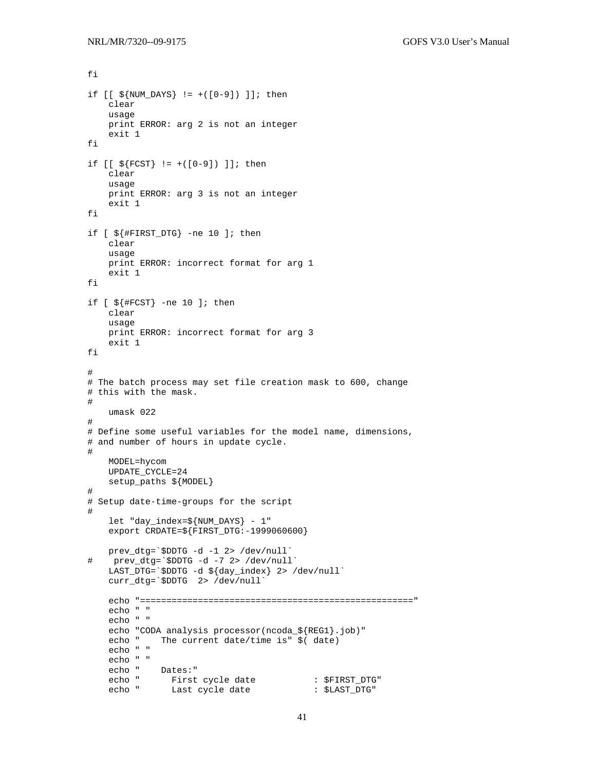fi

```
if [ [ $ \$] NUM_DAYS ] := +([0-9]) ] ; then clear 
     usage 
     print ERROR: arg 2 is not an integer 
     exit 1 
fi 
if [ [ ${F}\text{CST} ] := +([0-9]) ]; then
     clear 
     usage 
     print ERROR: arg 3 is not an integer 
     exit 1 
fi 
if [ ${#FIRST_DTG} -ne 10 ]; then 
     clear 
     usage 
     print ERROR: incorrect format for arg 1 
     exit 1 
fi 
if [ ${#FCST} -ne 10 ]; then
     clear 
     usage 
     print ERROR: incorrect format for arg 3 
     exit 1 
fi 
# 
# The batch process may set file creation mask to 600, change 
# this with the mask. 
# 
    umask 022 
# 
# Define some useful variables for the model name, dimensions, 
# and number of hours in update cycle. 
# 
     MODEL=hycom 
     UPDATE_CYCLE=24 
     setup_paths ${MODEL} 
# 
# Setup date-time-groups for the script 
# 
     let "day_index=${NUM_DAYS} - 1" 
     export CRDATE=${FIRST_DTG:-1999060600} 
prev_dtg=`$DDTG -d -1 2> /dev/null`<br># prev dtg=`$DDTG -d -7 2> /dev/null
    prev_dtg=`$DDTG -d -7 2> /dev/null`
 LAST_DTG=`$DDTG -d ${day_index} 2> /dev/null` 
 curr_dtg=`$DDTG 2> /dev/null` 
     echo "====================================================" 
     echo " " 
     echo " " 
    echo "CODA analysis processor(ncoda_${REG1}.job)"<br>echo "The current date/time is" $(date)
              The current date/time is" $ (date)
     echo " " 
     echo " " 
 echo " Dates:" 
echo " First cycle date : $FIRST_DTG"
 echo " Last cycle date : $LAST_DTG"
```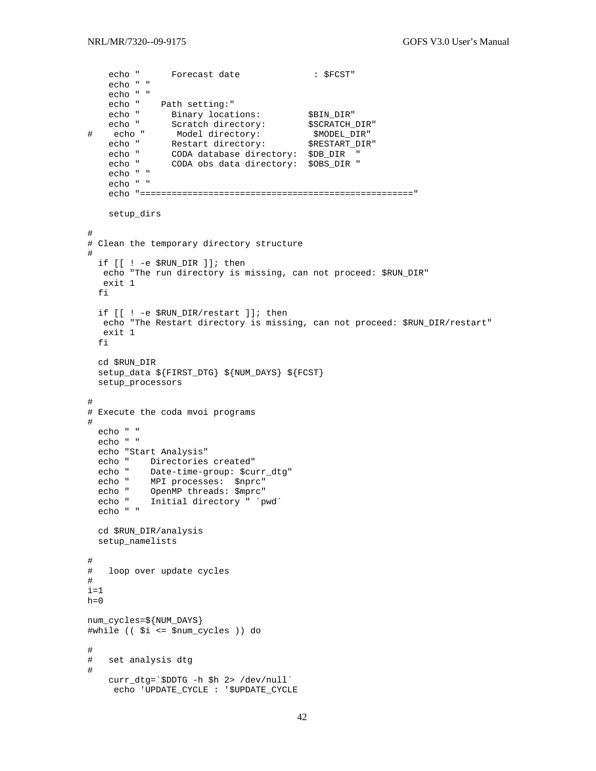```
echo " Forecast date : $FCST"
    echo " " 
    echo " " 
   echo " Path setting: "<br>echo " Binary locations:
echo " Binary locations: $BIN_DIR"
echo " Scratch directory: $SCRATCH_DIR"
# echo " Model directory: $MODEL_DIR" 
echo " Restart directory: $RESTART_DIR"
 echo " CODA database directory: $DB_DIR " 
 echo " CODA obs data directory: $OBS_DIR " 
    echo " " 
    echo " " 
    echo "====================================================" 
    setup_dirs 
# 
# Clean the temporary directory structure 
# 
  if [[ ! -e $RUN_DIR ]]; then 
   echo "The run directory is missing, can not proceed: $RUN_DIR" 
   exit 1 
   fi 
  if [[ ! -e $RUN_DIR/restart ]]; then 
   echo "The Restart directory is missing, can not proceed: $RUN_DIR/restart" 
   exit 1 
  fi 
  cd $RUN_DIR 
   setup_data ${FIRST_DTG} ${NUM_DAYS} ${FCST} 
  setup_processors 
# 
# Execute the coda mvoi programs 
# 
  echo " " 
   echo " " 
   echo "Start Analysis" 
   echo " Directories created" 
   echo " Date-time-group: $curr_dtg" 
  echo " MPI processes: $nprc" 
 echo " OpenMP threads: $mprc" 
 echo " Initial directory " `pwd` 
   echo " " 
  cd $RUN_DIR/analysis 
  setup_namelists 
# 
# loop over update cycles 
# 
i=1h=0num_cycles=${NUM_DAYS} 
#while (( $i <= $num_cycles )) do 
# 
# set analysis dtg 
# 
    curr_dtg=`$DDTG -h $h 2> /dev/null` 
     echo 'UPDATE_CYCLE : '$UPDATE_CYCLE
```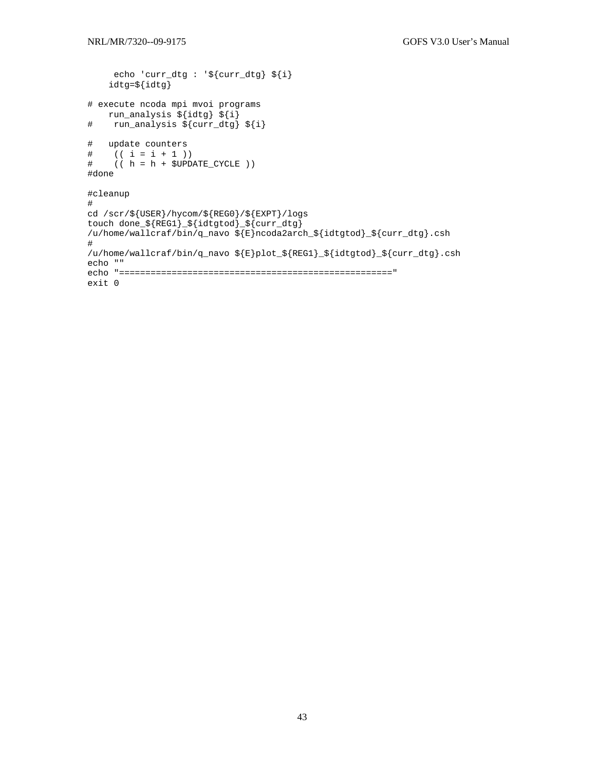```
 echo 'curr_dtg : '${curr_dtg} ${i} 
     idtg=${idtg} 
# execute ncoda mpi mvoi programs 
run_analysis ${idtg} ${i}<br># run_analysis ${curr_dtg}
   run_analysis ${curr_dtg} ${i}
# update counters<br># ((i = i + 1))(( i = i + 1 ) )# (( h = h + $UPDATE_CYCLE )) 
#done 
#cleanup 
# 
cd /scr/${USER}/hycom/${REG0}/${EXPT}/logs 
touch done_${REG1}_${idtgtod}_${curr_dtg} 
/u/home/wallcraf/bin/q_navo ${E}ncoda2arch_${idtgtod}_${curr_dtg}.csh 
# 
/u/home/wallcraf/bin/q_navo ${E}plot_${REG1}_${idtgtod}_${curr_dtg}.csh 
echo "" 
echo "====================================================" 
exit 0
```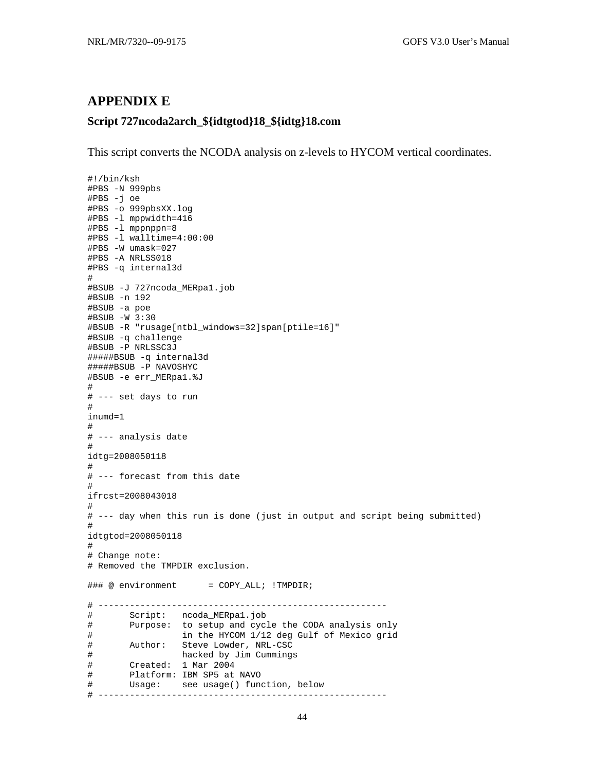## **APPENDIX E**

#!/bin/ksh

## **Script 727ncoda2arch\_\${idtgtod}18\_\${idtg}18.com**

This script converts the NCODA analysis on z-levels to HYCOM vertical coordinates.

```
#PBS -N 999pbs 
#PBS -j oe 
#PBS -o 999pbsXX.log 
#PBS -l mppwidth=416 
#PBS -l mppnppn=8 
#PBS -l walltime=4:00:00 
#PBS -W umask=027 
#PBS -A NRLSS018 
#PBS -q internal3d 
# 
#BSUB -J 727ncoda_MERpa1.job 
#BSUB -n 192 
#BSUB -a poe 
#BSUB -W 3:30 
#BSUB -R "rusage[ntbl_windows=32]span[ptile=16]" 
#BSUB -q challenge 
#BSUB -P NRLSSC3J 
#####BSUB -q internal3d 
#####BSUB -P NAVOSHYC 
#BSUB -e err_MERpa1.%J 
# 
# --- set days to run 
# 
inumd=1 
# 
# --- analysis date 
# 
idtg=2008050118 
# 
# --- forecast from this date 
# 
ifrcst=2008043018 
# 
# --- day when this run is done (just in output and script being submitted) 
# 
idtgtod=2008050118 
# 
# Change note: 
# Removed the TMPDIR exclusion. 
\# \# \otimes environment = COPY_ALL; !TMPDIR;
# ------------------------------------------------------- 
# Script: ncoda_MERpa1.job 
# Purpose: to setup and cycle the CODA analysis only 
# in the HYCOM 1/12 deg Gulf of Mexico grid 
# Author: Steve Lowder, NRL-CSC 
# hacked by Jim Cummings 
# Created: 1 Mar 2004 
# Platform: IBM SP5 at NAVO 
# Usage: see usage() function, below 
# -------------------------------------------------------
```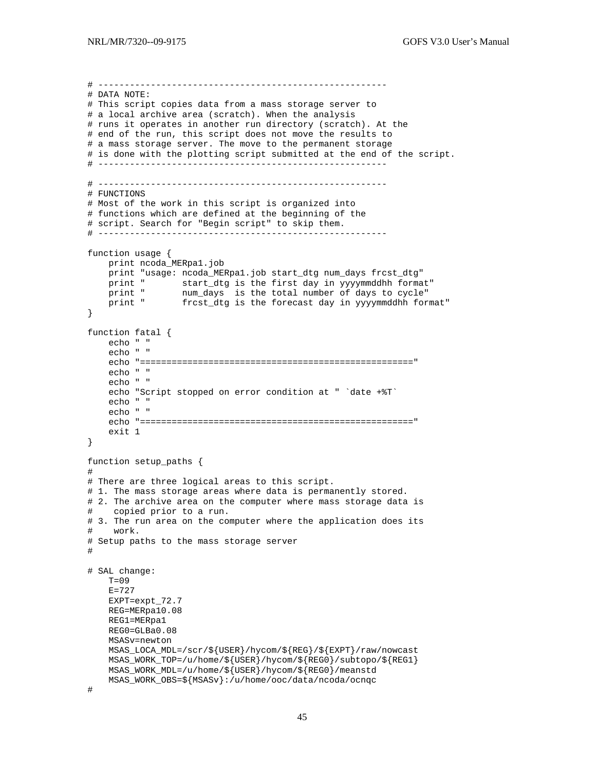```
# ------------------------------------------------------- 
# DATA NOTE: 
# This script copies data from a mass storage server to 
# a local archive area (scratch). When the analysis 
# runs it operates in another run directory (scratch). At the 
# end of the run, this script does not move the results to 
# a mass storage server. The move to the permanent storage 
# is done with the plotting script submitted at the end of the script. 
# ------------------------------------------------------- 
# ------------------------------------------------------- 
# FUNCTIONS 
# Most of the work in this script is organized into 
# functions which are defined at the beginning of the 
# script. Search for "Begin script" to skip them. 
# ------------------------------------------------------- 
function usage { 
    print ncoda_MERpa1.job 
    print "usage: ncoda_MERpa1.job start_dtg num_days frcst_dtg" 
 print " start_dtg is the first day in yyyymmddhh format" 
 print " num_days is the total number of days to cycle" 
 print " frcst_dtg is the forecast day in yyyymmddhh format" 
} 
function fatal { 
    echo " " 
     echo " " 
     echo "====================================================" 
     echo " " 
     echo " " 
     echo "Script stopped on error condition at " `date +%T` 
     echo " " 
     echo " " 
     echo "====================================================" 
     exit 1 
} 
function setup_paths { 
# 
# There are three logical areas to this script. 
# 1. The mass storage areas where data is permanently stored.
# 2. The archive area on the computer where mass storage data is 
# copied prior to a run. 
# 3. The run area on the computer where the application does its 
# work. 
# Setup paths to the mass storage server 
# 
# SAL change: 
    T=09 E=727 
     EXPT=expt_72.7 
     REG=MERpa10.08 
     REG1=MERpa1 
     REG0=GLBa0.08 
     MSASv=newton 
     MSAS_LOCA_MDL=/scr/${USER}/hycom/${REG}/${EXPT}/raw/nowcast 
    MSAS_WORK_TOP=/u/home/$\{USER\}/hycom/$\{REG0\}/subtopo/$\{REG1\} MSAS_WORK_MDL=/u/home/${USER}/hycom/${REG0}/meanstd 
     MSAS_WORK_OBS=${MSASv}:/u/home/ooc/data/ncoda/ocnqc 
#
```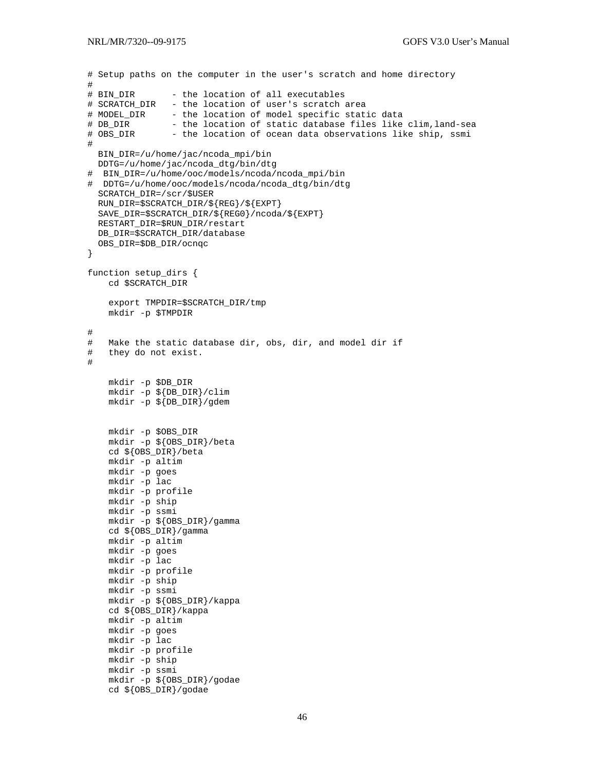```
# Setup paths on the computer in the user's scratch and home directory 
#<br># BIN DIR
                - the location of all executables
# SCRATCH_DIR - the location of user's scratch area 
# MODEL_DIR - the location of model specific static data<br># DB_DIR - the location of static database files like
# DB_DIR - the location of static database files like clim, land-sea<br># OBS_DIR - the location of ocean data observations like ship, ssmi
                - the location of ocean data observations like ship, ssmi
# 
   BIN_DIR=/u/home/jac/ncoda_mpi/bin 
   DDTG=/u/home/jac/ncoda_dtg/bin/dtg 
# BIN_DIR=/u/home/ooc/models/ncoda/ncoda_mpi/bin 
# DDTG=/u/home/ooc/models/ncoda/ncoda_dtg/bin/dtg 
   SCRATCH_DIR=/scr/$USER 
   RUN_DIR=$SCRATCH_DIR/${REG}/${EXPT} 
   SAVE_DIR=$SCRATCH_DIR/${REG0}/ncoda/${EXPT} 
   RESTART_DIR=$RUN_DIR/restart 
   DB_DIR=$SCRATCH_DIR/database 
   OBS_DIR=$DB_DIR/ocnqc 
} 
function setup_dirs { 
     cd $SCRATCH_DIR 
     export TMPDIR=$SCRATCH_DIR/tmp 
     mkdir -p $TMPDIR 
# 
# Make the static database dir, obs, dir, and model dir if 
    they do not exist.
# 
     mkdir -p $DB_DIR 
     mkdir -p ${DB_DIR}/clim 
     mkdir -p ${DB_DIR}/gdem 
     mkdir -p $OBS_DIR 
     mkdir -p ${OBS_DIR}/beta 
     cd ${OBS_DIR}/beta 
     mkdir -p altim 
     mkdir -p goes 
     mkdir -p lac 
     mkdir -p profile 
     mkdir -p ship 
     mkdir -p ssmi 
     mkdir -p ${OBS_DIR}/gamma 
     cd ${OBS_DIR}/gamma 
     mkdir -p altim 
     mkdir -p goes 
     mkdir -p lac 
     mkdir -p profile 
     mkdir -p ship 
     mkdir -p ssmi 
     mkdir -p ${OBS_DIR}/kappa 
     cd ${OBS_DIR}/kappa 
     mkdir -p altim 
     mkdir -p goes 
     mkdir -p lac 
     mkdir -p profile 
     mkdir -p ship 
     mkdir -p ssmi 
     mkdir -p ${OBS_DIR}/godae 
     cd ${OBS_DIR}/godae
```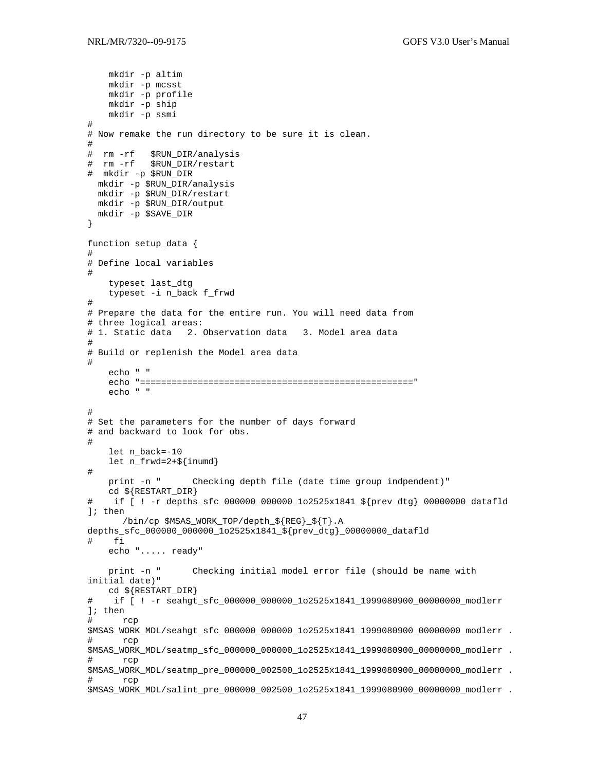```
 mkdir -p altim 
     mkdir -p mcsst 
     mkdir -p profile 
     mkdir -p ship 
     mkdir -p ssmi 
# 
# Now remake the run directory to be sure it is clean. 
# 
# rm -rf $RUN_DIR/analysis 
           $RUN_DIR/restart
# mkdir -p $RUN_DIR 
  mkdir -p $RUN_DIR/analysis 
  mkdir -p $RUN_DIR/restart 
  mkdir -p $RUN_DIR/output 
  mkdir -p $SAVE_DIR 
} 
function setup_data { 
# 
# Define local variables 
# 
     typeset last_dtg 
     typeset -i n_back f_frwd 
# 
# Prepare the data for the entire run. You will need data from 
# three logical areas: 
# 1. Static data 2. Observation data 3. Model area data 
# 
# Build or replenish the Model area data 
# 
     echo " " 
     echo "====================================================" 
     echo " " 
# 
# Set the parameters for the number of days forward 
# and backward to look for obs. 
# 
     let n_back=-10 
     let n_frwd=2+${inumd} 
# 
     print -n " Checking depth file (date time group indpendent)" 
     cd ${RESTART_DIR} 
# if [ ! -r depths_sfc_000000_000000_1o2525x1841_${prev_dtg}_00000000_datafld 
]; then 
       /bin/cp $MSAS_WORK_TOP/depth_${REG}_${T}.A 
depths_sfc_000000_000000_1o2525x1841_${prev_dtg}_00000000_datafld 
# fi 
     echo "..... ready" 
     print -n " Checking initial model error file (should be name with 
initial date)" 
     cd ${RESTART_DIR} 
    if [ ! -r seahgt_sfc_000000_000000_1o2525x1841_1999080900_00000000_modlerr
]; then 
# rcp 
$MSAS_WORK_MDL/seahgt_sfc_000000_000000_1o2525x1841_1999080900_00000000_modlerr . 
# rcp 
$MSAS WORK MDL/seatmp_sfc_000000_000000_1o2525x1841_1999080900_0000000_modlerr .
# rcp 
$MSAS_WORK_MDL/seatmp_pre_000000_002500_1o2525x1841_1999080900_00000000_modlerr . 
# rcp 
$MSAS_WORK_MDL/salint_pre_000000_002500_1o2525x1841_1999080900_00000000_modlerr .
```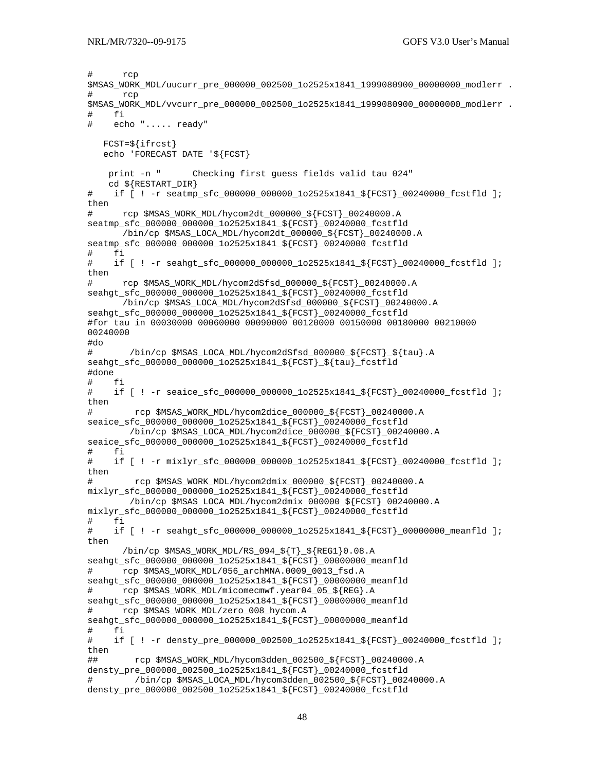```
# rcp 
$MSAS_WORK_MDL/uucurr_pre_000000_002500_1o2525x1841_1999080900_00000000_modlerr .
# rcp 
$MSAS_WORK_MDL/vvcurr_pre_000000_002500_1o2525x1841_1999080900_00000000_modlerr . 
# fi 
# echo "..... ready" 
   FCST=${ifrcst} 
    echo 'FORECAST DATE '${FCST} 
    print -n " Checking first guess fields valid tau 024" 
    cd ${RESTART_DIR} 
# if [ ! -r seatmp_sfc_000000_000000_1o2525x1841_${FCST}_00240000_fcstfld ]; 
then 
# rcp $MSAS_WORK_MDL/hycom2dt_000000_${FCST}_00240000.A 
seatmp_sfc_000000_000000_1o2525x1841_${FCST}_00240000_fcstfld 
       /bin/cp $MSAS_LOCA_MDL/hycom2dt_000000_${FCST}_00240000.A 
seatmp_sfc_000000_000000_1o2525x1841_${FCST}_00240000_fcstfld
# fi 
    if [ ! -r seahgt sfc 000000 000000 1o2525x1841 ${FCST} 00240000 fcstfld ];
then 
# rcp $MSAS_WORK_MDL/hycom2dSfsd_000000_${FCST}_00240000.A 
seahgt_sfc_000000_000000_1o2525x1841_${FCST}_00240000_fcstfld 
       /bin/cp $MSAS_LOCA_MDL/hycom2dSfsd_000000_${FCST}_00240000.A 
seahgt_sfc_000000_000000_1o2525x1841_${FCST}_00240000_fcstfld 
#for tau in 00030000 00060000 00090000 00120000 00150000 00180000 00210000 
00240000 
#do 
# /bin/cp $MSAS_LOCA_MDL/hycom2dSfsd_000000_${FCST}_${tau}.A 
seahgt sfc 000000 000000 1o2525x1841 ${FCST}} ${tau} fcstfld
#done 
# fi 
# if [ ! -r seaice_sfc_000000_000000_1o2525x1841_${FCST}_00240000_fcstfld ]; 
then 
# rcp $MSAS_WORK_MDL/hycom2dice_000000_${FCST}_00240000.A 
seaice_sfc_000000_000000_1o2525x1841_${FCST}_00240000_fcstfld 
         /bin/cp $MSAS_LOCA_MDL/hycom2dice_000000_${FCST}_00240000.A 
seaice_sfc_000000_000000_1o2525x1841_${FCST}_00240000_fcstfld
# fi 
# if [ ! -r mixlyr_sfc_000000_000000_1o2525x1841_${FCST}_00240000_fcstfld ]; 
then 
# rcp $MSAS_WORK_MDL/hycom2dmix_000000_${FCST}_00240000.A 
mixlyr_sfc_000000_000000_1o2525x1841_${FCST}_00240000_fcstfld 
        /bin/cp $MSAS_LOCA_MDL/hycom2dmix_000000_${FCST}_00240000.A 
mixlyr_sfc_000000_000000_1o2525x1841_${FCST}_00240000_fcstfld 
# fi 
# if [ ! -r seahgt_sfc_000000_000000_1o2525x1841_${FCST}_00000000_meanfld ];
then 
       /bin/cp $MSAS_WORK_MDL/RS_094_${T}_${REG1}0.08.A 
seahgt_sfc_000000_000000_1o2525x1841_${FCST}_00000000_meanfld 
# rcp $MSAS_WORK_MDL/056_archMNA.0009_0013_fsd.A 
seahgt_sfc_000000_000000_1o2525x1841_${FCST}_00000000_meanfld 
# rcp $MSAS_WORK_MDL/micomecmwf.year04_05_${REG}.A 
seahgt_sfc_000000_000000_1o2525x1841_${FCST}_00000000_meanfld 
# rcp $MSAS_WORK_MDL/zero_008_hycom.A 
seahgt_sfc_000000_000000_1o2525x1841_${FCST}_00000000_meanfld 
# fi 
# if [ ! -r densty_pre_000000_002500_1o2525x1841_${FCST}_00240000_fcstfld ]; 
then 
## rcp $MSAS_WORK_MDL/hycom3dden_002500_${FCST}_00240000.A 
densty_pre_000000_002500_1o2525x1841_${FCST}_00240000_fcstfld 
# /bin/cp $MSAS_LOCA_MDL/hycom3dden_002500_${FCST}_00240000.A 
densty_pre_000000_002500_1o2525x1841_${FCST}_00240000_fcstfld
```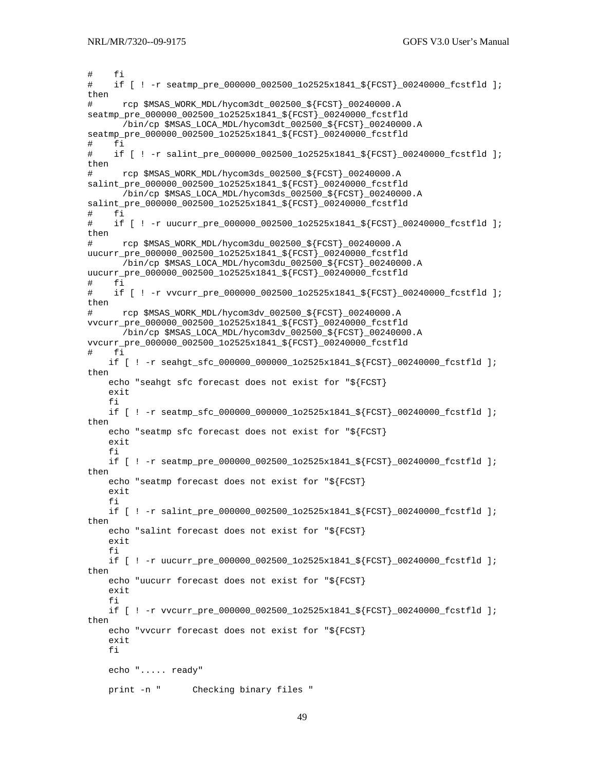```
# fi 
# if [ ! -r seatmp_pre_000000_002500_1o2525x1841_${FCST}_00240000_fcstfld ]; 
then 
# rcp $MSAS_WORK_MDL/hycom3dt_002500_${FCST}_00240000.A 
seatmp_pre_000000_002500_1o2525x1841_${FCST}_00240000_fcstfld 
       /bin/cp $MSAS_LOCA_MDL/hycom3dt_002500_${FCST}_00240000.A 
seatmp_pre_000000_002500_1o2525x1841_${FCST}_00240000_fcstfld 
# fi 
# if [ ! -r salint_pre_000000_002500_1o2525x1841_${FCST}_00240000_fcstfld ]; 
then 
# rcp $MSAS_WORK_MDL/hycom3ds_002500_${FCST}_00240000.A 
salint_pre_000000_002500_1o2525x1841_${FCST}_00240000_fcstfld 
       /bin/cp $MSAS_LOCA_MDL/hycom3ds_002500_${FCST}_00240000.A 
salint_pre_000000_002500_1o2525x1841_${FCST}_00240000_fcstfld 
# fi 
# if [ ! -r uucurr_pre_000000_002500_1o2525x1841_${FCST}_00240000_fcstfld ]; 
then 
# rcp $MSAS_WORK_MDL/hycom3du_002500_${FCST}_00240000.A
uucurr_pre_000000_002500_1o2525x1841_${FCST}_00240000_fcstfld 
       /bin/cp $MSAS_LOCA_MDL/hycom3du_002500_${FCST}_00240000.A 
uucurr_pre_000000_002500_1o2525x1841_${FCST}_00240000_fcstfld 
# fi 
# if [ ! -r vvcurr_pre_000000_002500_1o2525x1841_${FCST}_00240000_fcstfld ]; 
then 
# rcp $MSAS_WORK_MDL/hycom3dv_002500_${FCST}_00240000.A
vvcurr_pre_000000_002500_1o2525x1841_${FCST}_00240000_fcstfld 
       /bin/cp $MSAS_LOCA_MDL/hycom3dv_002500_${FCST}_00240000.A 
vvcurr_pre_000000_002500_1o2525x1841_${FCST}_00240000_fcstfld 
# fi 
    if [ ! -r seahgt sfc 000000 000000 1o2525x1841 ${FCST} 00240000 fcstfld ];
then 
     echo "seahgt sfc forecast does not exist for "${FCST} 
     exit 
     fi 
    if [ ! -r seatmp sfc 000000 000000 1o2525x1841 ${FCST} 00240000 fcstfld ];
then 
     echo "seatmp sfc forecast does not exist for "${FCST} 
     exit 
     fi 
     if [ ! -r seatmp_pre_000000_002500_1o2525x1841_${FCST}_00240000_fcstfld ]; 
then 
     echo "seatmp forecast does not exist for "${FCST} 
     exit 
     fi 
    if [ ! -r salint_pre_000000_002500_1o2525x1841_${FCST}_00240000_fcstfld ];
then 
     echo "salint forecast does not exist for "${FCST} 
     exit 
     fi 
    if [ ! -r uucurr pre_000000_002500_1o2525x1841_${FCST}_00240000_fcstfld ];
then 
     echo "uucurr forecast does not exist for "${FCST} 
     exit 
     fi 
     if [ ! -r vvcurr_pre_000000_002500_1o2525x1841_${FCST}_00240000_fcstfld ]; 
then 
     echo "vvcurr forecast does not exist for "${FCST} 
     exit 
     fi 
     echo "..... ready" 
     print -n " Checking binary files "
```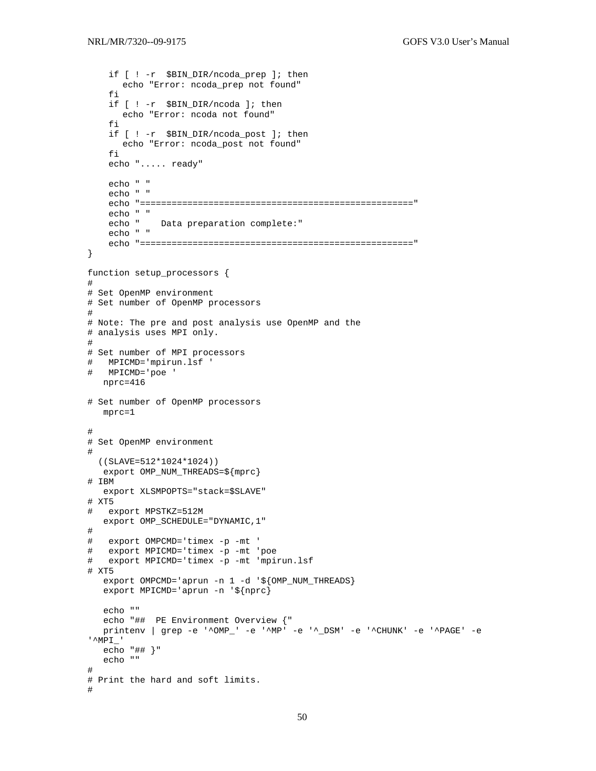```
 if [ ! -r $BIN_DIR/ncoda_prep ]; then 
       echo "Error: ncoda_prep not found" 
     fi 
     if [ ! -r $BIN_DIR/ncoda ]; then 
      echo "Error: ncoda not found" 
     fi 
     if [ ! -r $BIN_DIR/ncoda_post ]; then 
       echo "Error: ncoda_post not found" 
     fi 
     echo "..... ready" 
     echo " " 
     echo " " 
     echo "====================================================" 
     echo " " 
              Data preparation complete:"
     echo " " 
     echo "====================================================" 
} 
function setup_processors { 
# 
# Set OpenMP environment 
# Set number of OpenMP processors 
# 
# Note: The pre and post analysis use OpenMP and the 
# analysis uses MPI only. 
# 
# Set number of MPI processors 
# MPICMD='mpirun.lsf ' 
# MPICMD='poe ' 
   nprc=416 
# Set number of OpenMP processors 
   mprc=1 
# 
# Set OpenMP environment 
# 
  ((SLAVE=512*1024*1024)) 
   export OMP_NUM_THREADS=${mprc} 
# IBM 
   export XLSMPOPTS="stack=$SLAVE" 
# XT5 
# export MPSTKZ=512M 
   export OMP_SCHEDULE="DYNAMIC,1" 
# 
# export OMPCMD='timex -p -mt ' 
# export MPICMD='timex -p -mt 'poe 
# export MPICMD='timex -p -mt 'mpirun.lsf 
# XT5 
  export OMPCMD='aprun -n 1 -d '${OMP_NUM_THREADS}
   export MPICMD='aprun -n '${nprc} 
   echo "" 
   echo "## PE Environment Overview {" 
   printenv | grep -e '^OMP_' -e '^MP' -e '^_DSM' -e '^CHUNK' -e '^PAGE' -e 
'^MPI_' 
   echo "## }" 
   echo "" 
# 
# Print the hard and soft limits. 
#
```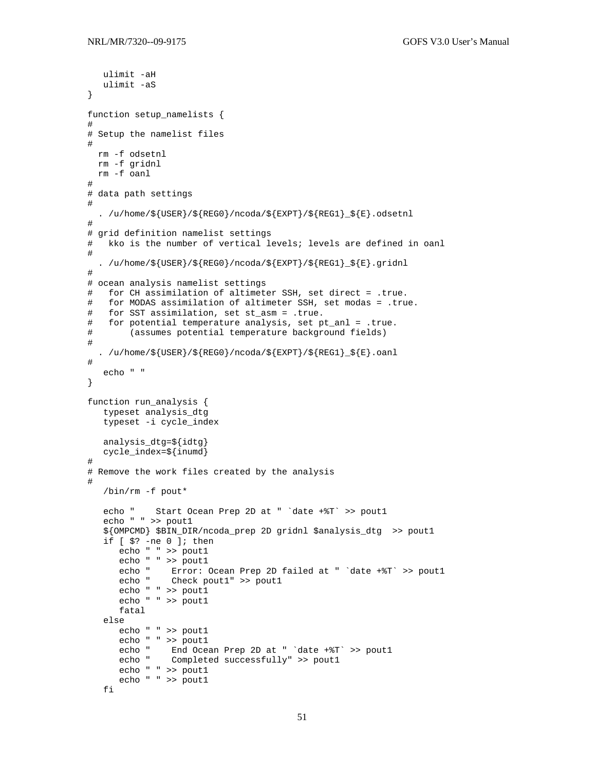```
ulimit -aH
  ulimit -aS
\}function setup_namelists {
## Setup the namelist files
\pmrm -f odsetnl
 rm -f gridnl
 rm -f oanl
## data path settings
\#. /u/home/\frac{1}{5}[USER}/\frac{1}{5}[REGO}/ncoda/\frac{1}{5}[EXPT}/\frac{1}{5}[REG1} \frac{1}{5}].odsetnl
## grid definition namelist settings
#kko is the number of vertical levels; levels are defined in oanl
#. /u/home/${USER}/${REGO}/ncoda/${EXPT}/${REG1}_${E}.gridnl
## ocean analysis namelist settings
  for CH assimilation of altimeter SSH, set direct = .true.
##for MODAS assimilation of altimeter SSH, set modas = .true.
  for SST assimilation, set st_asm = .true.
#for potential temperature analysis, set pt_anl = .true.
#(assumes potential temperature background fields)
##. /u/home/${USER}/${REGO}/ncoda/${EXPT}/${REG1}_${E}.oanl
#echo " "
\}function run_analysis {
  typeset analysis_dtg
  typeset -i cycle_index
  analysis_dtq=${idtq}
  cycle_index=${inumd}
\## Remove the work files created by the analysis
\#/bin/rm -f pout*
  echo "
           Start Ocean Prep 2D at " 'date +%T' >> pout1
   echo " " >> pout1
   ${OMPCMD} $BIN_DIR/ncoda_prep 2D gridnl $analysis_dtg >> pout1
   if [s? -ne 0]; then
      echo " " >> pout1
      echo " " >> pout1
     echo " Error: Ocean Prep 2D failed at " 'date +%T' >> pout1<br>echo " Check pout1" >> pout1
      echo " " >> poutl
      echo " " >> pout1
      fatal
   else
      echo " " >> pout1
      echo " " >> poutl
      echo "
              End Ocean Prep 2D at " 'date +%T' >> pout1
      echo " Completed successfully" >> pout1
      echo " " >> pout1
      echo " " >> 1fi
```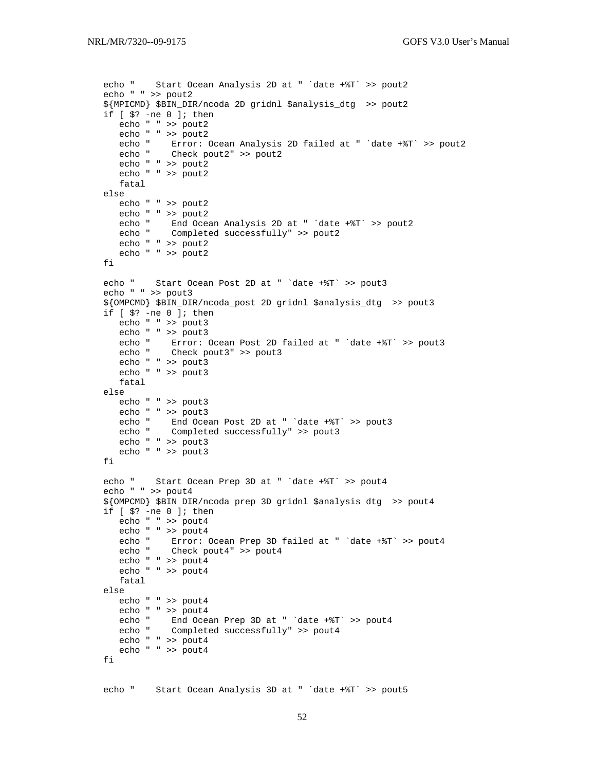```
 echo " Start Ocean Analysis 2D at " `date +%T` >> pout2 
   echo " " >> pout2 
   ${MPICMD} $BIN_DIR/ncoda 2D gridnl $analysis_dtg >> pout2 
   if [ $? -ne 0 ]; then 
     echo " " >> pout2<br>echo " " >> pout2
 echo " " >> pout2 
 echo " Error: Ocean Analysis 2D failed at " `date +%T` >> pout2 
 echo " Check pout2" >> pout2 
      echo " " >> pout2 
      echo " " >> pout2 
      fatal 
   else 
      echo " " >> pout2 
     echo " " >> pout2<br>echo " End Oce
             End Ocean Analysis 2D at " `date +%T` >> pout2
      echo " Completed successfully" >> pout2 
      echo " " >> pout2 
      echo " " >> pout2 
   fi 
   echo " Start Ocean Post 2D at " `date +%T` >> pout3 
   echo " " >> pout3 
   ${OMPCMD} $BIN_DIR/ncoda_post 2D gridnl $analysis_dtg >> pout3 
   if [ $? -ne 0 ]; then 
      echo " " >> pout3 
     echo " " >> pout3<br>echo " Error:
              Error: Ocean Post 2D failed at " 'date +%T' >> pout3
      echo " Check pout3" >> pout3 
      echo " " >> pout3 
      echo " " >> pout3 
      fatal 
   else 
     echo " " >> pout3<br>echo " " >> pout3
 echo " " >> pout3 
 echo " End Ocean Post 2D at " `date +%T` >> pout3 
 echo " Completed successfully" >> pout3 
      echo " " >> pout3 
      echo " " >> pout3 
   fi 
   echo " Start Ocean Prep 3D at " `date +%T` >> pout4 
   echo " " >> pout4 
   ${OMPCMD} $BIN_DIR/ncoda_prep 3D gridnl $analysis_dtg >> pout4 
   if [ $? -ne 0 ]; then 
      echo " " >> pout4 
 echo " " >> pout4 
 echo " Error: Ocean Prep 3D failed at " `date +%T` >> pout4 
 echo " Check pout4" >> pout4 
      echo " " >> pout4 
      echo " " >> pout4 
      fatal 
   else 
      echo " " >> pout4 
      echo " " >> pout4 
      echo " End Ocean Prep 3D at " `date +%T` >> pout4 
      echo " Completed successfully" >> pout4 
      echo " " >> pout4 
      echo " " >> pout4 
   fi 
   echo " Start Ocean Analysis 3D at " `date +%T` >> pout5
```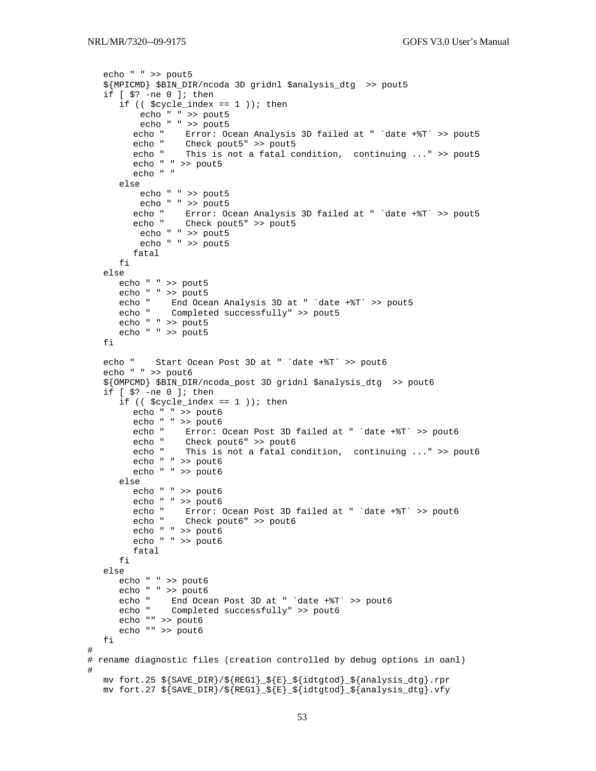```
 echo " " >> pout5 
    ${MPICMD} $BIN_DIR/ncoda 3D gridnl $analysis_dtg >> pout5 
    if [ $? -ne 0 ]; then 
      if (($cycle_index == 1); then
           echo " " >> pout5 
           echo " " >> pout5 
        echo " Error: Ocean Analysis 3D failed at " `date +%T` >> pout5
        echo " Check pout5" >> pout5<br>echo " This is not
                  This is not a fatal condition, continuing ..." >> pout5
         echo " " >> pout5 
         echo " " 
       else 
           echo " " >> pout5 
        echo " " >> pout5<br>echo " Error: Oc
                 Error: Ocean Analysis 3D failed at " `date +%T` >> pout5
         echo " Check pout5" >> pout5 
          echo " " >> pout5 
           echo " " >> pout5 
         fatal 
       fi 
    else 
       echo " " >> pout5 
       echo " " >> pout5 
 echo " End Ocean Analysis 3D at " `date +%T` >> pout5 
 echo " Completed successfully" >> pout5 
      echo " " >> pout5 
      echo " " >> pout5 
    fi 
    echo " Start Ocean Post 3D at " `date +%T` >> pout6 
    echo " " >> pout6 
    ${OMPCMD} $BIN_DIR/ncoda_post 3D gridnl $analysis_dtg >> pout6 
    if [ $? -ne 0 ]; then 
      if (($cycle_index == 1); then
         echo " " >> pout6 
        echo " " >> pout6<br>echo " Error:
                 Error: Ocean Post 3D failed at " 'date +%T' >> pout6
 echo " Check pout6" >> pout6 
 echo " This is not a fatal condition, continuing ..." >> pout6 
         echo " " >> pout6 
         echo " " >> pout6 
       else 
         echo " " >> pout6 
         echo " " >> pout6 
         echo " Error: Ocean Post 3D failed at " `date +%T` >> pout6 
         echo " Check pout6" >> pout6 
         echo " " >> pout6 
         echo " " >> pout6 
         fatal 
       fi 
    else 
       echo " " >> pout6 
      echo " " >> pout6 
      echo " End Ocean Post 3D at " `date +%T` >> pout6 
      echo " Completed successfully" >> pout6 
      echo "" >> pout6 
       echo "" >> pout6 
   fi 
# 
# rename diagnostic files (creation controlled by debug options in oanl) 
# 
   mv fort.25 ${SAVE_DIR}/${REG1}_${E}_${idtgtod}_${analysis_dtg}.rpr 
   mv fort.27 ${SAVE_DIR}/${REG1}_${E}_${idtgtod}_${analysis_dtg}.vfy
```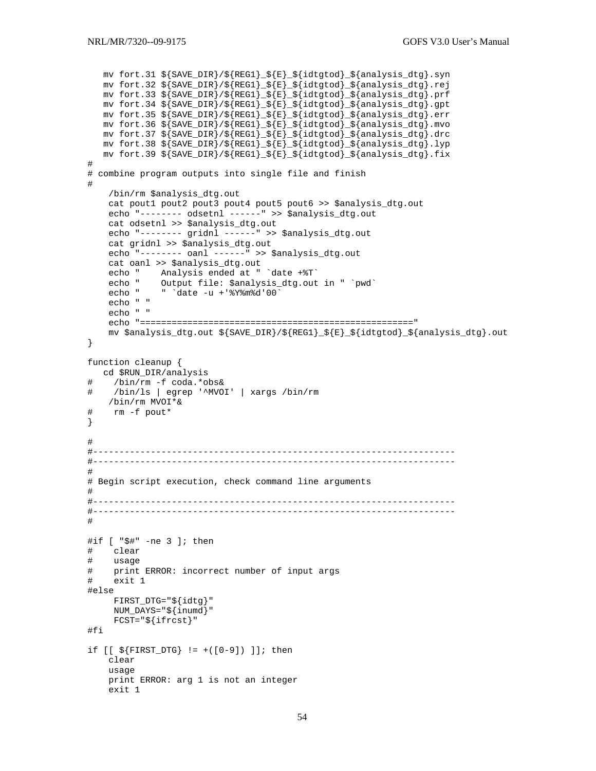```
mv fort.31 ${SAVE_DIR}/${REG1}_${E}_${idtgtod}_${analysis_dtg}.syn
  mv fort.32 ${SAVE_DIR}/${REG1}_${E}_${idtgtod}_${analysis_dtg}.rej
  mv fort.33 ${SAVE_DIR}/${REG1}_${E}_${idtgtod}_${analysis_dtg}.prf
  mv fort.34 ${SAVE_DIR}/${REG1}_${E}_${idtgtod}_${analysis_dtg}.gpt
  mv fort.35 ${SAVE_DIR}/${REG1}_${E}_${idtgtod}_${analysis_dtg}.err
  mv fort.36 \frac{1}{5} (SAVE_DIR)/\frac{1}{5} (REG1) \frac{1}{5} (idtgtod) \frac{1}{5} (analysis dtg).mvo
  mv fort.37 ${SAVE_DIR}/${REG1}_${E}_${idtgtod}_${analysis_dtg}.drc
  mv fort.38 ${SAVE_DIR}/${REG1}_${E}_${idtgtod}_${analysis_dtg}.lyp
  mv fort.39 ${SAVE_DIR}/${REG1}_${E}_${idtgtod}_${analysis_dtg}.fix
\## combine program outputs into single file and finish
#/bin/rm $analysis_dtg.out
   cat pout1 pout2 pout3 pout4 pout5 pout6 >> $analysis_dtg.out
   echo "-------- odsetnl ------" >> $analysis_dtg.out
   cat odsetnl >> $analysis_dtg.out
   echo "-------- gridnl ------" >> $analysis_dtg.out
   cat gridnl >> $analysis_dtg.out
   echo "-------- oanl ------" >> $analysis_dtq.out
   cat oanl >> $analysis_dtg.out
   echo " Analysis ended at " 'date +%T'
          Output file: $analysis_dtg.out in " `pwd`<br>" `date -u +'%Y%m%d'00`
   echo "
   echo "
   echo " "
   echo " "
   mv $analysis_dtg.out ${SAVE_DIR}/${REG1}_${E}_${idtgtod}_${analysis_dtg}.out
\}function cleanup {
  cd $RUN_DIR/analysis
   /bin/rm -f coda.*obs&
   /bin/ls | egrep '^MVOI' | xargs /bin/rm
#/bin/rm MVOI*&
#rm -f pout*
\}\pmb{\pm}## Begin script execution, check command line arguments
#
#if [ "$#" -ne 3 ]; then
#clear
#usage
  print ERROR: incorrect number of input args
##exit 1
#else
    FIRST_DTG = "\{idtg}"
    NUM_DAYS="\$ \{inumd\}FCST = "\${ifrcst}"
#fi
if [ [ $ \frac{1}{2} \text{ FIRST DTG} ] = +([0-9]) ]; then
   clear
   usage
   print ERROR: arg 1 is not an integer
   exit 1
```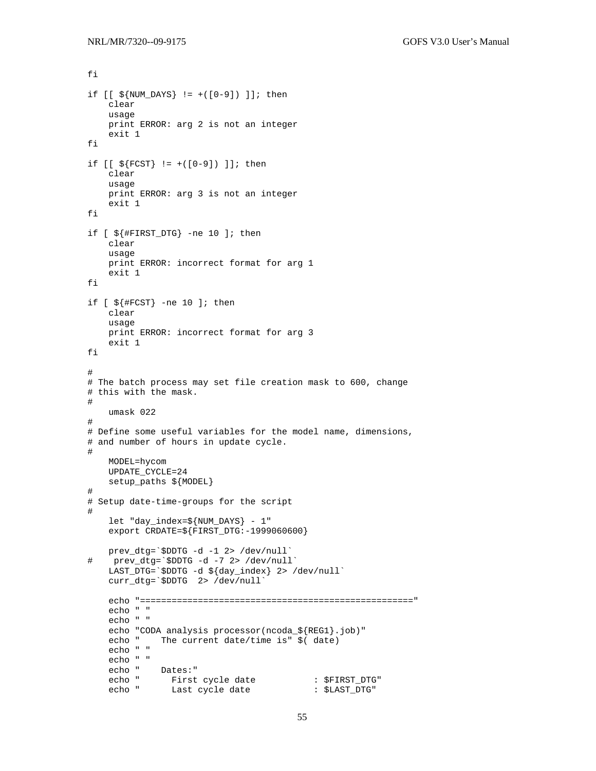fi

```
if [ [ $ \$] NUM_DAYS ] := +([0-9]) ] ; then clear 
     usage 
     print ERROR: arg 2 is not an integer 
     exit 1 
fi 
if [ [ ${F}\text{CST} ] := +([0-9]) ]; then
     clear 
     usage 
     print ERROR: arg 3 is not an integer 
     exit 1 
fi 
if [ ${#FIRST_DTG} -ne 10 ]; then 
     clear 
     usage 
     print ERROR: incorrect format for arg 1 
     exit 1 
fi 
if [ ${#FCST} -ne 10 ]; then
     clear 
     usage 
     print ERROR: incorrect format for arg 3 
     exit 1 
fi 
# 
# The batch process may set file creation mask to 600, change 
# this with the mask. 
# 
     umask 022 
# 
# Define some useful variables for the model name, dimensions, 
# and number of hours in update cycle. 
# 
     MODEL=hycom 
     UPDATE_CYCLE=24 
     setup_paths ${MODEL} 
# 
# Setup date-time-groups for the script 
# 
     let "day_index=${NUM_DAYS} - 1" 
     export CRDATE=${FIRST_DTG:-1999060600} 
prev_dtg=`$DDTG -d -1 2> /dev/null`<br># prev dtg=`$DDTG -d -7 2> /dev/null
    prev_dtg=`$DDTG -d -7 2> /dev/null`
 LAST_DTG=`$DDTG -d ${day_index} 2> /dev/null` 
 curr_dtg=`$DDTG 2> /dev/null` 
     echo "====================================================" 
     echo " " 
     echo " " 
    echo "CODA analysis processor(ncoda_${REG1}.job)"<br>echo "The current date/time is" $(date)
               The current date/time is" $ (date)
     echo " " 
     echo " " 
    echo " Dates: "<br>echo " First
    echo " First cycle date : $FIRST_DTG"<br>echo " Last cycle date : $LAST_DTG"
                Last cycle date
```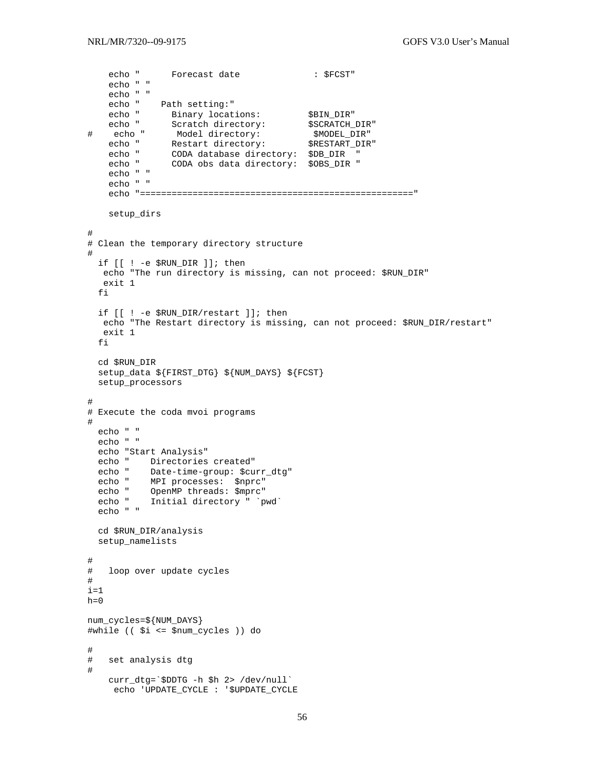```
echo " Forecast date : $FCST"
    echo " " 
    echo " " 
   echo " Path setting: "<br>echo " Binary locations:
echo " Binary locations: $BIN_DIR"
echo " Scratch directory: $SCRATCH_DIR"
# echo " Model directory: $MODEL_DIR" 
echo " Restart directory: $RESTART_DIR"
 echo " CODA database directory: $DB_DIR " 
 echo " CODA obs data directory: $OBS_DIR " 
    echo " " 
    echo " " 
    echo "====================================================" 
    setup_dirs 
# 
# Clean the temporary directory structure 
# 
  if [[ ! -e $RUN_DIR ]]; then 
   echo "The run directory is missing, can not proceed: $RUN_DIR" 
   exit 1 
   fi 
  if [[ ! -e $RUN_DIR/restart ]]; then 
   echo "The Restart directory is missing, can not proceed: $RUN_DIR/restart" 
   exit 1 
  fi 
  cd $RUN_DIR 
   setup_data ${FIRST_DTG} ${NUM_DAYS} ${FCST} 
  setup_processors 
# 
# Execute the coda mvoi programs 
# 
  echo " " 
   echo " " 
   echo "Start Analysis" 
   echo " Directories created" 
   echo " Date-time-group: $curr_dtg" 
  echo " MPI processes: $nprc" 
 echo " OpenMP threads: $mprc" 
 echo " Initial directory " `pwd` 
   echo " " 
  cd $RUN_DIR/analysis 
  setup_namelists 
# 
# loop over update cycles 
# 
i=1h=0num_cycles=${NUM_DAYS} 
#while (( $i <= $num_cycles )) do 
# 
# set analysis dtg 
# 
    curr_dtg=`$DDTG -h $h 2> /dev/null` 
     echo 'UPDATE_CYCLE : '$UPDATE_CYCLE
```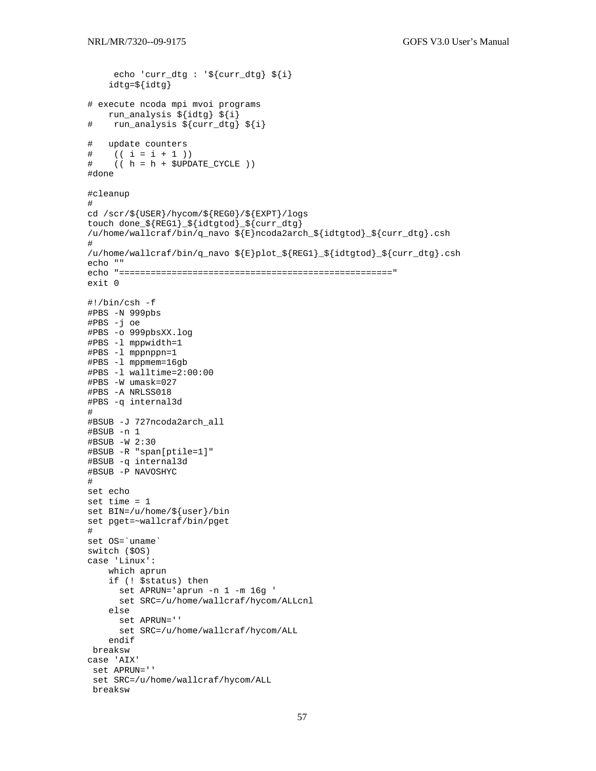```
echo 'curr_dtg : '${curr_dtg} ${i}
    idtg=${idtg}
# execute ncoda mpi mvoi programs
   run_analysis ${idtg} ${i}
   run_analysis ${curr_dtg} ${i}
\pmupdate counters
#(( i = i + 1 ) )##((h = h + $UPDATE_C YCLE))#done
#cleanup
#cd /scr/${USER}/hycom/${REG0}/${EXPT}/logs
touch done_${REG1}_${idtgtod}_${curr_dtg}
/u/home/wallcraf/bin/q_navo ${E}ncoda2arch_${idtgtod}_${curr_dtg}.csh
#/u/home/wallcraf/bin/q_navo ${E}plot_${REG1}_${idtgtod}_${curr_dtg}.csh
echo ""
exit 0\#!/bin/csh -f
#PBS -N 999pbs
#PBS -j oe
#PBS -o 999pbsXX.log
#PBS -1 mppwidth=1
#PBS -1 mppnppn=1
#PBS -1 mppmem=16qb
#PBS -1 walltime=2:00:00
#PBS -W umask=027
#PBS -A NRLSS018
#PBS -q internal3d
\pm#BSUB -J 727ncoda2arch_all
#BSUB -n 1
#BSUB -W 2:30
#BSUB -R "span[ptile=1]"
#BSUB -q internal3d
#BSUB -P NAVOSHYC
\pmset echo
set time = 1set BIN = /u/home / \frac{6}{3} (user }/bin
set pget=~wallcraf/bin/pget
#set OS='uname'
switch ($0S)
case 'Linux':
   which aprun
   if (! $status) then
      set APRUN='aprun -n 1 -m 16q '
     set SRC=/u/home/wallcraf/hycom/ALLcnl
   else
     set APRUN=''
     set SRC=/u/home/wallcraf/hycom/ALL
   endif
breaksw
case 'AIX'
set APRUN=''
set SRC=/u/home/wallcraf/hycom/ALL
breaksw
```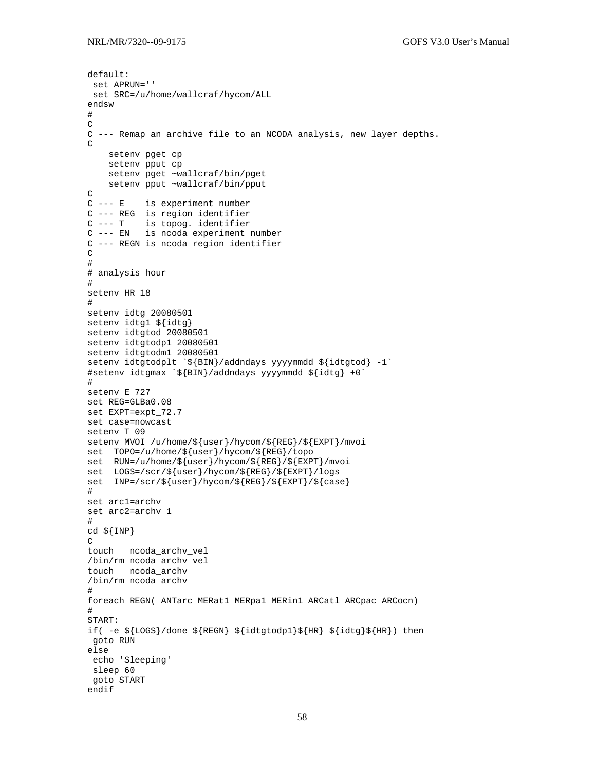```
default: 
  set APRUN='' 
  set SRC=/u/home/wallcraf/hycom/ALL 
endsw 
# 
\mathcal{C}C --- Remap an archive file to an NCODA analysis, new layer depths. 
\Gamma setenv pget cp 
     setenv pput cp 
     setenv pget ~wallcraf/bin/pget 
     setenv pput ~wallcraf/bin/pput 
C<br>C --- E
           is experiment number
C --- REG is region identifier 
C --- T is topog. identifier 
C --- EN is ncoda experiment number 
C --- REGN is ncoda region identifier 
\mathcal{C}# 
# analysis hour 
# 
setenv HR 18 
# 
setenv idtg 20080501 
setenv idtg1 ${idtg} 
setenv idtgtod 20080501 
setenv idtgtodp1 20080501 
setenv idtgtodm1 20080501 
setenv idtgtodplt `${BIN}/addndays yyyymmdd ${idtgtod} -1`
#setenv idtgmax `${BIN}/addndays yyyymmdd ${idtg} +0` 
# 
setenv E 727 
set REG=GLBa0.08 
set EXPT=expt_72.7 
set case=nowcast 
setenv T 09 
setenv MVOI /u/home/${user}/hycom/${REG}/${EXPT}/mvoi 
set TOPO=/u/home/${user}/hycom/${REG}/topo 
set RUN=/u/home/${user}/hycom/${REG}/${EXPT}/mvoi 
set LOGS=/scr/${user}/hycom/${REG}/${EXPT}/logs 
set INP=/scr/${user}/hycom/${REG}/${EXPT}/${case} 
# 
set arc1=archv 
set arc2=archv_1 
# 
cd ${INP} 
C 
touch ncoda_archv_vel 
/bin/rm ncoda_archv_vel 
touch ncoda_archv 
/bin/rm ncoda_archv 
# 
foreach REGN( ANTarc MERat1 MERpa1 MERin1 ARCatl ARCpac ARCocn) 
# 
START: 
if( -e ${LOGS}/done_${REGN}_${idtgtodp1}${HR}_${idtg}${HR}) then 
 goto RUN 
else 
  echo 'Sleeping' 
  sleep 60 
  goto START 
endif
```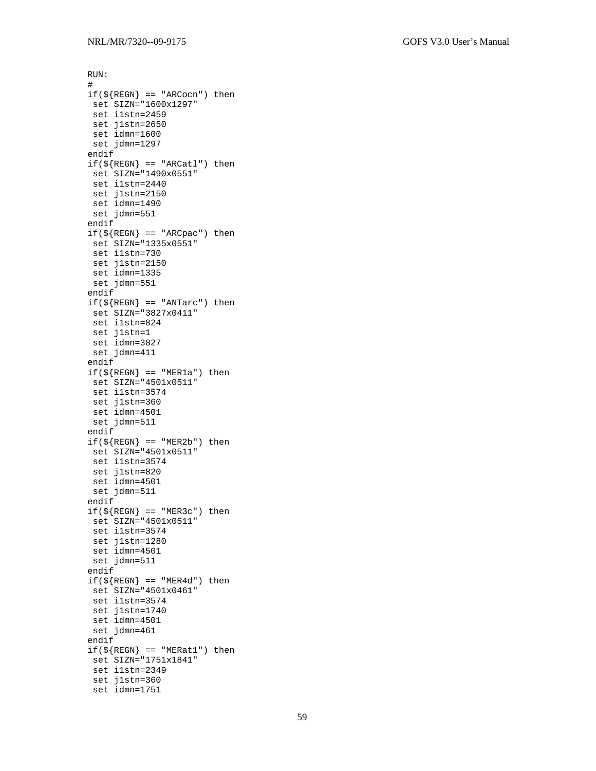```
RUN: 
# 
if(\frac{\xi}{REGN}) == "ARCocn") then set SIZN="1600x1297" 
 set i1stn=2459 
 set j1stn=2650 
 set idmn=1600 
 set jdmn=1297 
endif 
if(\frac{\xi}{REGN}) == "ARCat1") then set SIZN="1490x0551" 
  set i1stn=2440 
 set j1stn=2150 
 set idmn=1490 
 set jdmn=551 
endif 
if(\frac{\xi}{REGN}) == "ARCpac") then set SIZN="1335x0551" 
 set i1stn=730 
 set j1stn=2150 
 set idmn=1335 
 set jdmn=551 
endif 
if(\frac{\xi}{REGN}) == "ANTarc") then set SIZN="3827x0411" 
 set i1stn=824 
 set j1stn=1 
 set idmn=3827 
 set jdmn=411 
endif 
if(\frac{\xi}{REGN}) == "MER1a") then set SIZN="4501x0511" 
 set i1stn=3574 
 set j1stn=360 
 set idmn=4501 
 set jdmn=511 
endif 
if(\frac{\xi}{REGN}) == "MER2b") then set SIZN="4501x0511" 
  set i1stn=3574 
 set j1stn=820 
 set idmn=4501 
 set jdmn=511 
endif 
if(\frac{\xi}{REGN}) == "MER3c" then
 set SIZN="4501x0511" 
  set i1stn=3574 
 set j1stn=1280 
 set idmn=4501 
 set jdmn=511 
endif 
if(S{REGN} == "MER4d") then set SIZN="4501x0461" 
  set i1stn=3574 
 set j1stn=1740 
 set idmn=4501 
 set jdmn=461 
endif 
if(S{REGN} == "MERat1") then set SIZN="1751x1841" 
  set i1stn=2349 
  set j1stn=360 
  set idmn=1751
```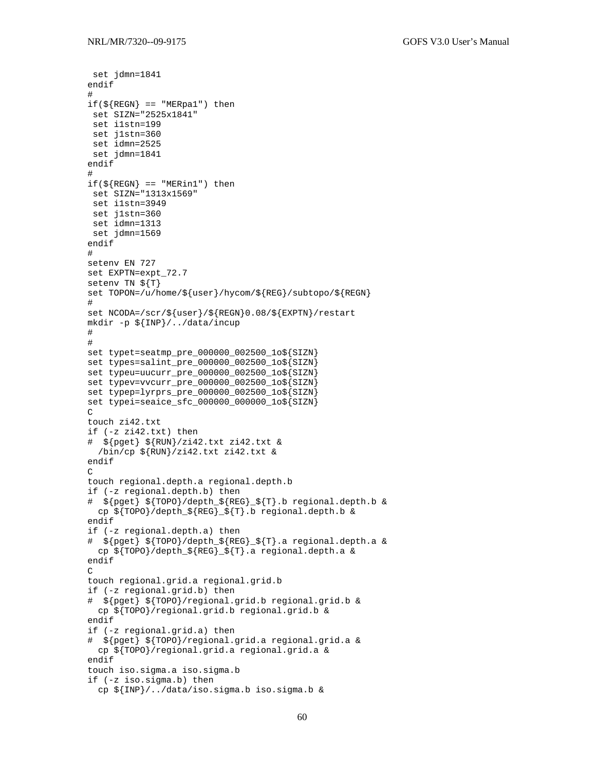set jdmn=1841

```
endif 
# 
if(\frac{\xi}{REGN}) == "MERpa1" then
  set SIZN="2525x1841" 
  set i1stn=199 
  set j1stn=360 
  set idmn=2525 
  set jdmn=1841 
endif 
# 
if(\frac{\xi}{REGN}) == "MERin1") then set SIZN="1313x1569" 
  set i1stn=3949 
  set j1stn=360 
  set idmn=1313 
 set jdmn=1569 
endif 
# 
setenv EN 727 
set EXPTN=expt_72.7 
setenv TN ${T} 
set TOPON=/u/home/${user}/hycom/${REG}/subtopo/${REGN} 
# 
set NCODA=/scr/${user}/${REGN}0.08/${EXPTN}/restart 
mkdir -p ${INP}/../data/incup 
# 
# 
set typet=seatmp_pre_000000_002500_1o${SIZN} 
set types=salint pre 000000 002500 lo${SIZN}
set typeu=uucurr_pre_000000_002500_1o${SIZN} 
set typev=vvcurr_pre_000000_002500_1o${SIZN} 
set typep=lyrprs_pre_000000_002500_1o${SIZN} 
set typei=seaice_sfc_000000_000000_1o${SIZN} 
\captouch zi42.txt 
if (-z zi42.txt) then 
# ${pget} ${RUN}/zi42.txt zi42.txt & 
  /bin/cp ${RUN}/zi42.txt zi42.txt & 
endif 
\captouch regional.depth.a regional.depth.b 
if (-z regional.depth.b) then 
# ${pget} ${TOPO}/depth_${REG}_${T}.b regional.depth.b & 
   cp ${TOPO}/depth_${REG}_${T}.b regional.depth.b & 
endif 
if (-z regional.depth.a) then 
# ${pget} ${TOPO}/depth_${REG}_${T}.a regional.depth.a & 
   cp ${TOPO}/depth_${REG}_${T}.a regional.depth.a & 
endif 
\overline{C}touch regional.grid.a regional.grid.b 
if (-z regional.grid.b) then 
# ${pget} ${TOPO}/regional.grid.b regional.grid.b & 
   cp ${TOPO}/regional.grid.b regional.grid.b & 
endif 
if (-z regional.grid.a) then 
# ${pget} ${TOPO}/regional.grid.a regional.grid.a & 
   cp ${TOPO}/regional.grid.a regional.grid.a & 
endif 
touch iso.sigma.a iso.sigma.b 
if (-z iso.sigma.b) then 
   cp ${INP}/../data/iso.sigma.b iso.sigma.b &
```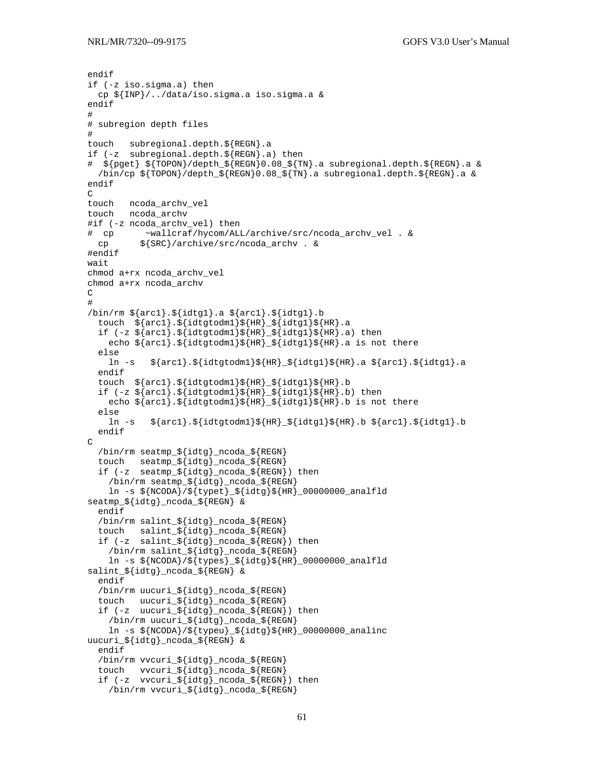```
endif 
if (-z iso.sigma.a) then 
   cp ${INP}/../data/iso.sigma.a iso.sigma.a & 
endif 
# 
# subregion depth files 
# 
touch subregional.depth.${REGN}.a 
if (-z subregional.depth.${REGN}.a) then 
# ${pget} ${TOPON}/depth_${REGN}0.08_${TN}.a subregional.depth.${REGN}.a & 
  /bin/cp ${TOPON}/depth_${REGN}0.08_${TN}.a subregional.depth.${REGN}.a & 
endif 
\captouch ncoda_archv_vel 
touch ncoda_archv 
#if (-z ncoda_archv_vel) then 
# cp ~wallcraf/hycom/ALL/archive/src/ncoda_archv_vel . & 
 cp ${SRC}/archive/src/ncoda_archv. &
#endif 
wait 
chmod a+rx ncoda_archv_vel 
chmod a+rx ncoda_archv 
\overline{C}# 
/bin/rm ${arc1}.${idtg1}.a ${arc1}.${idtg1}.b 
   touch ${arc1}.${idtgtodm1}${HR}_${idtg1}${HR}.a 
  if (-z \; \xi \{arc1\} \cdot \xi \{idtgtodm1\} \xi \{HR\} \; \xi \{idtg1\} \xi \{HR\} \; a) then
    echo \frac{1}{2}.${idtgtodm1}${HR}_${idtg1}${HR}.a is not there
   else 
    ln -s ${arc1}.${idtqtodm1}${HR} ${idtq1}${HR}.a ${arc1}.${idtq1}.a
   endif 
   touch ${arc1}.${idtgtodm1}${HR}_${idtg1}${HR}.b 
  if (-z \; \xi \{arc1\} \cdot \xi \{idt \text{g} \} \cdot \xi \{HR\} \cdot \xi \{idt \text{g} \} \cdot \xi \{HR\} \cdot b) then
     echo ${arc1}.${idtgtodm1}${HR}_${idtg1}${HR}.b is not there 
   else 
             \frac{1}{2}[arc1}.${idtgtodm1}${HR}_${idtg1}${HR}.b ${arc1}.${idtg1}.b
   endif 
C 
 /bin/rm seatmp_${idtg}_ncoda_${REGN} 
 touch seatmp_${idtg}_ncoda_${REGN} 
  if (-z \text{seatmp}_{\text{size}} \cdot \text{idtg}_{\text{mod}}) redsaller \{ \text{REGN} \} then
     /bin/rm seatmp_${idtg}_ncoda_${REGN} 
    ln -s ${NCODA}/${typet}_${idtg}${HR}_00000000_analfld
seatmp_${idtg}_ncoda_${REGN} & 
   endif 
   /bin/rm salint_${idtg}_ncoda_${REGN} 
   touch salint_${idtg}_ncoda_${REGN} 
   if (-z salint_${idtg}_ncoda_${REGN}) then 
     /bin/rm salint_${idtg}_ncoda_${REGN} 
    ln -s ${NCODA}/${types}]${idtg}${HR}_00000000_analfld
salint_${idtg}_ncoda_${REGN} & 
   endif 
   /bin/rm uucuri_${idtg}_ncoda_${REGN} 
 touch uucuri_${idtg}_ncoda_${REGN} 
 if (-z uucuri_${idtg}_ncoda_${REGN}) then 
     /bin/rm uucuri_${idtg}_ncoda_${REGN} 
    ln -s $[NCODA]/$[typeu]_{$[idtg]}$[HR]_{00000000\_analinc}uucuri_${idtg}_ncoda_${REGN} & 
   endif 
   /bin/rm vvcuri_${idtg}_ncoda_${REGN} 
   touch vvcuri_${idtg}_ncoda_${REGN} 
   if (-z vvcuri_${idtg}_ncoda_${REGN}) then 
     /bin/rm vvcuri_${idtg}_ncoda_${REGN}
```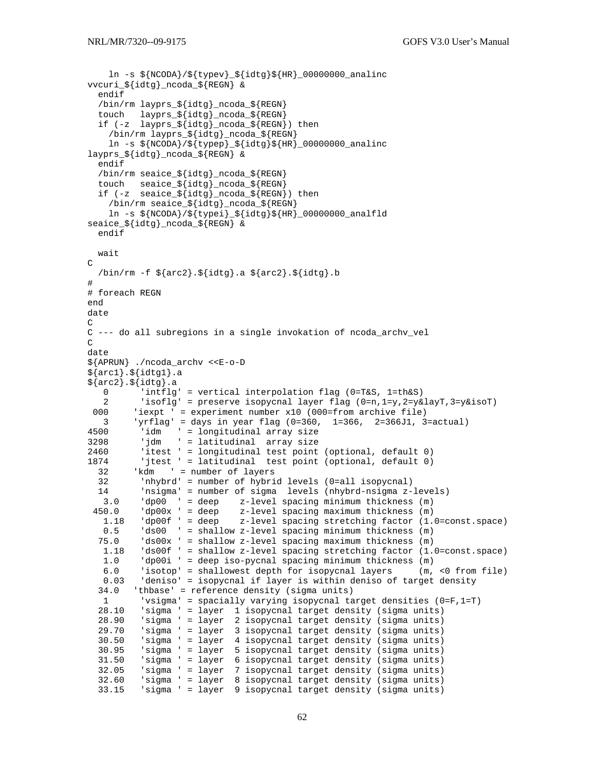```
\ln -s${NCODA}/${typev}_${idtq}${HR}_00000000_analinc
vvcuri_${idtg}_ncoda_${REGN} & 
   endif 
   /bin/rm layprs_${idtg}_ncoda_${REGN} 
   touch layprs_${idtg}_ncoda_${REGN} 
   if (-z layprs_${idtg}_ncoda_${REGN}) then 
      /bin/rm layprs_${idtg}_ncoda_${REGN} 
     ln -s${NCODA}/${typep}_${idtg}${HR}_00000000_analinc
layprs_${idtg}_ncoda_${REGN} & 
   endif 
   /bin/rm seaice_${idtg}_ncoda_${REGN} 
   touch seaice_${idtg}_ncoda_${REGN} 
   if (-z seaice_${idtg}_ncoda_${REGN}) then 
     /bin/rm seaice_${idtg}_ncoda_${REGN} 
    ln -s ${NCODA}/${typei} $[idtg]${HR}00000000 analfld
seaice_${idtg}_ncoda_${REGN} & 
   endif 
   wait 
\overline{C} /bin/rm -f ${arc2}.${idtg}.a ${arc2}.${idtg}.b 
# 
# foreach REGN 
end 
date 
\mathcal{C}C --- do all subregions in a single invokation of ncoda_archv_vel 
\mathcal{C}date 
${APRUN} ./ncoda_archv <<E-o-D 
${arc1}.${idtg1}.a 
\frac{1}{2} arc2 }. \frac{1}{2} {idtg }. a
   0 'intflg' = vertical interpolation flag (0 = T\&S, 1 = th\&S)<br>2 'isoflg' = preserve isopycnal layer flag (0 = n, 1 = y, 2 = y\&S2 'isoflg' = preserve isopycnal layer flag (0=n, 1=y, 2=y\&1\&2=y\&1\&3=y\&1\&500 'iexpt ' = experiment number x10 (000=from archive file)
          'iexpt ' = experiment number x10 (000=from archive file)
3 'yrflag' = days in year flag (0=360, 1=366, 2=366J1, 3=actual)<br>4500 'idm ' = longitudinal array size
4500 'idm ' = longitudinal array size 
3298 'jdm ' = latitudinal array size 
2460 'itest ' = longitudinal test point (optional, default 0) 
1874 'jtest ' = latitudinal test point (optional, default 0) 
  32 'kdm ' = number of layers<br>32 'nhybrd' = number of hybri
   32 'nhybrd' = number of hybrid levels (0=all isopycnal) 
            'nsigma' = number of sigma levels (nhybrd-nsigma z-levels)
    3.0 'dp00 ' = deep z-level spacing minimum thickness (m) 
 450.0 'dp00x' = deep z-level spacing maximum thickness (m) 1.18 'dp00f ' = deep z-level spacing stretching factor (1.0=const.space) 
  0.5 'ds00 ' = shallow z-level spacing minimum thickness (m)<br>75.0 'ds00x ' = shallow z-level spacing maximum thickness (m)
            'ds00x ' = shallow z-level spacing maximum thickness (m)
   1.18 \cdot ds00f \cdot = shallow z-level spacing stretching factor (1.0=const.space)<br>1.0 \cdot dp00i \cdot = deep iso-pycnal spacing minimum thickness (m)
            'dp00i ' = deep iso-pycnal spacing minimum thickness (m)<br>'isotop' = shallowest depth for isopycnal layers (m, <0 from file)
   6.0 'isotop' = shallowest depth for isopycnal layers
    0.03 'deniso' = isopycnal if layer is within deniso of target density 
   34.0 'thbase' = reference density (sigma units) 
  1 'vsigma' = spacially varying isopycnal target densities (0=F,1=T)<br>28.10 'sigma' = layer 1 isopycnal target density (sigma units)
  28.10 'sigma ' = layer 1 isopycnal target density (sigma units)<br>28.90 'sigma ' = layer 2 isopycnal target density (sigma units)
           'sigma ' = layer 2 isopycnal target density (sigma units)
   29.70 'sigma ' = layer 3 isopycnal target density (sigma units) 
   30.50 'sigma ' = layer 4 isopycnal target density (sigma units) 
           'sigma ' = layer 5 isopycnal target density (sigma units)
   31.50 'sigma ' = layer 6 isopycnal target density (sigma units) 
   32.05 'sigma ' = layer 7 isopycnal target density (sigma units) 
   32.60 'sigma ' = layer 8 isopycnal target density (sigma units) 
           'sigma ' = layer 9 isopycnal target density (sigma units)
```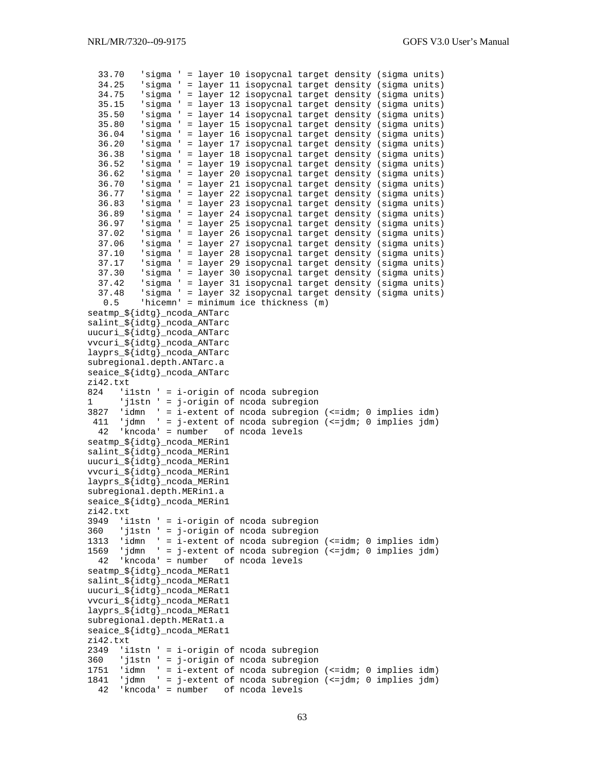```
 33.70 'sigma ' = layer 10 isopycnal target density (sigma units) 
   34.25 'sigma ' = layer 11 isopycnal target density (sigma units) 
          'sigma ' = layer 12 isopycnal target density (sigma units)
   35.15 'sigma ' = layer 13 isopycnal target density (sigma units) 
   35.50 'sigma ' = layer 14 isopycnal target density (sigma units) 
   35.80 'sigma ' = layer 15 isopycnal target density (sigma units) 
   36.04 'sigma ' = layer 16 isopycnal target density (sigma units) 
   36.20 'sigma ' = layer 17 isopycnal target density (sigma units) 
          'sigma ' = layer 18 isopycnal target density (sigma units)
   36.52 'sigma ' = layer 19 isopycnal target density (sigma units) 
   36.62 'sigma ' = layer 20 isopycnal target density (sigma units) 
   36.70 'sigma ' = layer 21 isopycnal target density (sigma units) 
   36.77 'sigma ' = layer 22 isopycnal target density (sigma units) 
   36.83 'sigma ' = layer 23 isopycnal target density (sigma units) 
   36.89 'sigma ' = layer 24 isopycnal target density (sigma units) 
          'sigma ' = layer 25 isopycnal target density (sigma units)
   37.02 'sigma ' = layer 26 isopycnal target density (sigma units) 
   37.06 'sigma ' = layer 27 isopycnal target density (sigma units) 
   37.10 'sigma ' = layer 28 isopycnal target density (sigma units) 
   37.17 'sigma ' = layer 29 isopycnal target density (sigma units) 
   37.30 'sigma ' = layer 30 isopycnal target density (sigma units) 
          'sigma ' = layer 31 isopycnal target density (sigma units)
   37.48 'sigma ' = layer 32 isopycnal target density (sigma units) 
   0.5 'hicemn' = minimum ice thickness (m) 
seatmp_${idtg}_ncoda_ANTarc 
salint_${idtg}_ncoda_ANTarc 
uucuri_${idtg}_ncoda_ANTarc 
vvcuri_${idtg}_ncoda_ANTarc 
layprs_${idtg}_ncoda_ANTarc 
subregional.depth.ANTarc.a 
seaice_${idtg}_ncoda_ANTarc 
zi42.txt<br>824 'i
    'ilstn ' = i-origin of ncoda subregion
1 'j1stn ' = j-origin of ncoda subregion 
3827 'idmn ' = i-extent of ncoda subregion (<=idm; 0 implies idm) 
  411 'jdmn ' = j-extent of ncoda subregion (<=jdm; 0 implies jdm)<br>42 'kncoda' = number of ncoda levels
     'kncoda' = number
seatmp_${idtg}_ncoda_MERin1 
salint_${idtg}_ncoda_MERin1 
uucuri_${idtg}_ncoda_MERin1 
vvcuri_${idtg}_ncoda_MERin1 
layprs_${idtg}_ncoda_MERin1 
subregional.depth.MERin1.a 
seaice_${idtg}_ncoda_MERin1 
zi42.txt 
3949 'i1stn ' = i-origin of ncoda subregion 
360 'j1stn ' = j-origin of ncoda subregion 
1313 'idmn ' = i-extent of ncoda subregion (<=idm; 0 implies idm) 
1569 'jdmn ' = j-extent of ncoda subregion (<=jdm; 0 implies jdm) 
  42 'kncoda' = number of ncoda levels 
seatmp_${idtg}_ncoda_MERat1 
salint_${idtg}_ncoda_MERat1 
uucuri_${idtg}_ncoda_MERat1 
vvcuri_${idtg}_ncoda_MERat1 
layprs_${idtg}_ncoda_MERat1 
subregional.depth.MERat1.a 
seaice_${idtg}_ncoda_MERat1 
zi42.txt 
2349 'i1stn ' = i-origin of ncoda subregion 
360 'j1stn ' = j-origin of ncoda subregion 
1751 'idmn ' = i-extent of ncoda subregion (<=idm; 0 implies idm) 
1841 'jdmn ' = j-extent of ncoda subregion (<=jdm; 0 implies jdm) 
   42 'kncoda' = number of ncoda levels
```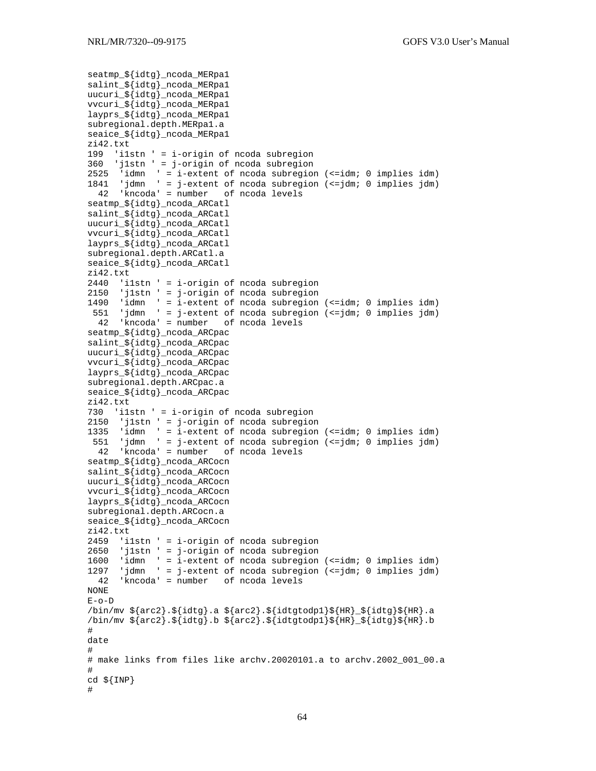```
seatmp_${idtg}_ncoda_MERpa1 
salint_${idtg}_ncoda_MERpa1 
uucuri_${idtg}_ncoda_MERpa1 
vvcuri_${idtg}_ncoda_MERpa1 
layprs_${idtg}_ncoda_MERpa1 
subregional.depth.MERpa1.a 
seaice_${idtg}_ncoda_MERpa1 
zi42.txt 
199 'i1stn ' = i-origin of ncoda subregion 
360 'j1stn ' = j-origin of ncoda subregion 
2525 'idmn ' = i-extent of ncoda subregion (<=idm; 0 implies idm) 
1841 'jdmn ' = j-extent of ncoda subregion (<=jdm; 0 implies jdm) 
  42 'kncoda' = number of ncoda levels 
seatmp_${idtg}_ncoda_ARCatl 
salint_${idtg}_ncoda_ARCatl 
uucuri_${idtg}_ncoda_ARCatl 
vvcuri_${idtg}_ncoda_ARCatl 
layprs_${idtg}_ncoda_ARCatl 
subregional.depth.ARCatl.a 
seaice_${idtg}_ncoda_ARCatl 
zi42.txt 
2440 'i1stn ' = i-origin of ncoda subregion 
2150 'j1stn ' = j-origin of ncoda subregion 
1490 'idmn ' = i-extent of ncoda subregion (<=idm; 0 implies idm) 
 551 'jdmn ' = j-extent of ncoda subregion (<=jdm; 0 implies jdm) 
   42 'kncoda' = number of ncoda levels 
seatmp_${idtg}_ncoda_ARCpac 
salint_${idtg}_ncoda_ARCpac 
uucuri_${idtg}_ncoda_ARCpac 
vvcuri_${idtg}_ncoda_ARCpac 
layprs_${idtg}_ncoda_ARCpac 
subregional.depth.ARCpac.a 
seaice_${idtg}_ncoda_ARCpac 
zi42.txt 
730 'i1stn ' = i-origin of ncoda subregion 
2150 'j1stn ' = j-origin of ncoda subregion<br>1335 'idmn ' = i-extent of ncoda subregion
1335 'idmn ' = i-extent of ncoda subregion (<=idm; 0 implies idm) 
 551 'jdmn ' = j-extent of ncoda subregion (<=jdm; 0 implies jdm) 
   42 'kncoda' = number of ncoda levels 
seatmp_${idtg}_ncoda_ARCocn 
salint_${idtg}_ncoda_ARCocn 
uucuri_${idtg}_ncoda_ARCocn 
vvcuri_${idtg}_ncoda_ARCocn 
layprs_${idtg}_ncoda_ARCocn 
subregional.depth.ARCocn.a 
seaice_${idtg}_ncoda_ARCocn 
zi42.txt 
2459 'i1stn ' = i-origin of ncoda subregion 
2650 'j1stn ' = j-origin of ncoda subregion 
1600 'idmn ' = i-extent of ncoda subregion (<=idm; 0 implies idm) 
1297 'jdmn ' = j-extent of ncoda subregion (<=jdm; 0 implies jdm) 
 42 'kncoda' = number of ncoda levels 
NONE 
E-o-D 
\binom{\sin}{\text{mv}} ${arc2}.${idtg}.a ${arc2}.${idtgtodp1}${HR}_${idtg}${HR}.a
\binom{\pi}{\pi} $ {arc2}.$ {idtg}.b $ {arc2}.$ {idtgtodp1}$ {HR}_$ {idtg}$ {HR}.b
# 
date 
# 
# make links from files like archv.20020101.a to archv.2002_001_00.a 
# 
cd ${INP} 
#
```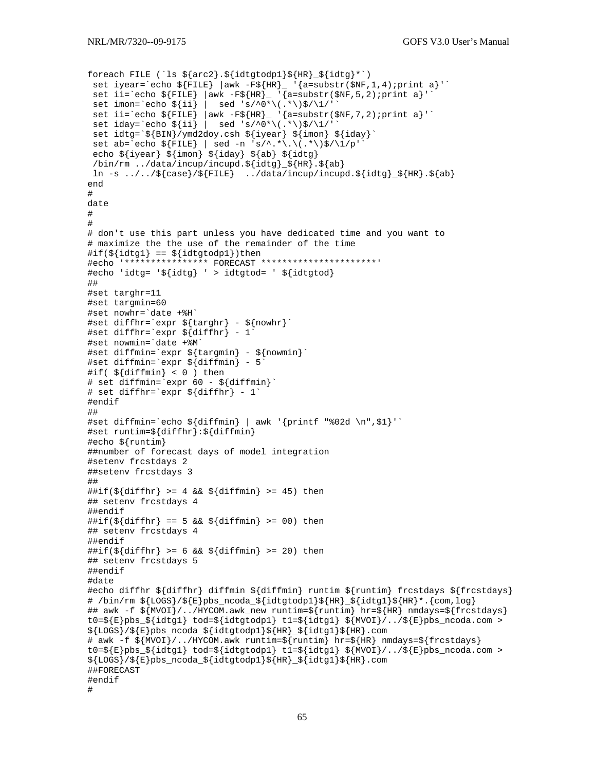```
foreach FILE (`ls ${arc2}.${idtgtodp1}${HR}_${idtg}*`) 
 set iyear=`echo ${FILE} |awk -F${HR}_ '{a=substr($NF,1,4);print a}'`
 set ii=`echo \S{FILE} |awk -F\S{HR}_ '{a=substr($NF,5,2);print a}'
 set imon=`echo \frac{s}{ii} | sed 's/^0*\(.*\)$/\1/'
 set ii=`echo \S[FILE} |awk -F\S[HR}_ '{a=substr($NF,7,2);print a}'`
 set iday=`echo ${ii} | sed 's/^0*\(.*\)$/\1/'
  set idtg=`${BIN}/ymd2doy.csh ${iyear} ${imon} ${iday}` 
 set ab=`echo ${FILE} | sed -n 's/^.*\.\(.*\)$/\1/p'
  echo ${iyear} ${imon} ${iday} ${ab} ${idtg} 
  /bin/rm ../data/incup/incupd.${idtg}_${HR}.${ab} 
  ln -s ../../${case}/${FILE} ../data/incup/incupd.${idtg}_${HR}.${ab} 
end 
# 
date 
# 
# 
# don't use this part unless you have dedicated time and you want to 
# maximize the the use of the remainder of the time 
\# \text{if}(\frac{1}{\text{idtql}}) == \frac{1}{\text{idtqtodpl}})then
#echo '**************** FORECAST **********************' 
#echo 'idtg= '${idtg} ' > idtgtod= ' ${idtgtod} 
## 
#set targhr=11 
#set targmin=60 
#set nowhr=`date +%H` 
#set diffhr=`expr ${targhr} - ${nowhr}` 
#set diffhr=`expr \frac{1}{2} diffhr} - 1<sup>o</sup>
#set nowmin=`date +%M` 
#set diffmin=`expr ${targmin} - ${nowmin}` 
#set diffmin=`expr ${diffmin} - 5` 
#if( ${diffmin} < 0 ) then 
# set diffmin=`expr 60 - ${diffmin}` 
# set diffhr=`expr ${diffhr} - 1` 
#endif 
## 
#set diffmin=`echo ${diffmin} | awk '{printf "%02d \n",$1}'` 
#set runtim=${diffhr}:${diffmin} 
#echo ${runtim} 
##number of forecast days of model integration 
#setenv frcstdays 2 
##setenv frcstdays 3 
## 
\# \text{iff}(\frac{\xi}{\text{diff}}) \geq 4 \&\; \frac{\xi}{\text{diff}} \geq 45) \text{ then}## setenv frcstdays 4 
##endif 
\# \text{iff}(\frac{1}{2} \text{diff} \mid \text{ker} \cdot \text{ker} \cdot \text{diag} \cdot \text{diag} \cdot \text{diag} \cdot \text{diag} \cdot \text{diag} \cdot \text{diag} \cdot \text{diag} \cdot \text{diag} \cdot \text{diag} \cdot \text{diag} \cdot \text{diag} \cdot \text{diag} \cdot \text{diag} \cdot \text{diag} \cdot \text{diag} \cdot \text{diag} \cdot \text{diag} \cdot \text{diag} \cdot \text{diag} \cdot \text{diag} \cdot \text{diag} \cdot \text{diag} \cdot \text{diag} \cdot \text{diag} \cdot \text{diag} \cdot \text{diag} \cdot \text{## setenv frcstdays 4 
##endif 
##if(${diffhr} > = 6 && ${diffmin} > = 20) then
## setenv frcstdays 5 
##endif 
#date 
#echo diffhr ${diffhr} diffmin ${diffmin} runtim ${runtim} frcstdays ${frcstdays} 
# /bin/rm ${LOGS}/${E}pbs_ncoda_${idtgtodp1}${HR}_${idtg1}${HR}*.{com,log} 
## awk -f ${MVOI}/../HYCOM.awk_new runtim=${runtim} hr=${HR} nmdays=${frcstdays} 
t0=${E}pbs_${idtg1} tod=${idtgtodp1} t1=${idtg1} ${MVOI}/../${E}pbs_ncoda.com > 
${LOGS}/${E}pbs_ncoda_${idtgtodp1}${HR}_${idtg1}${HR}.com 
# awk -f ${MVOI}/../HYCOM.awk runtim=${runtim} hr=${HR} nmdays=${frcstdays} 
t0=${E}pbs ${idtq1} tod=${idtqtodp1} t1=${idtq1} ${MVOI}/../${E}pbs ncoda.com >
${LOGS}/${E}pbs_ncoda_${idtgtodp1}${HR}_${idtg1}${HR}.com 
##FORECAST 
#endif 
#
```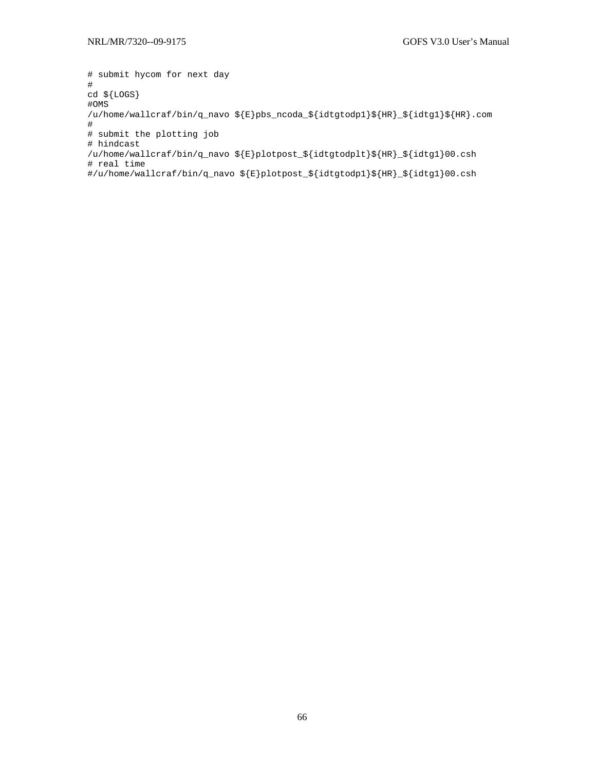```
# submit hycom for next day 
# 
cd ${LOGS} 
#OMS 
/u/home/wallcraf/bin/q_navo \S{E}pbs_ncoda_\S{idtptodpl}\S{HR}_{S}{idtg1}\S{HR}.com
# 
# submit the plotting job 
# hindcast 
/u/home/wallcraf/bin/q_navo ${E}plotpost_${idtgtodplt}${HR}_${idtg1}00.csh 
# real time 
#/u/home/wallcraf/bin/q_navo ${E}plotpost_${idtgtodp1}${HR}_${idtg1}00.csh
```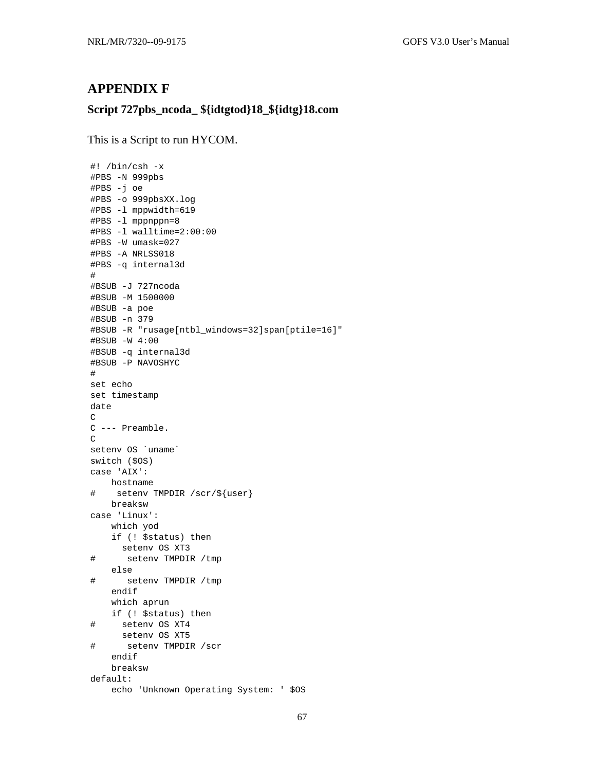## **APPENDIX F**

## Script 727pbs\_ncoda\_\${idtgtod}18\_\${idtg}18.com

This is a Script to run HYCOM.

```
#! /bin/csh -x
#PBS -N 999pbs
#PBS -j oe
#PBS -o 999pbsXX.log
#PBS -1 mppwidth=619
#PBS -1 mppnppn=8
#PBS -1 walltime=2:00:00
#PBS -W umask=027
#PBS -A NRLSS018
#PBS -q internal3d
##BSUB -J 727ncoda
#BSUB -M 1500000
#BSUB -a poe
#BSUB -n 379
#BSUB -R "rusage[ntbl_windows=32]span[ptile=16]"
#BSUB -W 4:00
#BSUB -q internal3d
#BSUB -P NAVOSHYC
\#set echo
set timestamp
date
\mathcal{C}C --- Preamble.
\mathsf Cseteny OS 'uname'
switch ($0S)
case 'AIX':
   hostname
    setenv TMPDIR /scr/${user}
#breaksw
case 'Linux':
   which yod
    if (! $status) then
     seteny OS XT3
      setenv TMPDIR / tmp
#else
#setenv TMPDIR /tmp
    endif
    which aprun
   if (! $status) then
#setenv OS XT4
    setenv OS XT5
\#setenv TMPDIR /scr
    endif
    breaksw
default:
    echo 'Unknown Operating System: ' $0S
```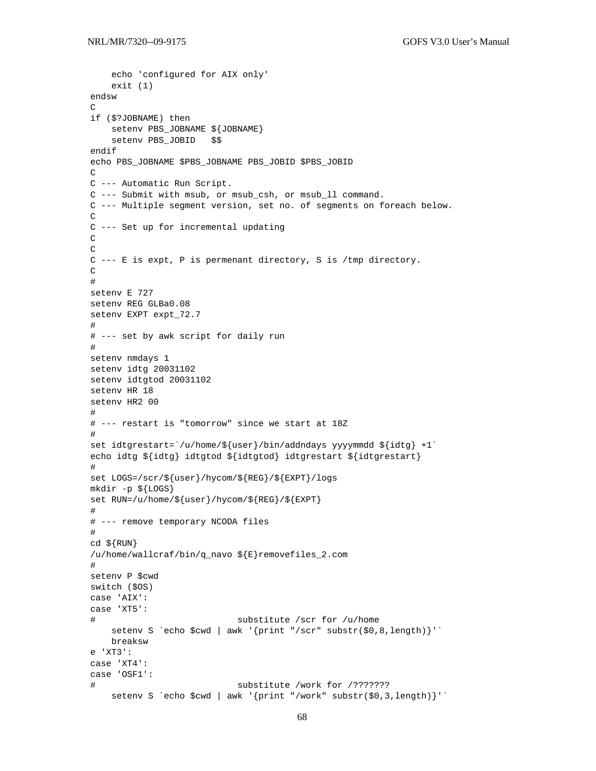```
 echo 'configured for AIX only' 
    exit (1) 
endsw 
\Gammaif ($?JOBNAME) then 
    setenv PBS_JOBNAME ${JOBNAME} 
     setenv PBS_JOBID $$ 
endif 
echo PBS_JOBNAME $PBS_JOBNAME PBS_JOBID $PBS_JOBID 
\mathcal{C}C --- Automatic Run Script. 
C --- Submit with msub, or msub_csh, or msub_ll command. 
C --- Multiple segment version, set no. of segments on foreach below. 
\mathcal{C}C --- Set up for incremental updating 
C 
\mathcal{C}C --- E is expt, P is permenant directory, S is /tmp directory. 
\mathcal{C}# 
setenv E 727 
setenv REG GLBa0.08 
setenv EXPT expt_72.7 
# 
# --- set by awk script for daily run 
# 
setenv nmdays 1 
setenv idtg 20031102 
setenv idtgtod 20031102 
setenv HR 18 
setenv HR2 00 
# 
# --- restart is "tomorrow" since we start at 18Z 
# 
set idtgrestart=`/u/home/${user}/bin/addndays yyyymmdd ${idtg} +1` 
echo idtg ${idtg} idtgtod ${idtgtod} idtgrestart ${idtgrestart} 
# 
set LOGS=/scr/${user}/hycom/${REG}/${EXPT}/logs 
mkdir -p ${LOGS} 
set RUN=/u/home/${user}/hycom/${REG}/${EXPT} 
# 
# --- remove temporary NCODA files 
# 
cd \ {RUN}
/u/home/wallcraf/bin/q_navo ${E}removefiles_2.com 
# 
setenv P $cwd 
switch ($OS) 
case 'AIX': 
case 'XT5': 
# substitute /scr for /u/home 
   setenv S `echo $cwd | awk '{print "/scr" substr($0,8,length)}'`
    breaksw 
e 'XT3': 
case 'XT4': 
case 'OSF1': 
# substitute /work for /??????? 
     setenv S `echo $cwd | awk '{print "/work" substr($0,3,length)}'`
```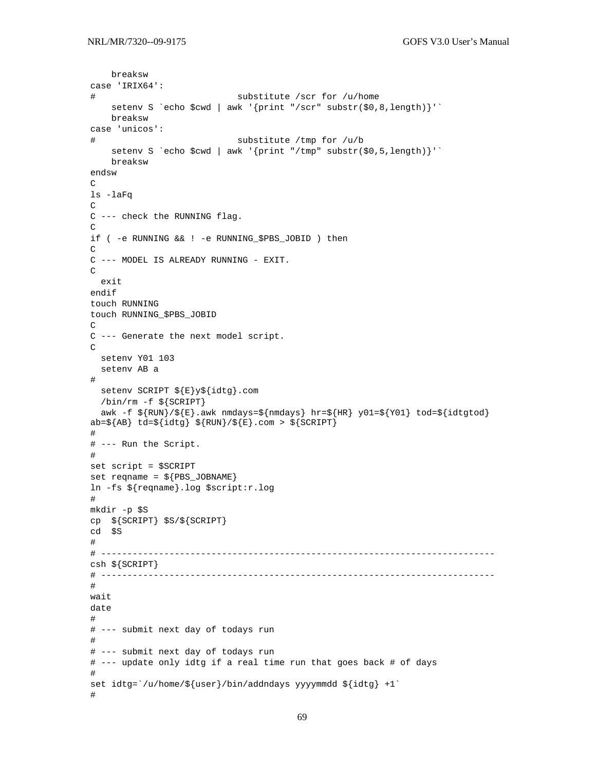```
breaksw
case 'IRIX64':
                           substitute /scr for /u/home
#setenv S `echo $cwd | awk '{print "/scr" substr($0,8,length)}'`
   breaksw
case 'unicos':
                           substitute /tmp for /u/b
#setenv S 'echo $cwd | awk '{print "/tmp" substr($0,5,length)}''
   breaksw
endsw
\mathcal{C}ls -laFq
\mathcal{C}C --- check the RUNNING flag.
\mathsf{C}if ( -e RUNNING && ! -e RUNNING_$PBS_JOBID ) then
\mathcal{C}C --- MODEL IS ALREADY RUNNING - EXIT.
\mathcal{C}exit
endif
touch RUNNING
touch RUNNING_$PBS_JOBID
C
C --- Generate the next model script.
\capseteny Y01 103
 setenv AB a
\#setenv SCRIPT ${E}y${idtg}.com
 /bin/rm -f ${SCRIPT}
 awk -f \S \{RUN\}/\S \{E\}.awk nmdays=\S \{mdays} hr=\S \{HR\} y01=\S \{Y01\} tod=\S \{idtgtod\}ab=\S{AB} td=\S{idtg} \S{RUN}/\S{E}.com > \S{SCRIPT}
## --- Run the Script.
#set script = $SCRIPT
set reqname = \frac{1}{2} [PBS_JOBNAME]
ln -fs ${reqname}.log $script:r.log
#mkdir -p $S
cp ${SCRIPT} $S/${SCRIPT}
cd $S
#csh \S{SCRIPT}
#wait
date
## --- submit next day of todays run
## --- submit next day of todays run
# --- update only idtg if a real time run that goes back # of days
set idtg=`/u/home/\frac{1}{2}{user}/bin/addndays yyyymmdd \frac{1}{4}idtg} +1`
\#
```